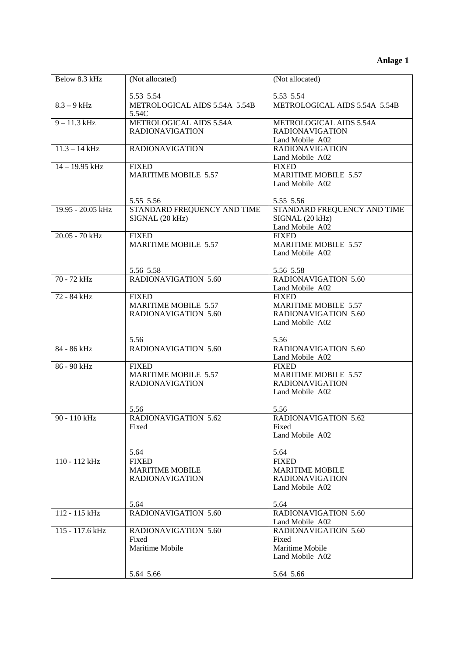| Below 8.3 kHz     | (Not allocated)                        | (Not allocated)               |
|-------------------|----------------------------------------|-------------------------------|
|                   |                                        |                               |
|                   | 5.53 5.54                              | 5.53 5.54                     |
| $8.3 - 9$ kHz     | METROLOGICAL AIDS 5.54A 5.54B<br>5.54C | METROLOGICAL AIDS 5.54A 5.54B |
| $9 - 11.3$ kHz    | METROLOGICAL AIDS 5.54A                | METROLOGICAL AIDS 5.54A       |
|                   | <b>RADIONAVIGATION</b>                 | <b>RADIONAVIGATION</b>        |
|                   |                                        | Land Mobile A02               |
| $11.3 - 14$ kHz   | <b>RADIONAVIGATION</b>                 | <b>RADIONAVIGATION</b>        |
|                   |                                        | Land Mobile A02               |
| $14 - 19.95$ kHz  | <b>FIXED</b>                           | <b>FIXED</b>                  |
|                   | <b>MARITIME MOBILE 5.57</b>            | <b>MARITIME MOBILE 5.57</b>   |
|                   |                                        |                               |
|                   |                                        | Land Mobile A02               |
|                   | 5.55 5.56                              | 5.55 5.56                     |
| 19.95 - 20.05 kHz | STANDARD FREQUENCY AND TIME            | STANDARD FREQUENCY AND TIME   |
|                   | SIGNAL (20 kHz)                        | SIGNAL (20 kHz)               |
|                   |                                        | Land Mobile A02               |
| 20.05 - 70 kHz    | <b>FIXED</b>                           | <b>FIXED</b>                  |
|                   | MARITIME MOBILE 5.57                   | <b>MARITIME MOBILE 5.57</b>   |
|                   |                                        | Land Mobile A02               |
|                   |                                        |                               |
|                   | 5.56 5.58                              | 5.56 5.58                     |
| 70 - 72 kHz       | <b>RADIONAVIGATION 5.60</b>            | RADIONAVIGATION 5.60          |
|                   |                                        | Land Mobile A02               |
| 72 - 84 kHz       | <b>FIXED</b>                           | <b>FIXED</b>                  |
|                   | MARITIME MOBILE 5.57                   | <b>MARITIME MOBILE 5.57</b>   |
|                   | <b>RADIONAVIGATION 5.60</b>            | <b>RADIONAVIGATION 5.60</b>   |
|                   |                                        | Land Mobile A02               |
|                   |                                        |                               |
|                   | 5.56                                   | 5.56                          |
| 84 - 86 kHz       | <b>RADIONAVIGATION 5.60</b>            | <b>RADIONAVIGATION 5.60</b>   |
|                   |                                        | Land Mobile A02               |
| 86 - 90 kHz       | <b>FIXED</b>                           | <b>FIXED</b>                  |
|                   | MARITIME MOBILE 5.57                   | <b>MARITIME MOBILE 5.57</b>   |
|                   | <b>RADIONAVIGATION</b>                 | <b>RADIONAVIGATION</b>        |
|                   |                                        | Land Mobile A02               |
|                   |                                        |                               |
|                   | 5.56                                   | 5.56                          |
| 90 - 110 kHz      | <b>RADIONAVIGATION 5.62</b>            | <b>RADIONAVIGATION 5.62</b>   |
|                   | Fixed                                  | Fixed                         |
|                   |                                        | Land Mobile A02               |
|                   |                                        |                               |
|                   | 5.64                                   | 5.64                          |
| 110 - 112 kHz     | <b>FIXED</b>                           | <b>FIXED</b>                  |
|                   | <b>MARITIME MOBILE</b>                 | <b>MARITIME MOBILE</b>        |
|                   | <b>RADIONAVIGATION</b>                 | <b>RADIONAVIGATION</b>        |
|                   |                                        | Land Mobile A02               |
|                   | 5.64                                   | 5.64                          |
| 112 - 115 kHz     | <b>RADIONAVIGATION 5.60</b>            | <b>RADIONAVIGATION 5.60</b>   |
|                   |                                        | Land Mobile A02               |
| $115 - 117.6$ kHz | <b>RADIONAVIGATION 5.60</b>            | RADIONAVIGATION 5.60          |
|                   | Fixed                                  | Fixed                         |
|                   | Maritime Mobile                        | Maritime Mobile               |
|                   |                                        | Land Mobile A02               |
|                   |                                        |                               |
|                   | 5.64 5.66                              | 5.64 5.66                     |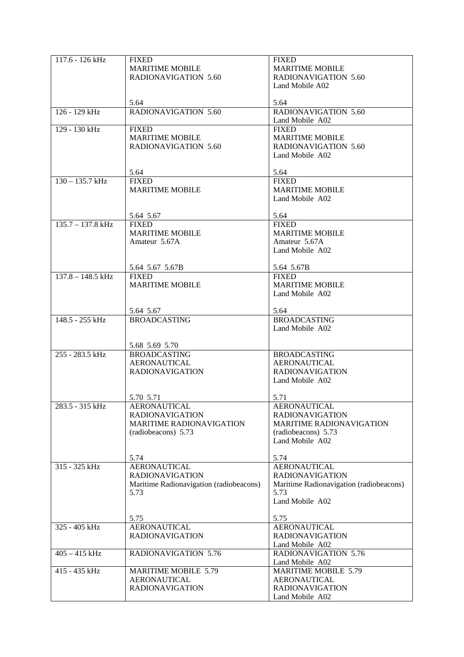| $117.6 - 126$ kHz   | <b>FIXED</b>                            | <b>FIXED</b>                            |
|---------------------|-----------------------------------------|-----------------------------------------|
|                     | <b>MARITIME MOBILE</b>                  | <b>MARITIME MOBILE</b>                  |
|                     |                                         |                                         |
|                     | RADIONAVIGATION 5.60                    | <b>RADIONAVIGATION 5.60</b>             |
|                     |                                         | Land Mobile A02                         |
|                     |                                         |                                         |
|                     | 5.64                                    | 5.64                                    |
| $126 - 129$ kHz     | RADIONAVIGATION 5.60                    | <b>RADIONAVIGATION 5.60</b>             |
|                     |                                         | Land Mobile A02                         |
| 129 - 130 kHz       | <b>FIXED</b>                            | <b>FIXED</b>                            |
|                     | <b>MARITIME MOBILE</b>                  | <b>MARITIME MOBILE</b>                  |
|                     |                                         |                                         |
|                     | <b>RADIONAVIGATION 5.60</b>             | <b>RADIONAVIGATION 5.60</b>             |
|                     |                                         | Land Mobile A02                         |
|                     |                                         |                                         |
|                     | 5.64                                    | 5.64                                    |
| $130 - 135.7$ kHz   | <b>FIXED</b>                            | <b>FIXED</b>                            |
|                     | <b>MARITIME MOBILE</b>                  | <b>MARITIME MOBILE</b>                  |
|                     |                                         | Land Mobile A02                         |
|                     |                                         |                                         |
|                     |                                         | 5.64                                    |
|                     | 5.64 5.67                               |                                         |
| $135.7 - 137.8$ kHz | <b>FIXED</b>                            | <b>FIXED</b>                            |
|                     | <b>MARITIME MOBILE</b>                  | <b>MARITIME MOBILE</b>                  |
|                     | Amateur 5.67A                           | Amateur 5.67A                           |
|                     |                                         | Land Mobile A02                         |
|                     |                                         |                                         |
|                     | 5.64 5.67 5.67B                         | 5.64 5.67B                              |
| $137.8 - 148.5$ kHz | <b>FIXED</b>                            | <b>FIXED</b>                            |
|                     | <b>MARITIME MOBILE</b>                  | <b>MARITIME MOBILE</b>                  |
|                     |                                         | Land Mobile A02                         |
|                     |                                         |                                         |
|                     |                                         |                                         |
|                     | 5.64 5.67                               | 5.64                                    |
| 148.5 - 255 kHz     | <b>BROADCASTING</b>                     | <b>BROADCASTING</b>                     |
|                     |                                         | Land Mobile A02                         |
|                     |                                         |                                         |
|                     | 5.68 5.69 5.70                          |                                         |
| 255 - 283.5 kHz     | <b>BROADCASTING</b>                     | <b>BROADCASTING</b>                     |
|                     | <b>AERONAUTICAL</b>                     | <b>AERONAUTICAL</b>                     |
|                     | <b>RADIONAVIGATION</b>                  | <b>RADIONAVIGATION</b>                  |
|                     |                                         | Land Mobile A02                         |
|                     |                                         |                                         |
|                     |                                         |                                         |
|                     | 5.70 5.71                               | 5.71                                    |
| 283.5 - 315 kHz     | AERONAUTICAL                            | AERONAUTICAL                            |
|                     | <b>RADIONAVIGATION</b>                  | <b>RADIONAVIGATION</b>                  |
|                     | MARITIME RADIONAVIGATION                | <b>MARITIME RADIONAVIGATION</b>         |
|                     | (radiobeacons) 5.73                     | (radiobeacons) 5.73                     |
|                     |                                         | Land Mobile A02                         |
|                     |                                         |                                         |
|                     | 5.74                                    | 5.74                                    |
| 315 - 325 kHz       | <b>AERONAUTICAL</b>                     | <b>AERONAUTICAL</b>                     |
|                     |                                         |                                         |
|                     | <b>RADIONAVIGATION</b>                  | <b>RADIONAVIGATION</b>                  |
|                     | Maritime Radionavigation (radiobeacons) | Maritime Radionavigation (radiobeacons) |
|                     | 5.73                                    | 5.73                                    |
|                     |                                         | Land Mobile A02                         |
|                     |                                         |                                         |
|                     | 5.75                                    | 5.75                                    |
| 325 - 405 kHz       | <b>AERONAUTICAL</b>                     | <b>AERONAUTICAL</b>                     |
|                     | <b>RADIONAVIGATION</b>                  | <b>RADIONAVIGATION</b>                  |
|                     |                                         |                                         |
|                     |                                         | Land Mobile A02                         |
| $405 - 415$ kHz     | <b>RADIONAVIGATION 5.76</b>             | <b>RADIONAVIGATION 5.76</b>             |
|                     |                                         | Land Mobile A02                         |
| 415 - 435 kHz       | <b>MARITIME MOBILE 5.79</b>             | <b>MARITIME MOBILE 5.79</b>             |
|                     | <b>AERONAUTICAL</b>                     | <b>AERONAUTICAL</b>                     |
|                     | <b>RADIONAVIGATION</b>                  | <b>RADIONAVIGATION</b>                  |
|                     |                                         | Land Mobile A02                         |
|                     |                                         |                                         |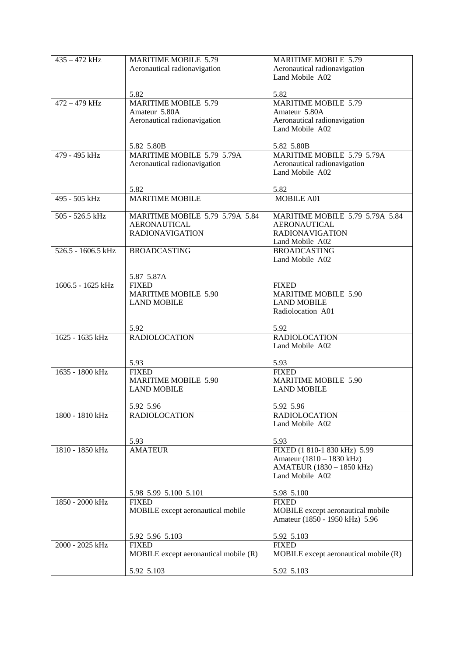| $435 - 472$ kHz    | <b>MARITIME MOBILE 5.79</b>                       | <b>MARITIME MOBILE 5.79</b>                                         |
|--------------------|---------------------------------------------------|---------------------------------------------------------------------|
|                    | Aeronautical radionavigation                      | Aeronautical radionavigation                                        |
|                    |                                                   | Land Mobile A02                                                     |
|                    |                                                   |                                                                     |
|                    | 5.82                                              | 5.82                                                                |
| $472 - 479$ kHz    | <b>MARITIME MOBILE 5.79</b><br>Amateur 5.80A      | <b>MARITIME MOBILE 5.79</b><br>Amateur 5.80A                        |
|                    | Aeronautical radionavigation                      | Aeronautical radionavigation                                        |
|                    |                                                   | Land Mobile A02                                                     |
|                    |                                                   |                                                                     |
|                    | 5.82 5.80B                                        | 5.82 5.80B                                                          |
| $479 - 495$ kHz    | MARITIME MOBILE 5.79 5.79A                        | MARITIME MOBILE 5.79 5.79A                                          |
|                    | Aeronautical radionavigation                      | Aeronautical radionavigation                                        |
|                    |                                                   | Land Mobile A02                                                     |
|                    | 5.82                                              | 5.82                                                                |
| 495 - 505 kHz      | <b>MARITIME MOBILE</b>                            | <b>MOBILE A01</b>                                                   |
|                    |                                                   |                                                                     |
| 505 - 526.5 kHz    | <b>MARITIME MOBILE 5.79 5.79A 5.84</b>            | MARITIME MOBILE 5.79 5.79A 5.84                                     |
|                    | <b>AERONAUTICAL</b>                               | <b>AERONAUTICAL</b>                                                 |
|                    | <b>RADIONAVIGATION</b>                            | <b>RADIONAVIGATION</b>                                              |
| 526.5 - 1606.5 kHz |                                                   | Land Mobile A02<br><b>BROADCASTING</b>                              |
|                    | <b>BROADCASTING</b>                               | Land Mobile A02                                                     |
|                    |                                                   |                                                                     |
|                    | 5.87 5.87A                                        |                                                                     |
| 1606.5 - 1625 kHz  | <b>FIXED</b>                                      | <b>FIXED</b>                                                        |
|                    | <b>MARITIME MOBILE 5.90</b>                       | <b>MARITIME MOBILE 5.90</b>                                         |
|                    | <b>LAND MOBILE</b>                                | <b>LAND MOBILE</b>                                                  |
|                    |                                                   | Radiolocation A01                                                   |
|                    | 5.92                                              | 5.92                                                                |
| 1625 - 1635 kHz    | <b>RADIOLOCATION</b>                              | <b>RADIOLOCATION</b>                                                |
|                    |                                                   | Land Mobile A02                                                     |
|                    |                                                   |                                                                     |
|                    | 5.93                                              | 5.93                                                                |
| 1635 - 1800 kHz    | <b>FIXED</b>                                      | <b>FIXED</b>                                                        |
|                    | <b>MARITIME MOBILE 5.90</b><br><b>LAND MOBILE</b> | <b>MARITIME MOBILE 5.90</b><br><b>LAND MOBILE</b>                   |
|                    |                                                   |                                                                     |
|                    | 5.92 5.96                                         | 5.92 5.96                                                           |
| 1800 - 1810 kHz    | <b>RADIOLOCATION</b>                              | <b>RADIOLOCATION</b>                                                |
|                    |                                                   | Land Mobile A02                                                     |
|                    |                                                   |                                                                     |
| 1810 - 1850 kHz    | 5.93<br><b>AMATEUR</b>                            | 5.93<br>FIXED (1 810-1 830 kHz) 5.99                                |
|                    |                                                   | Amateur (1810 – 1830 kHz)                                           |
|                    |                                                   | AMATEUR (1830 - 1850 kHz)                                           |
|                    |                                                   | Land Mobile A02                                                     |
|                    |                                                   |                                                                     |
|                    | 5.98 5.99 5.100 5.101                             | 5.98 5.100                                                          |
| 1850 - 2000 kHz    | <b>FIXED</b>                                      | <b>FIXED</b>                                                        |
|                    | MOBILE except aeronautical mobile                 | MOBILE except aeronautical mobile<br>Amateur (1850 - 1950 kHz) 5.96 |
|                    |                                                   |                                                                     |
|                    | 5.92 5.96 5.103                                   | 5.92 5.103                                                          |
| 2000 - 2025 kHz    | <b>FIXED</b>                                      | <b>FIXED</b>                                                        |
|                    | MOBILE except aeronautical mobile (R)             | MOBILE except aeronautical mobile (R)                               |
|                    |                                                   |                                                                     |
|                    | 5.92 5.103                                        | 5.92 5.103                                                          |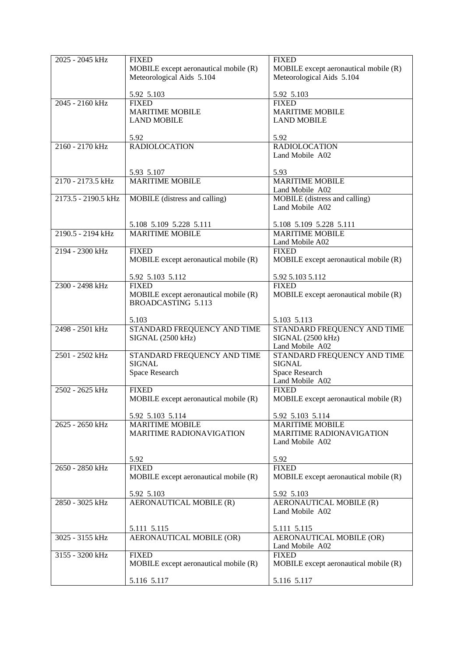| 2025 - 2045 kHz     | <b>FIXED</b><br>MOBILE except aeronautical mobile (R)<br>Meteorological Aids 5.104 | <b>FIXED</b><br>MOBILE except aeronautical mobile (R)<br>Meteorological Aids 5.104 |
|---------------------|------------------------------------------------------------------------------------|------------------------------------------------------------------------------------|
|                     | 5.92 5.103                                                                         | 5.92 5.103                                                                         |
| 2045 - 2160 kHz     | <b>FIXED</b><br><b>MARITIME MOBILE</b><br><b>LAND MOBILE</b>                       | <b>FIXED</b><br><b>MARITIME MOBILE</b><br><b>LAND MOBILE</b>                       |
|                     | 5.92                                                                               | 5.92                                                                               |
| 2160 - 2170 kHz     | <b>RADIOLOCATION</b>                                                               | <b>RADIOLOCATION</b><br>Land Mobile A02                                            |
|                     | 5.93 5.107                                                                         | 5.93                                                                               |
| 2170 - 2173.5 kHz   | <b>MARITIME MOBILE</b>                                                             | <b>MARITIME MOBILE</b><br>Land Mobile A02                                          |
| 2173.5 - 2190.5 kHz | MOBILE (distress and calling)                                                      | MOBILE (distress and calling)<br>Land Mobile A02                                   |
|                     | 5.108 5.109 5.228 5.111                                                            | 5.108 5.109 5.228 5.111                                                            |
| 2190.5 - 2194 kHz   | <b>MARITIME MOBILE</b>                                                             | <b>MARITIME MOBILE</b>                                                             |
|                     |                                                                                    | Land Mobile A02                                                                    |
| 2194 - 2300 kHz     | <b>FIXED</b><br>MOBILE except aeronautical mobile (R)                              | <b>FIXED</b><br>MOBILE except aeronautical mobile (R)                              |
|                     | 5.92 5.103 5.112                                                                   | 5.92 5.103 5.112                                                                   |
| 2300 - 2498 kHz     | <b>FIXED</b><br>MOBILE except aeronautical mobile (R)<br><b>BROADCASTING 5.113</b> | <b>FIXED</b><br>MOBILE except aeronautical mobile (R)                              |
|                     | 5.103                                                                              | 5.103 5.113                                                                        |
| 2498 - 2501 kHz     | STANDARD FREQUENCY AND TIME<br>SIGNAL (2500 kHz)                                   | STANDARD FREQUENCY AND TIME<br>SIGNAL (2500 kHz)<br>Land Mobile A02                |
| 2501 - 2502 kHz     | STANDARD FREQUENCY AND TIME<br><b>SIGNAL</b>                                       | STANDARD FREQUENCY AND TIME<br><b>SIGNAL</b>                                       |
|                     | Space Research                                                                     | Space Research<br>Land Mobile A02                                                  |
| 2502 - 2625 kHz     | <b>FIXED</b><br>MOBILE except aeronautical mobile (R)                              | <b>FIXED</b><br>MOBILE except aeronautical mobile (R)                              |
|                     | 5.92 5.103 5.114                                                                   | 5.92 5.103 5.114                                                                   |
| 2625 - 2650 kHz     | <b>MARITIME MOBILE</b><br><b>MARITIME RADIONAVIGATION</b>                          | <b>MARITIME MOBILE</b><br><b>MARITIME RADIONAVIGATION</b>                          |
|                     |                                                                                    | Land Mobile A02                                                                    |
| 2650 - 2850 kHz     | 5.92<br><b>FIXED</b>                                                               | 5.92<br><b>FIXED</b>                                                               |
|                     | MOBILE except aeronautical mobile (R)                                              | MOBILE except aeronautical mobile (R)                                              |
|                     | 5.92 5.103                                                                         | 5.92 5.103                                                                         |
| 2850 - 3025 kHz     | AERONAUTICAL MOBILE (R)                                                            | AERONAUTICAL MOBILE (R)<br>Land Mobile A02                                         |
|                     | 5.111 5.115                                                                        | 5.111 5.115                                                                        |
| $3025 - 3155$ kHz   | <b>AERONAUTICAL MOBILE (OR)</b>                                                    | AERONAUTICAL MOBILE (OR)<br>Land Mobile A02                                        |
| 3155 - 3200 kHz     | <b>FIXED</b><br>MOBILE except aeronautical mobile (R)                              | <b>FIXED</b><br>MOBILE except aeronautical mobile (R)                              |
|                     | 5.116 5.117                                                                        | 5.116 5.117                                                                        |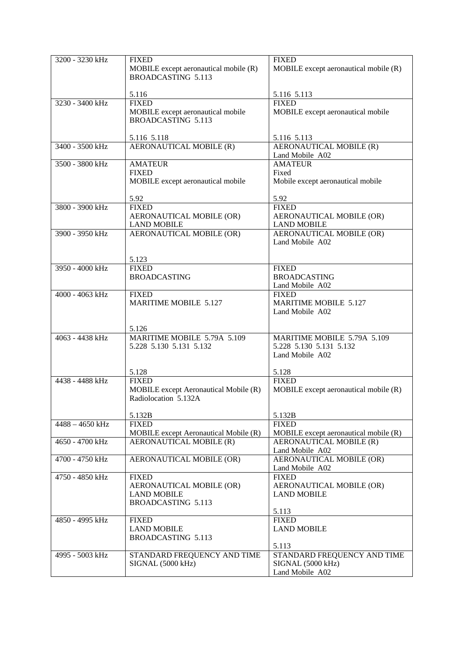| 3200 - 3230 kHz   | <b>FIXED</b>                          | <b>FIXED</b>                          |
|-------------------|---------------------------------------|---------------------------------------|
|                   | MOBILE except aeronautical mobile (R) | MOBILE except aeronautical mobile (R) |
|                   | <b>BROADCASTING 5.113</b>             |                                       |
|                   |                                       |                                       |
|                   | 5.116                                 | 5.116 5.113                           |
| 3230 - 3400 kHz   | <b>FIXED</b>                          | <b>FIXED</b>                          |
|                   |                                       |                                       |
|                   | MOBILE except aeronautical mobile     | MOBILE except aeronautical mobile     |
|                   | <b>BROADCASTING 5.113</b>             |                                       |
|                   |                                       |                                       |
|                   | 5.116 5.118                           | 5.116 5.113                           |
| 3400 - 3500 kHz   | AERONAUTICAL MOBILE (R)               | <b>AERONAUTICAL MOBILE (R)</b>        |
|                   |                                       | Land Mobile A02                       |
| 3500 - 3800 kHz   | <b>AMATEUR</b>                        | <b>AMATEUR</b>                        |
|                   | <b>FIXED</b>                          | Fixed                                 |
|                   | MOBILE except aeronautical mobile     | Mobile except aeronautical mobile     |
|                   |                                       |                                       |
|                   | 5.92                                  | 5.92                                  |
| 3800 - 3900 kHz   | <b>FIXED</b>                          | <b>FIXED</b>                          |
|                   | AERONAUTICAL MOBILE (OR)              | AERONAUTICAL MOBILE (OR)              |
|                   | <b>LAND MOBILE</b>                    | <b>LAND MOBILE</b>                    |
| 3900 - 3950 kHz   | <b>AERONAUTICAL MOBILE (OR)</b>       | <b>AERONAUTICAL MOBILE (OR)</b>       |
|                   |                                       | Land Mobile A02                       |
|                   |                                       |                                       |
|                   | 5.123                                 |                                       |
| 3950 - 4000 kHz   | <b>FIXED</b>                          | <b>FIXED</b>                          |
|                   | <b>BROADCASTING</b>                   | <b>BROADCASTING</b>                   |
|                   |                                       | Land Mobile A02                       |
| 4000 - 4063 kHz   | <b>FIXED</b>                          | <b>FIXED</b>                          |
|                   | <b>MARITIME MOBILE 5.127</b>          | <b>MARITIME MOBILE 5.127</b>          |
|                   |                                       | Land Mobile A02                       |
|                   |                                       |                                       |
|                   | 5.126                                 |                                       |
| 4063 - 4438 kHz   | MARITIME MOBILE 5.79A 5.109           | MARITIME MOBILE 5.79A 5.109           |
|                   | 5.228 5.130 5.131 5.132               | 5.228 5.130 5.131 5.132               |
|                   |                                       | Land Mobile A02                       |
|                   |                                       |                                       |
|                   | 5.128                                 | 5.128                                 |
| 4438 - 4488 kHz   | <b>FIXED</b>                          | <b>FIXED</b>                          |
|                   | MOBILE except Aeronautical Mobile (R) | MOBILE except aeronautical mobile (R) |
|                   | Radiolocation 5.132A                  |                                       |
|                   |                                       |                                       |
|                   | 5.132B                                | 5.132B                                |
| $4488 - 4650$ kHz | <b>FIXED</b>                          | <b>FIXED</b>                          |
|                   | MOBILE except Aeronautical Mobile (R) | MOBILE except aeronautical mobile (R) |
| 4650 - 4700 kHz   |                                       | AERONAUTICAL MOBILE (R)               |
|                   | AERONAUTICAL MOBILE (R)               |                                       |
|                   |                                       | Land Mobile A02                       |
| 4700 - 4750 kHz   | AERONAUTICAL MOBILE (OR)              | AERONAUTICAL MOBILE (OR)              |
|                   |                                       | Land Mobile A02                       |
| 4750 - 4850 kHz   | <b>FIXED</b>                          | <b>FIXED</b>                          |
|                   | AERONAUTICAL MOBILE (OR)              | AERONAUTICAL MOBILE (OR)              |
|                   | <b>LAND MOBILE</b>                    | <b>LAND MOBILE</b>                    |
|                   | <b>BROADCASTING 5.113</b>             |                                       |
|                   |                                       | 5.113                                 |
| 4850 - 4995 kHz   | <b>FIXED</b>                          | <b>FIXED</b>                          |
|                   | <b>LAND MOBILE</b>                    | <b>LAND MOBILE</b>                    |
|                   | <b>BROADCASTING 5.113</b>             |                                       |
|                   |                                       | 5.113                                 |
| 4995 - 5003 kHz   | STANDARD FREQUENCY AND TIME           | STANDARD FREQUENCY AND TIME           |
|                   | SIGNAL (5000 kHz)                     | SIGNAL (5000 kHz)                     |
|                   |                                       | Land Mobile A02                       |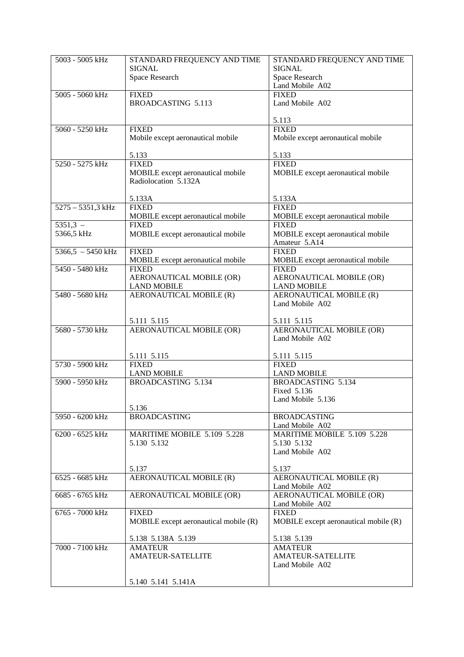| 5003 - 5005 kHz     | STANDARD FREQUENCY AND TIME             | STANDARD FREQUENCY AND TIME             |
|---------------------|-----------------------------------------|-----------------------------------------|
|                     | <b>SIGNAL</b>                           | <b>SIGNAL</b>                           |
|                     | Space Research                          | <b>Space Research</b>                   |
|                     |                                         | Land Mobile A02                         |
| 5005 - 5060 kHz     | <b>FIXED</b>                            | <b>FIXED</b>                            |
|                     | BROADCASTING 5.113                      | Land Mobile A02                         |
|                     |                                         |                                         |
|                     |                                         | 5.113                                   |
| 5060 - 5250 kHz     | <b>FIXED</b>                            | <b>FIXED</b>                            |
|                     | Mobile except aeronautical mobile       | Mobile except aeronautical mobile       |
|                     |                                         |                                         |
|                     | 5.133                                   | 5.133                                   |
| 5250 - 5275 kHz     | <b>FIXED</b>                            | <b>FIXED</b>                            |
|                     | MOBILE except aeronautical mobile       | MOBILE except aeronautical mobile       |
|                     | Radiolocation 5.132A                    |                                         |
|                     |                                         |                                         |
|                     | 5.133A                                  | 5.133A                                  |
| $5275 - 5351,3$ kHz | <b>FIXED</b>                            | <b>FIXED</b>                            |
|                     | MOBILE except aeronautical mobile       | MOBILE except aeronautical mobile       |
| $5351,3 -$          | <b>FIXED</b>                            | <b>FIXED</b>                            |
| 5366,5 kHz          | MOBILE except aeronautical mobile       | MOBILE except aeronautical mobile       |
|                     |                                         | Amateur 5.A14                           |
| $5366.5 - 5450$ kHz | <b>FIXED</b>                            | <b>FIXED</b>                            |
|                     | MOBILE except aeronautical mobile       | MOBILE except aeronautical mobile       |
| 5450 - 5480 kHz     | <b>FIXED</b>                            | <b>FIXED</b>                            |
|                     | AERONAUTICAL MOBILE (OR)                | AERONAUTICAL MOBILE (OR)                |
|                     | <b>LAND MOBILE</b>                      | <b>LAND MOBILE</b>                      |
| 5480 - 5680 kHz     | <b>AERONAUTICAL MOBILE (R)</b>          | AERONAUTICAL MOBILE (R)                 |
|                     |                                         | Land Mobile A02                         |
|                     |                                         |                                         |
| 5680 - 5730 kHz     | 5.111 5.115<br>AERONAUTICAL MOBILE (OR) | 5.111 5.115<br>AERONAUTICAL MOBILE (OR) |
|                     |                                         | Land Mobile A02                         |
|                     |                                         |                                         |
|                     | 5.111 5.115                             | 5.111 5.115                             |
| 5730 - 5900 kHz     | <b>FIXED</b>                            | <b>FIXED</b>                            |
|                     | <b>LAND MOBILE</b>                      | <b>LAND MOBILE</b>                      |
| 5900 - 5950 kHz     | BROADCASTING 5.134                      | BROADCASTING 5.134                      |
|                     |                                         | Fixed 5.136                             |
|                     |                                         | Land Mobile 5.136                       |
|                     | 5.136                                   |                                         |
| 5950 - 6200 kHz     | <b>BROADCASTING</b>                     | <b>BROADCASTING</b>                     |
|                     |                                         | Land Mobile A02                         |
| 6200 - 6525 kHz     | MARITIME MOBILE 5.109 5.228             | MARITIME MOBILE 5.109 5.228             |
|                     | 5.130 5.132                             | 5.130 5.132                             |
|                     |                                         | Land Mobile A02                         |
|                     |                                         |                                         |
|                     | 5.137                                   | 5.137                                   |
| 6525 - 6685 kHz     | AERONAUTICAL MOBILE (R)                 | AERONAUTICAL MOBILE (R)                 |
|                     |                                         | Land Mobile A02                         |
| 6685 - 6765 kHz     | AERONAUTICAL MOBILE (OR)                | AERONAUTICAL MOBILE (OR)                |
|                     |                                         | Land Mobile A02                         |
| 6765 - 7000 kHz     | <b>FIXED</b>                            | <b>FIXED</b>                            |
|                     | MOBILE except aeronautical mobile (R)   | MOBILE except aeronautical mobile (R)   |
|                     | 5.138 5.138A 5.139                      | 5.138 5.139                             |
| 7000 - 7100 kHz     | <b>AMATEUR</b>                          | <b>AMATEUR</b>                          |
|                     | <b>AMATEUR-SATELLITE</b>                | <b>AMATEUR-SATELLITE</b>                |
|                     |                                         | Land Mobile A02                         |
|                     |                                         |                                         |
|                     | 5.140 5.141 5.141A                      |                                         |
|                     |                                         |                                         |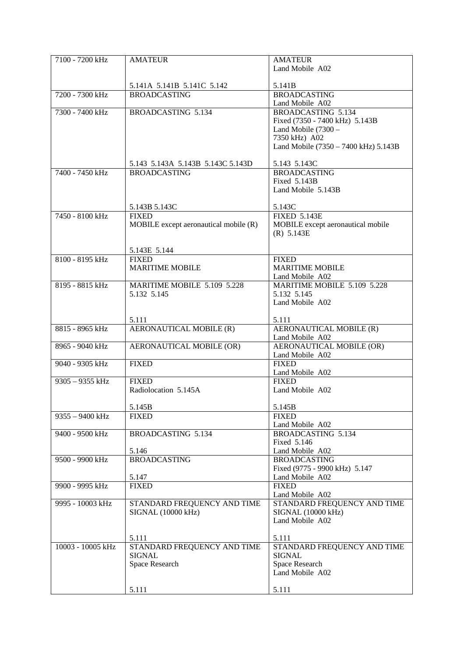| 7100 - 7200 kHz   | <b>AMATEUR</b>                                    | <b>AMATEUR</b>                       |
|-------------------|---------------------------------------------------|--------------------------------------|
|                   |                                                   | Land Mobile A02                      |
|                   |                                                   |                                      |
|                   |                                                   | 5.141B                               |
| 7200 - 7300 kHz   | 5.141A 5.141B 5.141C 5.142<br><b>BROADCASTING</b> | <b>BROADCASTING</b>                  |
|                   |                                                   |                                      |
|                   |                                                   | Land Mobile A02                      |
| 7300 - 7400 kHz   | <b>BROADCASTING 5.134</b>                         | <b>BROADCASTING 5.134</b>            |
|                   |                                                   | Fixed (7350 - 7400 kHz) 5.143B       |
|                   |                                                   | Land Mobile (7300 -                  |
|                   |                                                   | 7350 kHz) A02                        |
|                   |                                                   | Land Mobile (7350 - 7400 kHz) 5.143B |
|                   |                                                   |                                      |
|                   | 5.143 5.143A 5.143B 5.143C 5.143D                 | 5.143 5.143C                         |
| 7400 - 7450 kHz   | <b>BROADCASTING</b>                               | <b>BROADCASTING</b>                  |
|                   |                                                   | Fixed 5.143B                         |
|                   |                                                   | Land Mobile 5.143B                   |
|                   |                                                   |                                      |
|                   | 5.143B 5.143C                                     | 5.143C                               |
| 7450 - 8100 kHz   | <b>FIXED</b>                                      | <b>FIXED 5.143E</b>                  |
|                   | MOBILE except aeronautical mobile (R)             | MOBILE except aeronautical mobile    |
|                   |                                                   | (R) 5.143E                           |
|                   |                                                   |                                      |
|                   |                                                   |                                      |
| 8100 - 8195 kHz   | 5.143E 5.144                                      |                                      |
|                   | <b>FIXED</b>                                      | <b>FIXED</b>                         |
|                   | <b>MARITIME MOBILE</b>                            | <b>MARITIME MOBILE</b>               |
|                   |                                                   | Land Mobile A02                      |
| 8195 - 8815 kHz   | MARITIME MOBILE 5.109 5.228                       | MARITIME MOBILE 5.109 5.228          |
|                   | 5.132 5.145                                       | 5.132 5.145                          |
|                   |                                                   | Land Mobile A02                      |
|                   |                                                   |                                      |
|                   | 5.111                                             | 5.111                                |
| 8815 - 8965 kHz   | AERONAUTICAL MOBILE (R)                           | <b>AERONAUTICAL MOBILE (R)</b>       |
|                   |                                                   | Land Mobile A02                      |
| 8965 - 9040 kHz   | AERONAUTICAL MOBILE (OR)                          | <b>AERONAUTICAL MOBILE (OR)</b>      |
|                   |                                                   | Land Mobile A02                      |
| 9040 - 9305 kHz   | <b>FIXED</b>                                      | <b>FIXED</b>                         |
|                   |                                                   | Land Mobile A02                      |
| 9305 - 9355 kHz   | <b>FIXED</b>                                      | <b>FIXED</b>                         |
|                   | Radiolocation 5.145A                              | Land Mobile A02                      |
|                   |                                                   |                                      |
|                   |                                                   |                                      |
|                   | 5.145B                                            | 5.145B                               |
| $9355 - 9400$ kHz | <b>FIXED</b>                                      | <b>FIXED</b>                         |
|                   |                                                   | Land Mobile A02                      |
| 9400 - 9500 kHz   | <b>BROADCASTING 5.134</b>                         | <b>BROADCASTING 5.134</b>            |
|                   |                                                   | Fixed 5.146                          |
|                   | 5.146                                             | Land Mobile A02                      |
| 9500 - 9900 kHz   | <b>BROADCASTING</b>                               | <b>BROADCASTING</b>                  |
|                   |                                                   | Fixed (9775 - 9900 kHz) 5.147        |
|                   | 5.147                                             | Land Mobile A02                      |
| 9900 - 9995 kHz   | <b>FIXED</b>                                      | <b>FIXED</b>                         |
|                   |                                                   | Land Mobile A02                      |
| 9995 - 10003 kHz  | STANDARD FREQUENCY AND TIME                       | STANDARD FREQUENCY AND TIME          |
|                   | <b>SIGNAL (10000 kHz)</b>                         | SIGNAL (10000 kHz)                   |
|                   |                                                   | Land Mobile A02                      |
|                   |                                                   |                                      |
|                   | 5.111                                             | 5.111                                |
| 10003 - 10005 kHz | STANDARD FREQUENCY AND TIME                       |                                      |
|                   |                                                   | STANDARD FREQUENCY AND TIME          |
|                   | <b>SIGNAL</b>                                     | <b>SIGNAL</b>                        |
|                   | Space Research                                    | Space Research                       |
|                   |                                                   | Land Mobile A02                      |
|                   |                                                   |                                      |
|                   | 5.111                                             | 5.111                                |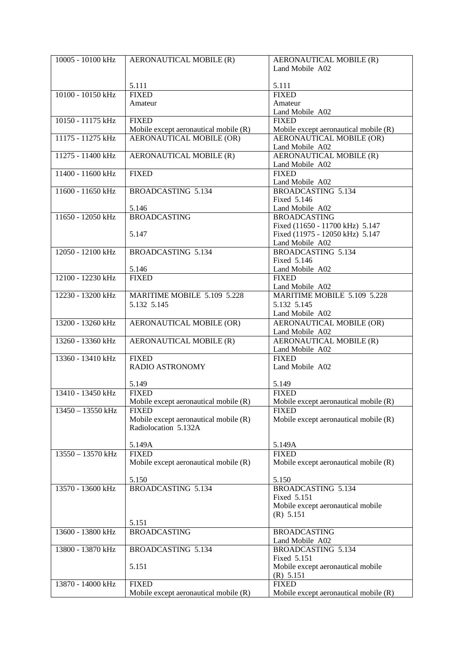| 10005 - 10100 kHz | AERONAUTICAL MOBILE (R)                               | AERONAUTICAL MOBILE (R)               |
|-------------------|-------------------------------------------------------|---------------------------------------|
|                   |                                                       | Land Mobile A02                       |
|                   |                                                       |                                       |
|                   | 5.111                                                 | 5.111                                 |
| 10100 - 10150 kHz | <b>FIXED</b>                                          | <b>FIXED</b>                          |
|                   | Amateur                                               | Amateur                               |
|                   |                                                       | Land Mobile A02                       |
| 10150 - 11175 kHz | <b>FIXED</b>                                          | <b>FIXED</b>                          |
|                   | Mobile except aeronautical mobile (R)                 | Mobile except aeronautical mobile (R) |
| 11175 - 11275 kHz | <b>AERONAUTICAL MOBILE (OR)</b>                       | AERONAUTICAL MOBILE (OR)              |
|                   |                                                       | Land Mobile A02                       |
| 11275 - 11400 kHz | AERONAUTICAL MOBILE (R)                               | AERONAUTICAL MOBILE (R)               |
|                   |                                                       | Land Mobile A02                       |
| 11400 - 11600 kHz | <b>FIXED</b>                                          | <b>FIXED</b>                          |
|                   |                                                       | Land Mobile A02                       |
| 11600 - 11650 kHz | BROADCASTING 5.134                                    | <b>BROADCASTING 5.134</b>             |
|                   |                                                       | Fixed 5.146                           |
|                   | 5.146                                                 | Land Mobile A02                       |
| 11650 - 12050 kHz | <b>BROADCASTING</b>                                   | <b>BROADCASTING</b>                   |
|                   |                                                       | Fixed (11650 - 11700 kHz) 5.147       |
|                   | 5.147                                                 | Fixed (11975 - 12050 kHz) 5.147       |
|                   |                                                       | Land Mobile A02                       |
| 12050 - 12100 kHz | BROADCASTING 5.134                                    | BROADCASTING 5.134                    |
|                   |                                                       | Fixed 5.146                           |
|                   | 5.146                                                 | Land Mobile A02                       |
| 12100 - 12230 kHz | <b>FIXED</b>                                          | <b>FIXED</b>                          |
|                   |                                                       | Land Mobile A02                       |
| 12230 - 13200 kHz | MARITIME MOBILE 5.109 5.228                           | MARITIME MOBILE 5.109 5.228           |
|                   | 5.132 5.145                                           | 5.132 5.145                           |
|                   |                                                       | Land Mobile A02                       |
| 13200 - 13260 kHz | AERONAUTICAL MOBILE (OR)                              | <b>AERONAUTICAL MOBILE (OR)</b>       |
|                   |                                                       | Land Mobile A02                       |
| 13260 - 13360 kHz | AERONAUTICAL MOBILE (R)                               | AERONAUTICAL MOBILE (R)               |
|                   |                                                       | Land Mobile A02                       |
| 13360 - 13410 kHz | <b>FIXED</b>                                          | <b>FIXED</b>                          |
|                   | <b>RADIO ASTRONOMY</b>                                | Land Mobile A02                       |
|                   |                                                       |                                       |
|                   | 5.149                                                 | 5.149                                 |
| 13410 - 13450 kHz | <b>FIXED</b>                                          | <b>FIXED</b>                          |
|                   | Mobile except aeronautical mobile (R)                 | Mobile except aeronautical mobile (R) |
| 13450 - 13550 kHz | <b>FIXED</b>                                          | <b>FIXED</b>                          |
|                   | Mobile except aeronautical mobile (R)                 | Mobile except aeronautical mobile (R) |
|                   | Radiolocation 5.132A                                  |                                       |
|                   |                                                       |                                       |
|                   | 5.149A                                                | 5.149A<br><b>FIXED</b>                |
| 13550 - 13570 kHz | <b>FIXED</b><br>Mobile except aeronautical mobile (R) |                                       |
|                   |                                                       | Mobile except aeronautical mobile (R) |
|                   | 5.150                                                 | 5.150                                 |
| 13570 - 13600 kHz | <b>BROADCASTING 5.134</b>                             | BROADCASTING 5.134                    |
|                   |                                                       | Fixed 5.151                           |
|                   |                                                       | Mobile except aeronautical mobile     |
|                   |                                                       | (R) 5.151                             |
|                   | 5.151                                                 |                                       |
| 13600 - 13800 kHz | <b>BROADCASTING</b>                                   | <b>BROADCASTING</b>                   |
|                   |                                                       | Land Mobile A02                       |
| 13800 - 13870 kHz | BROADCASTING 5.134                                    | <b>BROADCASTING 5.134</b>             |
|                   |                                                       | Fixed 5.151                           |
|                   | 5.151                                                 | Mobile except aeronautical mobile     |
|                   |                                                       | (R) 5.151                             |
| 13870 - 14000 kHz | <b>FIXED</b>                                          | <b>FIXED</b>                          |
|                   | Mobile except aeronautical mobile (R)                 | Mobile except aeronautical mobile (R) |
|                   |                                                       |                                       |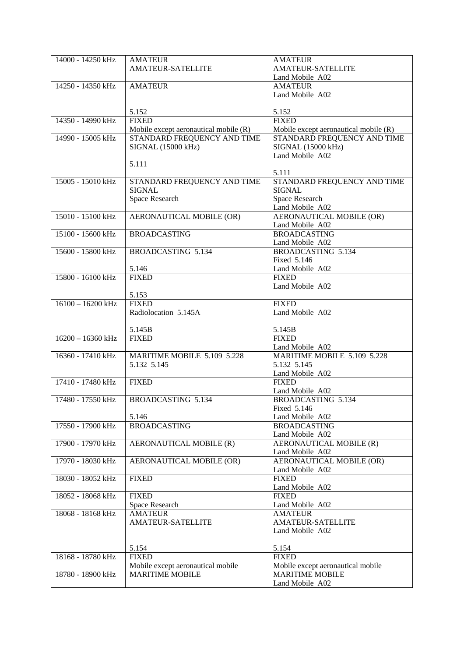| 14000 - 14250 kHz   | <b>AMATEUR</b>                        | <b>AMATEUR</b>                            |
|---------------------|---------------------------------------|-------------------------------------------|
|                     |                                       |                                           |
|                     | <b>AMATEUR-SATELLITE</b>              | <b>AMATEUR-SATELLITE</b>                  |
|                     |                                       | Land Mobile A02                           |
|                     |                                       |                                           |
| 14250 - 14350 kHz   | <b>AMATEUR</b>                        | <b>AMATEUR</b>                            |
|                     |                                       | Land Mobile A02                           |
|                     |                                       |                                           |
|                     |                                       |                                           |
|                     | 5.152                                 | 5.152                                     |
| 14350 - 14990 kHz   | <b>FIXED</b>                          | <b>FIXED</b>                              |
|                     |                                       |                                           |
|                     | Mobile except aeronautical mobile (R) | Mobile except aeronautical mobile (R)     |
| 14990 - 15005 kHz   | STANDARD FREQUENCY AND TIME           | STANDARD FREQUENCY AND TIME               |
|                     | SIGNAL (15000 kHz)                    | SIGNAL (15000 kHz)                        |
|                     |                                       |                                           |
|                     |                                       | Land Mobile A02                           |
|                     | 5.111                                 |                                           |
|                     |                                       | 5.111                                     |
|                     |                                       |                                           |
| 15005 - 15010 kHz   | STANDARD FREQUENCY AND TIME           | STANDARD FREQUENCY AND TIME               |
|                     | <b>SIGNAL</b>                         | <b>SIGNAL</b>                             |
|                     | Space Research                        | Space Research                            |
|                     |                                       |                                           |
|                     |                                       | Land Mobile A02                           |
| 15010 - 15100 kHz   | AERONAUTICAL MOBILE (OR)              | <b>AERONAUTICAL MOBILE (OR)</b>           |
|                     |                                       |                                           |
|                     |                                       | Land Mobile A02                           |
| 15100 - 15600 kHz   | <b>BROADCASTING</b>                   | <b>BROADCASTING</b>                       |
|                     |                                       | Land Mobile A02                           |
|                     |                                       |                                           |
| 15600 - 15800 kHz   | <b>BROADCASTING 5.134</b>             | BROADCASTING 5.134                        |
|                     |                                       | Fixed 5.146                               |
|                     | 5.146                                 | Land Mobile A02                           |
|                     |                                       |                                           |
| 15800 - 16100 kHz   | <b>FIXED</b>                          | <b>FIXED</b>                              |
|                     |                                       | Land Mobile A02                           |
|                     | 5.153                                 |                                           |
|                     |                                       |                                           |
| $16100 - 16200$ kHz | <b>FIXED</b>                          | <b>FIXED</b>                              |
|                     | Radiolocation 5.145A                  | Land Mobile A02                           |
|                     |                                       |                                           |
|                     |                                       |                                           |
|                     |                                       |                                           |
|                     | 5.145B                                | 5.145B                                    |
|                     |                                       |                                           |
| $16200 - 16360$ kHz | <b>FIXED</b>                          | <b>FIXED</b>                              |
|                     |                                       | Land Mobile A02                           |
| 16360 - 17410 kHz   | MARITIME MOBILE 5.109 5.228           | MARITIME MOBILE 5.109 5.228               |
|                     |                                       |                                           |
|                     | 5.132 5.145                           | 5.132 5.145                               |
|                     |                                       | Land Mobile A02                           |
| 17410 - 17480 kHz   | <b>FIXED</b>                          | <b>FIXED</b>                              |
|                     |                                       |                                           |
|                     |                                       | Land Mobile A02                           |
| 17480 - 17550 kHz   | BROADCASTING 5.134                    | <b>BROADCASTING 5.134</b>                 |
|                     |                                       | Fixed 5.146                               |
|                     |                                       |                                           |
|                     | 5.146                                 | Land Mobile A02                           |
| 17550 - 17900 kHz   | <b>BROADCASTING</b>                   | <b>BROADCASTING</b>                       |
|                     |                                       | Land Mobile A02                           |
|                     |                                       |                                           |
| 17900 - 17970 kHz   | AERONAUTICAL MOBILE (R)               | AERONAUTICAL MOBILE (R)                   |
|                     |                                       | Land Mobile A02                           |
|                     |                                       |                                           |
| 17970 - 18030 kHz   | AERONAUTICAL MOBILE (OR)              | <b>AERONAUTICAL MOBILE (OR)</b>           |
|                     |                                       | Land Mobile A02                           |
| 18030 - 18052 kHz   | <b>FIXED</b>                          | <b>FIXED</b>                              |
|                     |                                       |                                           |
|                     |                                       | Land Mobile A02                           |
| 18052 - 18068 kHz   | <b>FIXED</b>                          | <b>FIXED</b>                              |
|                     | Space Research                        | Land Mobile A02                           |
|                     |                                       |                                           |
| 18068 - 18168 kHz   | <b>AMATEUR</b>                        | <b>AMATEUR</b>                            |
|                     | AMATEUR-SATELLITE                     | <b>AMATEUR-SATELLITE</b>                  |
|                     |                                       | Land Mobile A02                           |
|                     |                                       |                                           |
|                     |                                       |                                           |
|                     | 5.154                                 | 5.154                                     |
| 18168 - 18780 kHz   | <b>FIXED</b>                          | <b>FIXED</b>                              |
|                     |                                       |                                           |
|                     | Mobile except aeronautical mobile     | Mobile except aeronautical mobile         |
| 18780 - 18900 kHz   | <b>MARITIME MOBILE</b>                | <b>MARITIME MOBILE</b><br>Land Mobile A02 |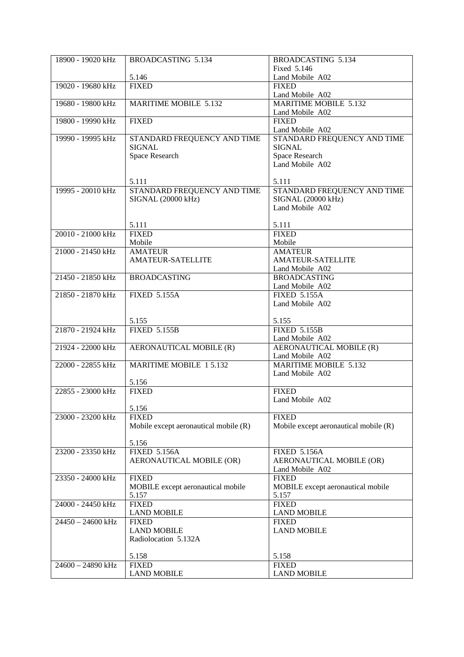| 18900 - 19020 kHz | <b>BROADCASTING 5.134</b>             | <b>BROADCASTING 5.134</b>             |
|-------------------|---------------------------------------|---------------------------------------|
|                   |                                       | Fixed 5.146                           |
|                   | 5.146                                 | Land Mobile A02                       |
| 19020 - 19680 kHz | <b>FIXED</b>                          | <b>FIXED</b>                          |
|                   |                                       | Land Mobile A02                       |
| 19680 - 19800 kHz | <b>MARITIME MOBILE 5.132</b>          | <b>MARITIME MOBILE 5.132</b>          |
|                   |                                       | Land Mobile A02                       |
| 19800 - 19990 kHz | <b>FIXED</b>                          | <b>FIXED</b>                          |
|                   |                                       |                                       |
|                   |                                       | Land Mobile A02                       |
| 19990 - 19995 kHz | STANDARD FREQUENCY AND TIME           | STANDARD FREQUENCY AND TIME           |
|                   | <b>SIGNAL</b>                         | <b>SIGNAL</b>                         |
|                   | Space Research                        | Space Research                        |
|                   |                                       | Land Mobile A02                       |
|                   |                                       |                                       |
|                   | 5.111                                 | 5.111                                 |
| 19995 - 20010 kHz | STANDARD FREQUENCY AND TIME           | STANDARD FREQUENCY AND TIME           |
|                   | SIGNAL (20000 kHz)                    | SIGNAL (20000 kHz)                    |
|                   |                                       | Land Mobile A02                       |
|                   |                                       |                                       |
|                   | 5.111                                 | 5.111                                 |
| 20010 - 21000 kHz | <b>FIXED</b>                          | <b>FIXED</b>                          |
|                   | Mobile                                | Mobile                                |
| 21000 - 21450 kHz | <b>AMATEUR</b>                        | <b>AMATEUR</b>                        |
|                   | <b>AMATEUR-SATELLITE</b>              | <b>AMATEUR-SATELLITE</b>              |
|                   |                                       | Land Mobile A02                       |
| 21450 - 21850 kHz | <b>BROADCASTING</b>                   | <b>BROADCASTING</b>                   |
|                   |                                       | Land Mobile A02                       |
| 21850 - 21870 kHz | <b>FIXED 5.155A</b>                   | <b>FIXED 5.155A</b>                   |
|                   |                                       | Land Mobile A02                       |
|                   |                                       |                                       |
|                   | 5.155                                 | 5.155                                 |
| 21870 - 21924 kHz | <b>FIXED 5.155B</b>                   | <b>FIXED 5.155B</b>                   |
|                   |                                       | Land Mobile A02                       |
| 21924 - 22000 kHz | AERONAUTICAL MOBILE (R)               | <b>AERONAUTICAL MOBILE (R)</b>        |
|                   |                                       | Land Mobile A02                       |
|                   |                                       | <b>MARITIME MOBILE 5.132</b>          |
| 22000 - 22855 kHz | <b>MARITIME MOBILE 15.132</b>         |                                       |
|                   |                                       | Land Mobile A02                       |
|                   | 5.156                                 |                                       |
| 22855 - 23000 kHz | <b>FIXED</b>                          | <b>FIXED</b>                          |
|                   |                                       | Land Mobile A02                       |
|                   | 5.156                                 |                                       |
| 23000 - 23200 kHz | <b>FIXED</b>                          | <b>FIXED</b>                          |
|                   | Mobile except aeronautical mobile (R) | Mobile except aeronautical mobile (R) |
|                   |                                       |                                       |
|                   | 5.156                                 |                                       |
| 23200 - 23350 kHz | <b>FIXED 5.156A</b>                   | <b>FIXED 5.156A</b>                   |
|                   | AERONAUTICAL MOBILE (OR)              | AERONAUTICAL MOBILE (OR)              |
|                   |                                       | Land Mobile A02                       |
| 23350 - 24000 kHz | <b>FIXED</b>                          | <b>FIXED</b>                          |
|                   | MOBILE except aeronautical mobile     | MOBILE except aeronautical mobile     |
|                   | 5.157                                 | 5.157                                 |
| 24000 - 24450 kHz | <b>FIXED</b>                          | <b>FIXED</b>                          |
|                   | <b>LAND MOBILE</b>                    | <b>LAND MOBILE</b>                    |
| 24450 - 24600 kHz | <b>FIXED</b>                          | <b>FIXED</b>                          |
|                   | <b>LAND MOBILE</b>                    | <b>LAND MOBILE</b>                    |
|                   | Radiolocation 5.132A                  |                                       |
|                   |                                       |                                       |
|                   | 5.158                                 | 5.158                                 |
| 24600 - 24890 kHz | <b>FIXED</b>                          | <b>FIXED</b>                          |
|                   | <b>LAND MOBILE</b>                    | <b>LAND MOBILE</b>                    |
|                   |                                       |                                       |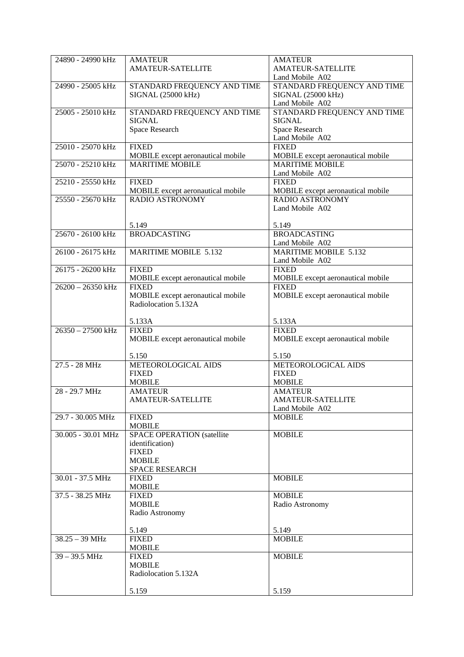| 24890 - 24990 kHz   | <b>AMATEUR</b>                    | <b>AMATEUR</b>                    |
|---------------------|-----------------------------------|-----------------------------------|
|                     | <b>AMATEUR-SATELLITE</b>          | <b>AMATEUR-SATELLITE</b>          |
|                     |                                   | Land Mobile A02                   |
| 24990 - 25005 kHz   | STANDARD FREQUENCY AND TIME       | STANDARD FREQUENCY AND TIME       |
|                     | SIGNAL (25000 kHz)                | SIGNAL (25000 kHz)                |
|                     |                                   | Land Mobile A02                   |
| 25005 - 25010 kHz   | STANDARD FREQUENCY AND TIME       | STANDARD FREQUENCY AND TIME       |
|                     | <b>SIGNAL</b>                     | <b>SIGNAL</b>                     |
|                     | Space Research                    | Space Research                    |
| 25010 - 25070 kHz   | <b>FIXED</b>                      | Land Mobile A02<br><b>FIXED</b>   |
|                     | MOBILE except aeronautical mobile | MOBILE except aeronautical mobile |
| 25070 - 25210 kHz   | <b>MARITIME MOBILE</b>            | <b>MARITIME MOBILE</b>            |
|                     |                                   | Land Mobile A02                   |
| 25210 - 25550 kHz   | <b>FIXED</b>                      | <b>FIXED</b>                      |
|                     | MOBILE except aeronautical mobile | MOBILE except aeronautical mobile |
| 25550 - 25670 kHz   | <b>RADIO ASTRONOMY</b>            | <b>RADIO ASTRONOMY</b>            |
|                     |                                   | Land Mobile A02                   |
|                     |                                   |                                   |
|                     | 5.149                             | 5.149                             |
| 25670 - 26100 kHz   | <b>BROADCASTING</b>               | <b>BROADCASTING</b>               |
|                     |                                   | Land Mobile A02                   |
| 26100 - 26175 kHz   | <b>MARITIME MOBILE 5.132</b>      | <b>MARITIME MOBILE 5.132</b>      |
|                     |                                   | Land Mobile A02                   |
| 26175 - 26200 kHz   | <b>FIXED</b>                      | <b>FIXED</b>                      |
|                     | MOBILE except aeronautical mobile | MOBILE except aeronautical mobile |
| $26200 - 26350$ kHz | <b>FIXED</b>                      | <b>FIXED</b>                      |
|                     | MOBILE except aeronautical mobile | MOBILE except aeronautical mobile |
|                     | Radiolocation 5.132A              |                                   |
|                     |                                   |                                   |
| $26350 - 27500$ kHz | 5.133A<br><b>FIXED</b>            | 5.133A<br><b>FIXED</b>            |
|                     | MOBILE except aeronautical mobile | MOBILE except aeronautical mobile |
|                     |                                   |                                   |
|                     | 5.150                             | 5.150                             |
| $27.5 - 28 MHz$     | METEOROLOGICAL AIDS               | METEOROLOGICAL AIDS               |
|                     | <b>FIXED</b>                      | <b>FIXED</b>                      |
|                     | <b>MOBILE</b>                     | <b>MOBILE</b>                     |
| 28 - 29.7 MHz       | <b>AMATEUR</b>                    | <b>AMATEUR</b>                    |
|                     | <b>AMATEUR-SATELLITE</b>          | <b>AMATEUR-SATELLITE</b>          |
|                     |                                   | Land Mobile A02                   |
| 29.7 - 30.005 MHz   | <b>FIXED</b>                      | <b>MOBILE</b>                     |
|                     | <b>MOBILE</b>                     |                                   |
| 30.005 - 30.01 MHz  | <b>SPACE OPERATION (satellite</b> | <b>MOBILE</b>                     |
|                     | identification)                   |                                   |
|                     | <b>FIXED</b>                      |                                   |
|                     | <b>MOBILE</b>                     |                                   |
|                     | SPACE RESEARCH                    |                                   |
| 30.01 - 37.5 MHz    | <b>FIXED</b><br><b>MOBILE</b>     | <b>MOBILE</b>                     |
| 37.5 - 38.25 MHz    | <b>FIXED</b>                      | <b>MOBILE</b>                     |
|                     | <b>MOBILE</b>                     | Radio Astronomy                   |
|                     | Radio Astronomy                   |                                   |
|                     |                                   |                                   |
|                     | 5.149                             | 5.149                             |
| $38.25 - 39$ MHz    | <b>FIXED</b>                      | <b>MOBILE</b>                     |
|                     | <b>MOBILE</b>                     |                                   |
| $39 - 39.5$ MHz     | <b>FIXED</b>                      | <b>MOBILE</b>                     |
|                     | <b>MOBILE</b>                     |                                   |
|                     | Radiolocation 5.132A              |                                   |
|                     |                                   |                                   |
|                     | 5.159                             | 5.159                             |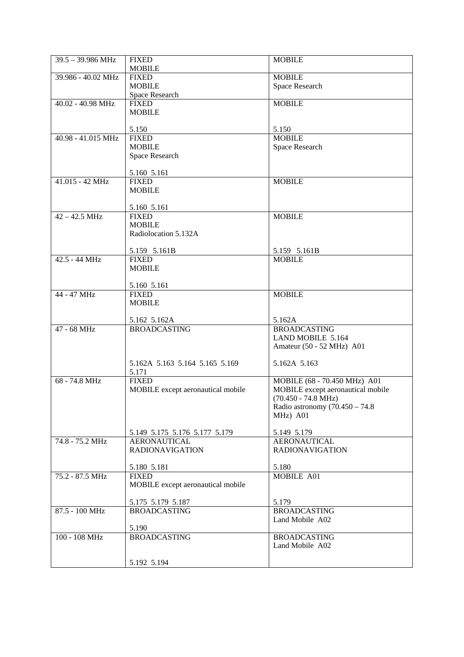| $39.5 - 39.986 \text{ MHz}$ | <b>FIXED</b>                                         | <b>MOBILE</b>                      |
|-----------------------------|------------------------------------------------------|------------------------------------|
|                             | <b>MOBILE</b>                                        |                                    |
| 39.986 - 40.02 MHz          | <b>FIXED</b>                                         | <b>MOBILE</b>                      |
|                             | <b>MOBILE</b>                                        | Space Research                     |
|                             | Space Research                                       |                                    |
| $40.02 - 40.98$ MHz         | <b>FIXED</b>                                         | <b>MOBILE</b>                      |
|                             | <b>MOBILE</b>                                        |                                    |
|                             | 5.150                                                | 5.150                              |
| 40.98 - 41.015 MHz          | <b>FIXED</b>                                         | <b>MOBILE</b>                      |
|                             | <b>MOBILE</b>                                        | Space Research                     |
|                             | Space Research                                       |                                    |
|                             |                                                      |                                    |
|                             | 5.160 5.161                                          |                                    |
| 41.015 - 42 MHz             | <b>FIXED</b>                                         | <b>MOBILE</b>                      |
|                             | <b>MOBILE</b>                                        |                                    |
|                             |                                                      |                                    |
|                             | 5.160 5.161                                          |                                    |
| $42 - 42.5$ MHz             | <b>FIXED</b>                                         | <b>MOBILE</b>                      |
|                             | <b>MOBILE</b>                                        |                                    |
|                             | Radiolocation 5.132A                                 |                                    |
|                             | 5.159 5.161B                                         | 5.159 5.161B                       |
| $42.5 - 44 MHz$             | <b>FIXED</b>                                         | <b>MOBILE</b>                      |
|                             | <b>MOBILE</b>                                        |                                    |
|                             |                                                      |                                    |
|                             | 5.160 5.161                                          |                                    |
| 44 - 47 MHz                 | <b>FIXED</b>                                         | <b>MOBILE</b>                      |
|                             | <b>MOBILE</b>                                        |                                    |
|                             |                                                      |                                    |
|                             | 5.162 5.162A                                         | 5.162A                             |
| $47 - 68$ MHz               | <b>BROADCASTING</b>                                  | <b>BROADCASTING</b>                |
|                             |                                                      | LAND MOBILE 5.164                  |
|                             |                                                      | Amateur (50 - 52 MHz) A01          |
|                             | 5.162A 5.163 5.164 5.165 5.169                       | 5.162A 5.163                       |
|                             | 5.171                                                |                                    |
| 68 - 74.8 MHz               | <b>FIXED</b>                                         | MOBILE (68 - 70.450 MHz) A01       |
|                             | MOBILE except aeronautical mobile                    | MOBILE except aeronautical mobile  |
|                             |                                                      | $(70.450 - 74.8 \text{ MHz})$      |
|                             |                                                      | Radio astronomy (70.450 - 74.8)    |
|                             |                                                      | MHz) A01                           |
|                             |                                                      |                                    |
| 74.8 - 75.2 MHz             | 5.149 5.175 5.176 5.177 5.179<br><b>AERONAUTICAL</b> | 5.149 5.179<br><b>AERONAUTICAL</b> |
|                             | <b>RADIONAVIGATION</b>                               | <b>RADIONAVIGATION</b>             |
|                             |                                                      |                                    |
|                             | 5.180 5.181                                          | 5.180                              |
| 75.2 - 87.5 MHz             |                                                      |                                    |
|                             | <b>FIXED</b>                                         | MOBILE A01                         |
|                             | MOBILE except aeronautical mobile                    |                                    |
|                             |                                                      |                                    |
|                             | 5.175 5.179 5.187                                    | 5.179                              |
| $87.5 - 100 \text{ MHz}$    | <b>BROADCASTING</b>                                  | <b>BROADCASTING</b>                |
|                             |                                                      | Land Mobile A02                    |
|                             | 5.190                                                |                                    |
| 100 - 108 MHz               | <b>BROADCASTING</b>                                  | <b>BROADCASTING</b>                |
|                             |                                                      | Land Mobile A02                    |
|                             | 5.192 5.194                                          |                                    |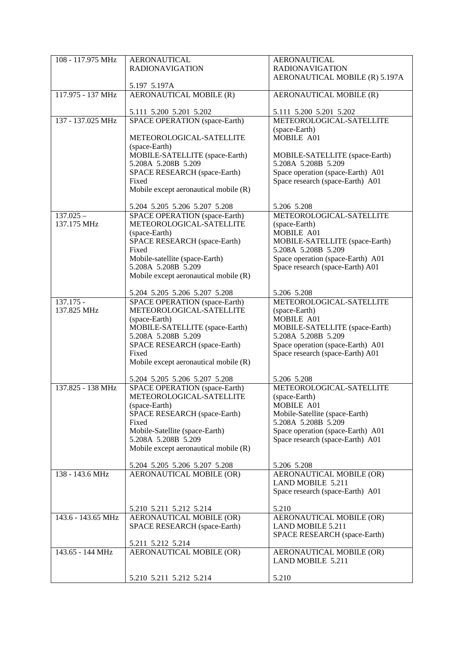| 108 - 117.975 MHz          | <b>AERONAUTICAL</b>                                              | <b>AERONAUTICAL</b>                                                   |
|----------------------------|------------------------------------------------------------------|-----------------------------------------------------------------------|
|                            | <b>RADIONAVIGATION</b>                                           | <b>RADIONAVIGATION</b><br>AERONAUTICAL MOBILE (R) 5.197A              |
|                            | 5.197 5.197A                                                     |                                                                       |
| 117.975 - 137 MHz          | AERONAUTICAL MOBILE (R)                                          | AERONAUTICAL MOBILE (R)                                               |
|                            | 5.111 5.200 5.201 5.202                                          | 5.111 5.200 5.201 5.202                                               |
| 137 - 137.025 MHz          | <b>SPACE OPERATION</b> (space-Earth)                             | METEOROLOGICAL-SATELLITE                                              |
|                            | METEOROLOGICAL-SATELLITE                                         | (space-Earth)<br>MOBILE A01                                           |
|                            | (space-Earth)                                                    |                                                                       |
|                            | MOBILE-SATELLITE (space-Earth)<br>5.208A 5.208B 5.209            | MOBILE-SATELLITE (space-Earth)<br>5.208A 5.208B 5.209                 |
|                            | SPACE RESEARCH (space-Earth)                                     | Space operation (space-Earth) A01                                     |
|                            | Fixed                                                            | Space research (space-Earth) A01                                      |
|                            | Mobile except aeronautical mobile (R)                            |                                                                       |
|                            | 5.204 5.205 5.206 5.207 5.208                                    | 5.206 5.208                                                           |
| $137.025 -$<br>137.175 MHz | <b>SPACE OPERATION</b> (space-Earth)<br>METEOROLOGICAL-SATELLITE | METEOROLOGICAL-SATELLITE<br>(space-Earth)                             |
|                            | (space-Earth)                                                    | MOBILE A01                                                            |
|                            | SPACE RESEARCH (space-Earth)                                     | MOBILE-SATELLITE (space-Earth)                                        |
|                            | Fixed<br>Mobile-satellite (space-Earth)                          | 5.208A 5.208B 5.209<br>Space operation (space-Earth) A01              |
|                            | 5.208A 5.208B 5.209                                              | Space research (space-Earth) A01                                      |
|                            | Mobile except aeronautical mobile (R)                            |                                                                       |
|                            | 5.204 5.205 5.206 5.207 5.208                                    | 5.206 5.208                                                           |
| 137.175 -                  | SPACE OPERATION (space-Earth)                                    | METEOROLOGICAL-SATELLITE                                              |
| 137.825 MHz                | METEOROLOGICAL-SATELLITE<br>(space-Earth)                        | (space-Earth)<br>MOBILE A01                                           |
|                            | MOBILE-SATELLITE (space-Earth)                                   | MOBILE-SATELLITE (space-Earth)                                        |
|                            | 5.208A 5.208B 5.209<br>SPACE RESEARCH (space-Earth)              | 5.208A 5.208B 5.209<br>Space operation (space-Earth) A01              |
|                            | Fixed                                                            | Space research (space-Earth) A01                                      |
|                            | Mobile except aeronautical mobile (R)                            |                                                                       |
|                            | 5.204 5.205 5.206 5.207 5.208                                    | 5.206 5.208                                                           |
| 137.825 - 138 MHz          | SPACE OPERATION (space-Earth)                                    | METEOROLOGICAL-SATELLITE                                              |
|                            | METEOROLOGICAL-SATELLITE<br>(space-Earth)                        | (space-Earth)<br>MOBILE A01                                           |
|                            | SPACE RESEARCH (space-Earth)                                     | Mobile-Satellite (space-Earth)                                        |
|                            | Fixed                                                            | 5.208A 5.208B 5.209                                                   |
|                            | Mobile-Satellite (space-Earth)<br>5.208A 5.208B 5.209            | Space operation (space-Earth) A01<br>Space research (space-Earth) A01 |
|                            | Mobile except aeronautical mobile (R)                            |                                                                       |
|                            | 5.204 5.205 5.206 5.207 5.208                                    | 5.206 5.208                                                           |
| 138 - 143.6 MHz            | <b>AERONAUTICAL MOBILE (OR)</b>                                  | <b>AERONAUTICAL MOBILE (OR)</b><br>LAND MOBILE 5.211                  |
|                            |                                                                  | Space research (space-Earth) A01                                      |
|                            |                                                                  |                                                                       |
| 143.6 - 143.65 MHz         | 5.210 5.211 5.212 5.214<br>AERONAUTICAL MOBILE (OR)              | 5.210<br>AERONAUTICAL MOBILE (OR)                                     |
|                            | SPACE RESEARCH (space-Earth)                                     | <b>LAND MOBILE 5.211</b>                                              |
|                            | 5.211 5.212 5.214                                                | SPACE RESEARCH (space-Earth)                                          |
| 143.65 - 144 MHz           | AERONAUTICAL MOBILE (OR)                                         | AERONAUTICAL MOBILE (OR)                                              |
|                            |                                                                  | <b>LAND MOBILE 5.211</b>                                              |
|                            | 5.210 5.211 5.212 5.214                                          | 5.210                                                                 |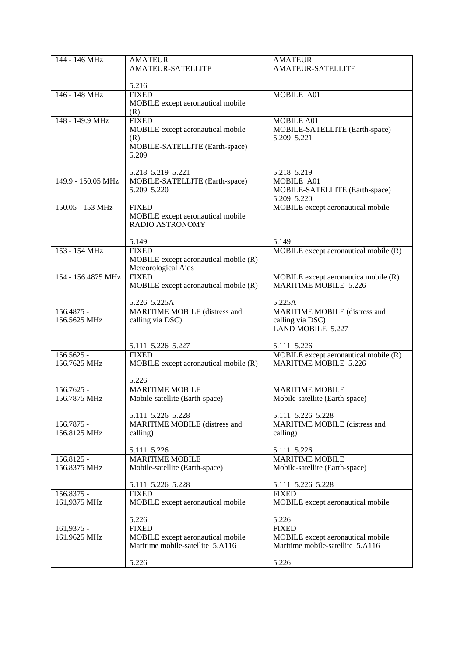| 144 - 146 MHz      | <b>AMATEUR</b><br><b>AMATEUR-SATELLITE</b>           | <b>AMATEUR</b><br><b>AMATEUR-SATELLITE</b>       |
|--------------------|------------------------------------------------------|--------------------------------------------------|
|                    |                                                      |                                                  |
|                    | 5.216                                                |                                                  |
| 146 - 148 MHz      | <b>FIXED</b><br>MOBILE except aeronautical mobile    | MOBILE A01                                       |
|                    | (R)                                                  |                                                  |
| 148 - 149.9 MHz    | <b>FIXED</b>                                         | MOBILE A01                                       |
|                    | MOBILE except aeronautical mobile<br>(R)             | MOBILE-SATELLITE (Earth-space)<br>5.209 5.221    |
|                    | MOBILE-SATELLITE (Earth-space)                       |                                                  |
|                    | 5.209                                                |                                                  |
|                    | 5.218 5.219 5.221                                    | 5.218 5.219                                      |
| 149.9 - 150.05 MHz | MOBILE-SATELLITE (Earth-space)                       | MOBILE A01                                       |
|                    | 5.209 5.220                                          | MOBILE-SATELLITE (Earth-space)                   |
| 150.05 - 153 MHz   | <b>FIXED</b>                                         | 5.209 5.220<br>MOBILE except aeronautical mobile |
|                    | MOBILE except aeronautical mobile                    |                                                  |
|                    | RADIO ASTRONOMY                                      |                                                  |
|                    | 5.149                                                | 5.149                                            |
| 153 - 154 MHz      | <b>FIXED</b>                                         | MOBILE except aeronautical mobile (R)            |
|                    | MOBILE except aeronautical mobile (R)                |                                                  |
| 154 - 156,4875 MHz | Meteorological Aids<br><b>FIXED</b>                  | MOBILE except aeronautica mobile (R)             |
|                    | MOBILE except aeronautical mobile (R)                | <b>MARITIME MOBILE 5.226</b>                     |
|                    |                                                      |                                                  |
| 156.4875 -         | 5.226 5.225A<br><b>MARITIME MOBILE (distress and</b> | 5.225A<br>MARITIME MOBILE (distress and          |
| 156.5625 MHz       | calling via DSC)                                     | calling via DSC)                                 |
|                    |                                                      | <b>LAND MOBILE 5.227</b>                         |
|                    | 5.111 5.226 5.227                                    | 5.111 5.226                                      |
| $156.5625 -$       | <b>FIXED</b>                                         | MOBILE except aeronautical mobile (R)            |
| 156.7625 MHz       | MOBILE except aeronautical mobile (R)                | <b>MARITIME MOBILE 5.226</b>                     |
|                    | 5.226                                                |                                                  |
| 156.7625 -         | <b>MARITIME MOBILE</b>                               | <b>MARITIME MOBILE</b>                           |
| 156.7875 MHz       | Mobile-satellite (Earth-space)                       | Mobile-satellite (Earth-space)                   |
|                    | 5.111 5.226 5.228                                    | 5.111 5.226 5.228                                |
| 156.7875 -         | MARITIME MOBILE (distress and                        | MARITIME MOBILE (distress and                    |
| 156.8125 MHz       | calling)                                             | calling)                                         |
|                    | 5.111 5.226                                          | 5.111 5.226                                      |
| 156.8125 -         | <b>MARITIME MOBILE</b>                               | <b>MARITIME MOBILE</b>                           |
| 156.8375 MHz       | Mobile-satellite (Earth-space)                       | Mobile-satellite (Earth-space)                   |
|                    | 5.111 5.226 5.228                                    | 5.111 5.226 5.228                                |
| 156.8375 -         | <b>FIXED</b>                                         | <b>FIXED</b>                                     |
| 161,9375 MHz       | MOBILE except aeronautical mobile                    | MOBILE except aeronautical mobile                |
|                    | 5.226                                                | 5.226                                            |
| 161,9375 -         | <b>FIXED</b>                                         | <b>FIXED</b>                                     |
| 161.9625 MHz       | MOBILE except aeronautical mobile                    | MOBILE except aeronautical mobile                |
|                    | Maritime mobile-satellite 5.A116                     | Maritime mobile-satellite 5.A116                 |
|                    | 5.226                                                | 5.226                                            |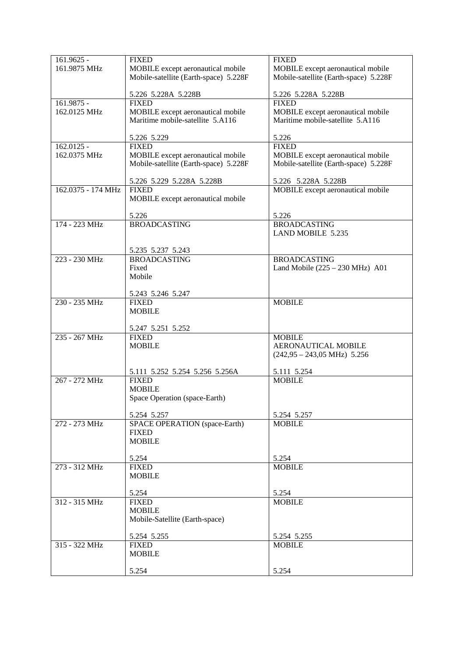| 161.9625 -         | <b>FIXED</b>                          | <b>FIXED</b>                          |
|--------------------|---------------------------------------|---------------------------------------|
| 161.9875 MHz       | MOBILE except aeronautical mobile     | MOBILE except aeronautical mobile     |
|                    | Mobile-satellite (Earth-space) 5.228F | Mobile-satellite (Earth-space) 5.228F |
|                    |                                       |                                       |
|                    |                                       |                                       |
|                    | 5.226 5.228A 5.228B                   | 5.226 5.228A 5.228B                   |
| $161.9875 -$       | <b>FIXED</b>                          | <b>FIXED</b>                          |
| 162.0125 MHz       | MOBILE except aeronautical mobile     | MOBILE except aeronautical mobile     |
|                    | Maritime mobile-satellite 5.A116      | Maritime mobile-satellite 5.A116      |
|                    |                                       |                                       |
|                    |                                       |                                       |
|                    | 5.226 5.229                           | 5.226                                 |
| 162.0125 -         | <b>FIXED</b>                          | <b>FIXED</b>                          |
| 162.0375 MHz       | MOBILE except aeronautical mobile     | MOBILE except aeronautical mobile     |
|                    | Mobile-satellite (Earth-space) 5.228F | Mobile-satellite (Earth-space) 5.228F |
|                    |                                       |                                       |
|                    |                                       |                                       |
|                    | 5.226 5.229 5.228A 5.228B             | 5.226 5.228A 5.228B                   |
| 162.0375 - 174 MHz | <b>FIXED</b>                          | MOBILE except aeronautical mobile     |
|                    | MOBILE except aeronautical mobile     |                                       |
|                    |                                       |                                       |
|                    | 5.226                                 | 5.226                                 |
|                    |                                       |                                       |
| 174 - 223 MHz      | <b>BROADCASTING</b>                   | <b>BROADCASTING</b>                   |
|                    |                                       | <b>LAND MOBILE 5.235</b>              |
|                    |                                       |                                       |
|                    | 5.235 5.237 5.243                     |                                       |
| 223 - 230 MHz      | <b>BROADCASTING</b>                   | <b>BROADCASTING</b>                   |
|                    |                                       |                                       |
|                    | Fixed                                 | Land Mobile $(225 - 230$ MHz) A01     |
|                    | Mobile                                |                                       |
|                    |                                       |                                       |
|                    | 5.243 5.246 5.247                     |                                       |
| 230 - 235 MHz      | <b>FIXED</b>                          | <b>MOBILE</b>                         |
|                    |                                       |                                       |
|                    | <b>MOBILE</b>                         |                                       |
|                    |                                       |                                       |
|                    | 5.247 5.251 5.252                     |                                       |
| 235 - 267 MHz      | <b>FIXED</b>                          | <b>MOBILE</b>                         |
|                    | <b>MOBILE</b>                         | <b>AERONAUTICAL MOBILE</b>            |
|                    |                                       |                                       |
|                    |                                       | $(242,95 - 243,05 \text{ MHz})$ 5.256 |
|                    |                                       |                                       |
|                    | 5.111 5.252 5.254 5.256 5.256A        | 5.111 5.254                           |
| 267 - 272 MHz      | <b>FIXED</b>                          | <b>MOBILE</b>                         |
|                    | <b>MOBILE</b>                         |                                       |
|                    |                                       |                                       |
|                    | Space Operation (space-Earth)         |                                       |
|                    |                                       |                                       |
|                    | 5.254 5.257                           | 5.254 5.257                           |
| 272 - 273 MHz      | <b>SPACE OPERATION</b> (space-Earth)  | <b>MOBILE</b>                         |
|                    | <b>FIXED</b>                          |                                       |
|                    | <b>MOBILE</b>                         |                                       |
|                    |                                       |                                       |
|                    |                                       |                                       |
|                    | 5.254                                 | 5.254                                 |
| 273 - 312 MHz      | <b>FIXED</b>                          | <b>MOBILE</b>                         |
|                    | <b>MOBILE</b>                         |                                       |
|                    |                                       |                                       |
|                    | 5.254                                 | 5.254                                 |
|                    |                                       |                                       |
| 312 - 315 MHz      | <b>FIXED</b>                          | <b>MOBILE</b>                         |
|                    | <b>MOBILE</b>                         |                                       |
|                    | Mobile-Satellite (Earth-space)        |                                       |
|                    |                                       |                                       |
|                    | 5.254 5.255                           | 5.254 5.255                           |
|                    |                                       |                                       |
| 315 - 322 MHz      | <b>FIXED</b>                          | <b>MOBILE</b>                         |
|                    | <b>MOBILE</b>                         |                                       |
|                    |                                       |                                       |
|                    | 5.254                                 | 5.254                                 |
|                    |                                       |                                       |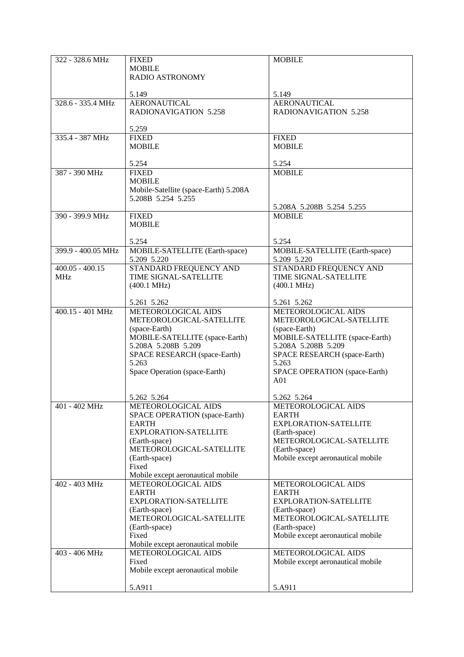| 322 - 328.6 MHz    | <b>FIXED</b>                              | <b>MOBILE</b>                             |
|--------------------|-------------------------------------------|-------------------------------------------|
|                    | <b>MOBILE</b>                             |                                           |
|                    | RADIO ASTRONOMY                           |                                           |
|                    |                                           |                                           |
|                    | 5.149                                     | 5.149                                     |
| 328.6 - 335.4 MHz  | <b>AERONAUTICAL</b>                       | <b>AERONAUTICAL</b>                       |
|                    | <b>RADIONAVIGATION 5.258</b>              | <b>RADIONAVIGATION 5.258</b>              |
|                    |                                           |                                           |
|                    | 5.259                                     |                                           |
| 335.4 - 387 MHz    | <b>FIXED</b>                              | <b>FIXED</b>                              |
|                    | <b>MOBILE</b>                             | <b>MOBILE</b>                             |
|                    |                                           |                                           |
|                    | 5.254                                     | 5.254                                     |
| 387 - 390 MHz      | <b>FIXED</b>                              | <b>MOBILE</b>                             |
|                    | <b>MOBILE</b>                             |                                           |
|                    | Mobile-Satellite (space-Earth) 5.208A     |                                           |
|                    | 5.208B 5.254 5.255                        |                                           |
|                    |                                           | 5.208A 5.208B 5.254 5.255                 |
| 390 - 399.9 MHz    | <b>FIXED</b>                              | <b>MOBILE</b>                             |
|                    | <b>MOBILE</b>                             |                                           |
|                    |                                           |                                           |
|                    | 5.254                                     | 5.254                                     |
| 399.9 - 400.05 MHz | MOBILE-SATELLITE (Earth-space)            | MOBILE-SATELLITE (Earth-space)            |
|                    | 5.209 5.220                               | 5.209 5.220                               |
| $400.05 - 400.15$  | STANDARD FREQUENCY AND                    | STANDARD FREQUENCY AND                    |
| <b>MHz</b>         | TIME SIGNAL-SATELLITE                     | <b>TIME SIGNAL-SATELLITE</b>              |
|                    | $(400.1 \text{ MHz})$                     | $(400.1 \text{ MHz})$                     |
|                    |                                           |                                           |
|                    | 5.261 5.262                               | 5.261 5.262                               |
| 400.15 - 401 MHz   | METEOROLOGICAL AIDS                       | METEOROLOGICAL AIDS                       |
|                    | METEOROLOGICAL-SATELLITE                  | METEOROLOGICAL-SATELLITE                  |
|                    | (space-Earth)                             | (space-Earth)                             |
|                    | MOBILE-SATELLITE (space-Earth)            | MOBILE-SATELLITE (space-Earth)            |
|                    | 5.208A 5.208B 5.209                       | 5.208A 5.208B 5.209                       |
|                    | SPACE RESEARCH (space-Earth)              | SPACE RESEARCH (space-Earth)              |
|                    | 5.263                                     | 5.263                                     |
|                    | Space Operation (space-Earth)             | SPACE OPERATION (space-Earth)             |
|                    |                                           | A <sub>01</sub>                           |
|                    |                                           |                                           |
|                    | 5.262 5.264                               | 5.262 5.264                               |
| 401 - 402 MHz      | METEOROLOGICAL AIDS                       | METEOROLOGICAL AIDS                       |
|                    | SPACE OPERATION (space-Earth)             | <b>EARTH</b>                              |
|                    | <b>EARTH</b>                              | EXPLORATION-SATELLITE                     |
|                    | EXPLORATION-SATELLITE                     | (Earth-space)                             |
|                    | (Earth-space)                             | METEOROLOGICAL-SATELLITE                  |
|                    | METEOROLOGICAL-SATELLITE                  | (Earth-space)                             |
|                    | (Earth-space)                             | Mobile except aeronautical mobile         |
|                    | Fixed                                     |                                           |
|                    | Mobile except aeronautical mobile         |                                           |
| 402 - 403 MHz      | METEOROLOGICAL AIDS                       | METEOROLOGICAL AIDS                       |
|                    | <b>EARTH</b>                              | <b>EARTH</b>                              |
|                    | EXPLORATION-SATELLITE                     | EXPLORATION-SATELLITE                     |
|                    | (Earth-space)<br>METEOROLOGICAL-SATELLITE | (Earth-space)<br>METEOROLOGICAL-SATELLITE |
|                    |                                           | (Earth-space)                             |
|                    | (Earth-space)<br>Fixed                    |                                           |
|                    | Mobile except aeronautical mobile         | Mobile except aeronautical mobile         |
| 403 - 406 MHz      | METEOROLOGICAL AIDS                       | METEOROLOGICAL AIDS                       |
|                    | Fixed                                     | Mobile except aeronautical mobile         |
|                    | Mobile except aeronautical mobile         |                                           |
|                    |                                           |                                           |
|                    | 5.A911                                    | 5.A911                                    |
|                    |                                           |                                           |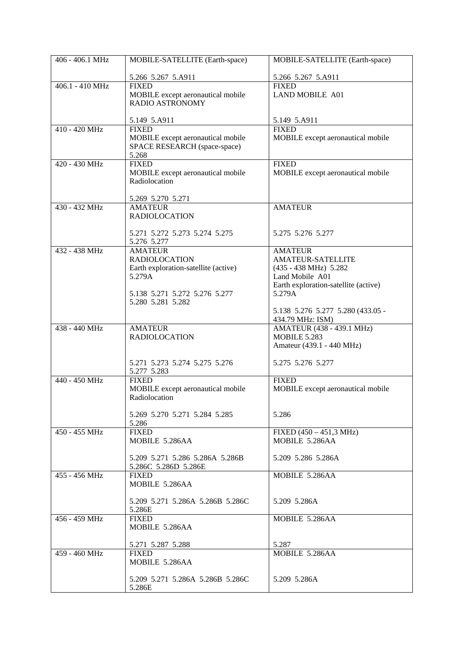| 406 - 406.1 MHz   | MOBILE-SATELLITE (Earth-space)                                                                                            | MOBILE-SATELLITE (Earth-space)                                                                                                                     |
|-------------------|---------------------------------------------------------------------------------------------------------------------------|----------------------------------------------------------------------------------------------------------------------------------------------------|
|                   | 5.266 5.267 5.A911                                                                                                        | 5.266 5.267 5.A911                                                                                                                                 |
| $406.1 - 410 MHz$ | <b>FIXED</b><br>MOBILE except aeronautical mobile<br><b>RADIO ASTRONOMY</b>                                               | <b>FIXED</b><br><b>LAND MOBILE A01</b>                                                                                                             |
|                   | 5.149 5.A911                                                                                                              | 5.149 5.A911                                                                                                                                       |
| 410 - 420 MHz     | <b>FIXED</b><br>MOBILE except aeronautical mobile<br>SPACE RESEARCH (space-space)<br>5.268                                | <b>FIXED</b><br>MOBILE except aeronautical mobile                                                                                                  |
| 420 - 430 MHz     | <b>FIXED</b><br>MOBILE except aeronautical mobile<br>Radiolocation                                                        | <b>FIXED</b><br>MOBILE except aeronautical mobile                                                                                                  |
|                   | 5.269 5.270 5.271                                                                                                         |                                                                                                                                                    |
| 430 - 432 MHz     | <b>AMATEUR</b><br><b>RADIOLOCATION</b>                                                                                    | <b>AMATEUR</b>                                                                                                                                     |
|                   | 5.271 5.272 5.273 5.274 5.275<br>5.276 5.277                                                                              | 5.275 5.276 5.277                                                                                                                                  |
| 432 - 438 MHz     | <b>AMATEUR</b><br><b>RADIOLOCATION</b><br>Earth exploration-satellite (active)<br>5.279A<br>5.138 5.271 5.272 5.276 5.277 | <b>AMATEUR</b><br><b>AMATEUR-SATELLITE</b><br>$(435 - 438 \text{ MHz})$ 5.282<br>Land Mobile A01<br>Earth exploration-satellite (active)<br>5.279A |
|                   | 5.280 5.281 5.282                                                                                                         | 5.138 5.276 5.277 5.280 (433.05 -<br>434.79 MHz: ISM)                                                                                              |
| 438 - 440 MHz     | <b>AMATEUR</b><br><b>RADIOLOCATION</b>                                                                                    | AMATEUR (438 - 439.1 MHz)<br><b>MOBILE 5.283</b><br>Amateur (439.1 - 440 MHz)                                                                      |
|                   | 5.271 5.273 5.274 5.275 5.276<br>5.277 5.283                                                                              | 5.275 5.276 5.277                                                                                                                                  |
| 440 - 450 MHz     | <b>FIXED</b><br>MOBILE except aeronautical mobile<br>Radiolocation                                                        | <b>FIXED</b><br>MOBILE except aeronautical mobile                                                                                                  |
|                   | 5.269 5.270 5.271 5.284 5.285<br>5.286                                                                                    | 5.286                                                                                                                                              |
| $450 - 455$ MHz   | <b>FIXED</b><br>MOBILE 5.286AA                                                                                            | $FIXED (450 - 451, 3 MHz)$<br>MOBILE 5.286AA                                                                                                       |
|                   | 5.209 5.271 5.286 5.286A 5.286B<br>5.286C 5.286D 5.286E                                                                   | 5.209 5.286 5.286A                                                                                                                                 |
| 455 - 456 MHz     | <b>FIXED</b><br>MOBILE 5.286AA                                                                                            | MOBILE 5.286AA                                                                                                                                     |
|                   | 5.209 5.271 5.286A 5.286B 5.286C<br>5.286E                                                                                | 5.209 5.286A                                                                                                                                       |
| 456 - 459 MHz     | <b>FIXED</b><br>MOBILE 5.286AA                                                                                            | MOBILE 5.286AA                                                                                                                                     |
|                   | 5.271 5.287 5.288                                                                                                         | 5.287                                                                                                                                              |
| 459 - 460 MHz     | <b>FIXED</b><br>MOBILE 5.286AA                                                                                            | MOBILE 5.286AA                                                                                                                                     |
|                   | 5.209 5.271 5.286A 5.286B 5.286C<br>5.286E                                                                                | 5.209 5.286A                                                                                                                                       |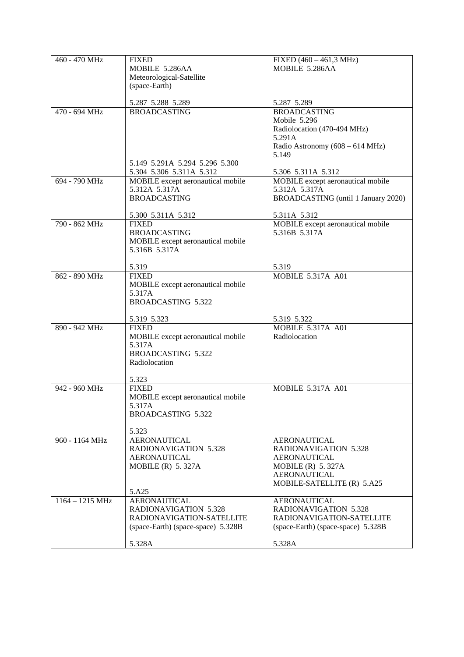| 460 - 470 MHz             | <b>FIXED</b>                                       | $FIXED (460 - 461, 3 MHz)$          |
|---------------------------|----------------------------------------------------|-------------------------------------|
|                           | MOBILE 5.286AA                                     | MOBILE 5.286AA                      |
|                           | Meteorological-Satellite                           |                                     |
|                           | (space-Earth)                                      |                                     |
|                           |                                                    |                                     |
|                           | 5.287 5.288 5.289                                  | 5.287 5.289                         |
| 470 - 694 MHz             | <b>BROADCASTING</b>                                | <b>BROADCASTING</b>                 |
|                           |                                                    | Mobile 5.296                        |
|                           |                                                    | Radiolocation (470-494 MHz)         |
|                           |                                                    | 5.291A                              |
|                           |                                                    | Radio Astronomy (608 – 614 MHz)     |
|                           |                                                    | 5.149                               |
|                           | 5.149 5.291A 5.294 5.296 5.300                     |                                     |
|                           | 5.304 5.306 5.311A 5.312                           | 5.306 5.311A 5.312                  |
| 694 - 790 MHz             | MOBILE except aeronautical mobile                  | MOBILE except aeronautical mobile   |
|                           | 5.312A 5.317A                                      | 5.312A 5.317A                       |
|                           | <b>BROADCASTING</b>                                | BROADCASTING (until 1 January 2020) |
|                           |                                                    |                                     |
|                           | 5.300 5.311A 5.312                                 | 5.311A 5.312                        |
| 790 - 862 MHz             | <b>FIXED</b>                                       | MOBILE except aeronautical mobile   |
|                           | <b>BROADCASTING</b>                                | 5.316B 5.317A                       |
|                           | MOBILE except aeronautical mobile<br>5.316B 5.317A |                                     |
|                           |                                                    |                                     |
|                           | 5.319                                              | 5.319                               |
| 862 - 890 MHz             | <b>FIXED</b>                                       | <b>MOBILE 5.317A A01</b>            |
|                           | MOBILE except aeronautical mobile                  |                                     |
|                           | 5.317A                                             |                                     |
|                           | <b>BROADCASTING 5.322</b>                          |                                     |
|                           |                                                    |                                     |
|                           | 5.319 5.323                                        | 5.319 5.322                         |
| 890 - 942 MHz             | <b>FIXED</b>                                       | <b>MOBILE 5.317A A01</b>            |
|                           | MOBILE except aeronautical mobile                  | Radiolocation                       |
|                           | 5.317A                                             |                                     |
|                           | <b>BROADCASTING 5.322</b>                          |                                     |
|                           | Radiolocation                                      |                                     |
|                           |                                                    |                                     |
| 942 - 960 MHz             | 5.323<br><b>FIXED</b>                              | <b>MOBILE 5.317A A01</b>            |
|                           | MOBILE except aeronautical mobile                  |                                     |
|                           | 5.317A                                             |                                     |
|                           | <b>BROADCASTING 5.322</b>                          |                                     |
|                           |                                                    |                                     |
|                           | 5.323                                              |                                     |
| 960 - 1164 MHz            | <b>AERONAUTICAL</b>                                | <b>AERONAUTICAL</b>                 |
|                           | <b>RADIONAVIGATION 5.328</b>                       | RADIONAVIGATION 5.328               |
|                           | <b>AERONAUTICAL</b>                                | <b>AERONAUTICAL</b>                 |
|                           | MOBILE $(R)$ 5.327A                                | MOBILE $(R)$ 5.327A                 |
|                           |                                                    | <b>AERONAUTICAL</b>                 |
|                           |                                                    | MOBILE-SATELLITE (R) 5.A25          |
|                           | 5.A25                                              |                                     |
| $1164 - 1215 \text{ MHz}$ | <b>AERONAUTICAL</b>                                | <b>AERONAUTICAL</b>                 |
|                           | RADIONAVIGATION 5.328                              | <b>RADIONAVIGATION 5.328</b>        |
|                           | RADIONAVIGATION-SATELLITE                          | RADIONAVIGATION-SATELLITE           |
|                           | (space-Earth) (space-space) 5.328B                 | (space-Earth) (space-space) 5.328B  |
|                           |                                                    |                                     |
|                           | 5.328A                                             | 5.328A                              |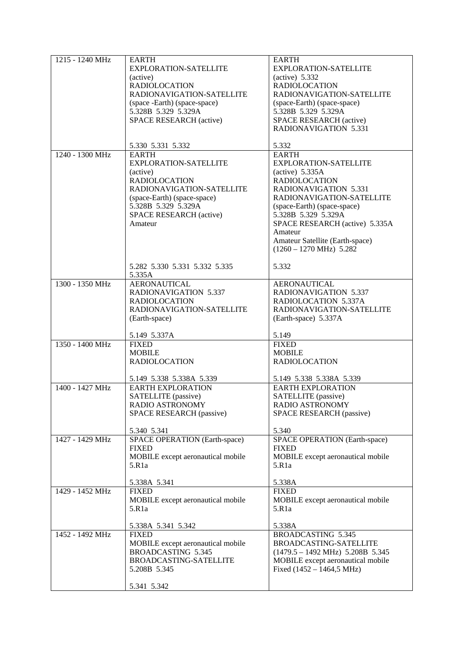| 1215 - 1240 MHz | <b>EARTH</b><br>EXPLORATION-SATELLITE<br>(active)<br><b>RADIOLOCATION</b><br>RADIONAVIGATION-SATELLITE<br>(space-Earth) (space-space)<br>5.328B 5.329 5.329A<br>SPACE RESEARCH (active)          | <b>EARTH</b><br>EXPLORATION-SATELLITE<br>$(active)$ 5.332<br><b>RADIOLOCATION</b><br>RADIONAVIGATION-SATELLITE<br>(space-Earth) (space-space)<br>5.328B 5.329 5.329A<br>SPACE RESEARCH (active)<br><b>RADIONAVIGATION 5.331</b>                                                                                   |
|-----------------|--------------------------------------------------------------------------------------------------------------------------------------------------------------------------------------------------|-------------------------------------------------------------------------------------------------------------------------------------------------------------------------------------------------------------------------------------------------------------------------------------------------------------------|
| 1240 - 1300 MHz | 5.330 5.331 5.332<br><b>EARTH</b>                                                                                                                                                                | 5.332<br><b>EARTH</b>                                                                                                                                                                                                                                                                                             |
|                 | <b>EXPLORATION-SATELLITE</b><br>(active)<br><b>RADIOLOCATION</b><br>RADIONAVIGATION-SATELLITE<br>(space-Earth) (space-space)<br>5.328B 5.329 5.329A<br><b>SPACE RESEARCH (active)</b><br>Amateur | <b>EXPLORATION-SATELLITE</b><br>$(\text{active})$ 5.335A<br><b>RADIOLOCATION</b><br>RADIONAVIGATION 5.331<br>RADIONAVIGATION-SATELLITE<br>(space-Earth) (space-space)<br>5.328B 5.329 5.329A<br>SPACE RESEARCH (active) 5.335A<br>Amateur<br>Amateur Satellite (Earth-space)<br>$(1260 - 1270 \text{ MHz})$ 5.282 |
|                 | 5.282 5.330 5.331 5.332 5.335<br>5.335A                                                                                                                                                          | 5.332                                                                                                                                                                                                                                                                                                             |
| 1300 - 1350 MHz | <b>AERONAUTICAL</b><br><b>RADIONAVIGATION 5.337</b><br><b>RADIOLOCATION</b><br>RADIONAVIGATION-SATELLITE<br>(Earth-space)                                                                        | <b>AERONAUTICAL</b><br><b>RADIONAVIGATION 5.337</b><br>RADIOLOCATION 5.337A<br>RADIONAVIGATION-SATELLITE<br>(Earth-space) 5.337A                                                                                                                                                                                  |
|                 | 5.149 5.337A                                                                                                                                                                                     | 5.149                                                                                                                                                                                                                                                                                                             |
| 1350 - 1400 MHz | <b>FIXED</b><br><b>MOBILE</b><br><b>RADIOLOCATION</b>                                                                                                                                            | <b>FIXED</b><br><b>MOBILE</b><br><b>RADIOLOCATION</b>                                                                                                                                                                                                                                                             |
|                 | 5.149 5.338 5.338A 5.339                                                                                                                                                                         | 5.149 5.338 5.338A 5.339                                                                                                                                                                                                                                                                                          |
| 1400 - 1427 MHz | <b>EARTH EXPLORATION</b><br>SATELLITE (passive)<br>RADIO ASTRONOMY<br>SPACE RESEARCH (passive)                                                                                                   | <b>EARTH EXPLORATION</b><br>SATELLITE (passive)<br>RADIO ASTRONOMY<br>SPACE RESEARCH (passive)                                                                                                                                                                                                                    |
| 1427 - 1429 MHz | 5.340 5.341<br>SPACE OPERATION (Earth-space)                                                                                                                                                     | 5.340<br>SPACE OPERATION (Earth-space)                                                                                                                                                                                                                                                                            |
|                 | <b>FIXED</b><br>MOBILE except aeronautical mobile<br>5.R1a<br>5.338A 5.341                                                                                                                       | <b>FIXED</b><br>MOBILE except aeronautical mobile<br>5.R1a<br>5.338A                                                                                                                                                                                                                                              |
| 1429 - 1452 MHz | <b>FIXED</b><br>MOBILE except aeronautical mobile<br>5.R <sub>1</sub> a<br>5.338A 5.341 5.342                                                                                                    | <b>FIXED</b><br>MOBILE except aeronautical mobile<br>5.R1a<br>5.338A                                                                                                                                                                                                                                              |
| 1452 - 1492 MHz | <b>FIXED</b><br>MOBILE except aeronautical mobile<br><b>BROADCASTING 5.345</b><br>BROADCASTING-SATELLITE<br>5.208B 5.345<br>5.341 5.342                                                          | <b>BROADCASTING 5.345</b><br>BROADCASTING-SATELLITE<br>$(1479.5 - 1492 \text{ MHz})$ 5.208B 5.345<br>MOBILE except aeronautical mobile<br>Fixed $(1452 - 1464, 5 \text{ MHz})$                                                                                                                                    |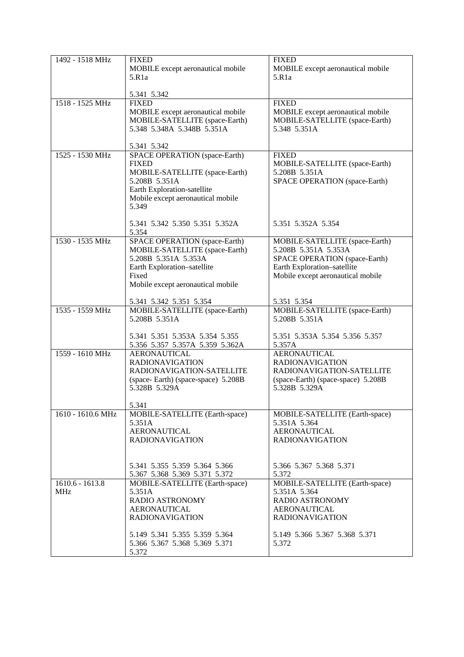| 1492 - 1518 MHz                 | <b>FIXED</b><br>MOBILE except aeronautical mobile                                                                                                                                     | <b>FIXED</b><br>MOBILE except aeronautical mobile                                                                                                                   |
|---------------------------------|---------------------------------------------------------------------------------------------------------------------------------------------------------------------------------------|---------------------------------------------------------------------------------------------------------------------------------------------------------------------|
|                                 | 5.R1a                                                                                                                                                                                 | 5.R1a                                                                                                                                                               |
|                                 | 5.341 5.342                                                                                                                                                                           |                                                                                                                                                                     |
| 1518 - 1525 MHz                 | <b>FIXED</b><br>MOBILE except aeronautical mobile<br>MOBILE-SATELLITE (space-Earth)<br>5.348 5.348A 5.348B 5.351A                                                                     | <b>FIXED</b><br>MOBILE except aeronautical mobile<br>MOBILE-SATELLITE (space-Earth)<br>5.348 5.351A                                                                 |
|                                 | 5.341 5.342                                                                                                                                                                           |                                                                                                                                                                     |
| 1525 - 1530 MHz                 | SPACE OPERATION (space-Earth)<br><b>FIXED</b><br>MOBILE-SATELLITE (space-Earth)<br>5.208B 5.351A<br>Earth Exploration-satellite<br>Mobile except aeronautical mobile<br>5.349         | <b>FIXED</b><br>MOBILE-SATELLITE (space-Earth)<br>5.208B 5.351A<br>SPACE OPERATION (space-Earth)                                                                    |
|                                 | 5.341 5.342 5.350 5.351 5.352A<br>5.354                                                                                                                                               | 5.351 5.352A 5.354                                                                                                                                                  |
| 1530 - 1535 MHz                 | SPACE OPERATION (space-Earth)<br>MOBILE-SATELLITE (space-Earth)<br>5.208B 5.351A 5.353A<br>Earth Exploration-satellite<br>Fixed<br>Mobile except aeronautical mobile                  | MOBILE-SATELLITE (space-Earth)<br>5.208B 5.351A 5.353A<br>SPACE OPERATION (space-Earth)<br>Earth Exploration-satellite<br>Mobile except aeronautical mobile         |
|                                 | 5.341 5.342 5.351 5.354                                                                                                                                                               | 5.351 5.354                                                                                                                                                         |
| 1535 - 1559 MHz                 | MOBILE-SATELLITE (space-Earth)<br>5.208B 5.351A                                                                                                                                       | MOBILE-SATELLITE (space-Earth)<br>5.208B 5.351A                                                                                                                     |
|                                 | 5.341 5.351 5.353A 5.354 5.355<br>5.356 5.357 5.357A 5.359 5.362A                                                                                                                     | 5.351 5.353A 5.354 5.356 5.357<br>5.357A                                                                                                                            |
| 1559 - 1610 MHz                 | <b>AERONAUTICAL</b><br><b>RADIONAVIGATION</b><br>RADIONAVIGATION-SATELLITE<br>(space-Earth) (space-space) 5.208B<br>5.328B 5.329A<br>5.341                                            | <b>AERONAUTICAL</b><br><b>RADIONAVIGATION</b><br>RADIONAVIGATION-SATELLITE<br>(space-Earth) (space-space) 5.208B<br>5.328B 5.329A                                   |
| 1610 - 1610.6 MHz               | MOBILE-SATELLITE (Earth-space)<br>5.351A<br><b>AERONAUTICAL</b><br><b>RADIONAVIGATION</b><br>5.341 5.355 5.359 5.364 5.366<br>5.367 5.368 5.369 5.371 5.372                           | MOBILE-SATELLITE (Earth-space)<br>5.351A 5.364<br><b>AERONAUTICAL</b><br><b>RADIONAVIGATION</b><br>5.366 5.367 5.368 5.371<br>5.372                                 |
| $1610.6 - 1613.8$<br><b>MHz</b> | MOBILE-SATELLITE (Earth-space)<br>5.351A<br><b>RADIO ASTRONOMY</b><br><b>AERONAUTICAL</b><br><b>RADIONAVIGATION</b><br>5.149 5.341 5.355 5.359 5.364<br>5.366 5.367 5.368 5.369 5.371 | MOBILE-SATELLITE (Earth-space)<br>5.351A 5.364<br><b>RADIO ASTRONOMY</b><br><b>AERONAUTICAL</b><br><b>RADIONAVIGATION</b><br>5.149 5.366 5.367 5.368 5.371<br>5.372 |
|                                 | 5.372                                                                                                                                                                                 |                                                                                                                                                                     |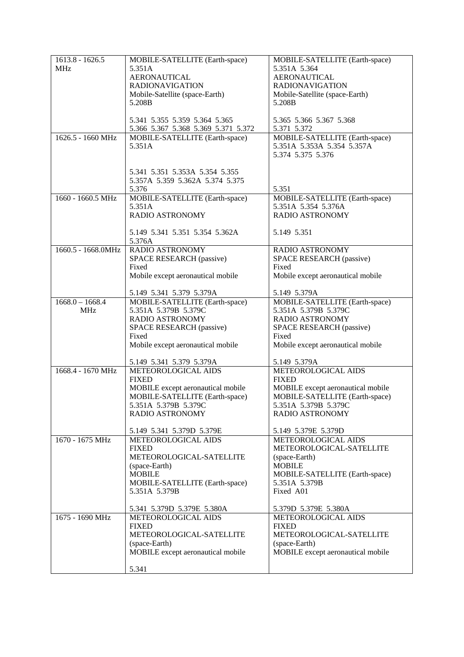| $1613.8 - 1626.5$  | MOBILE-SATELLITE (Earth-space)           | MOBILE-SATELLITE (Earth-space)                        |
|--------------------|------------------------------------------|-------------------------------------------------------|
| <b>MHz</b>         | 5.351A                                   | 5.351A 5.364                                          |
|                    | <b>AERONAUTICAL</b>                      | <b>AERONAUTICAL</b>                                   |
|                    | <b>RADIONAVIGATION</b>                   | <b>RADIONAVIGATION</b>                                |
|                    | Mobile-Satellite (space-Earth)           | Mobile-Satellite (space-Earth)                        |
|                    | 5.208B                                   | 5.208B                                                |
|                    |                                          |                                                       |
|                    | 5.341 5.355 5.359 5.364 5.365            | 5.365 5.366 5.367 5.368                               |
|                    | 5.366 5.367 5.368 5.369 5.371 5.372      | 5.371 5.372                                           |
| 1626.5 - 1660 MHz  | MOBILE-SATELLITE (Earth-space)           | MOBILE-SATELLITE (Earth-space)                        |
|                    | 5.351A                                   | 5.351A 5.353A 5.354 5.357A                            |
|                    |                                          | 5.374 5.375 5.376                                     |
|                    |                                          |                                                       |
|                    | 5.341 5.351 5.353A 5.354 5.355           |                                                       |
|                    | 5.357A 5.359 5.362A 5.374 5.375          |                                                       |
| 1660 - 1660.5 MHz  | 5.376                                    | 5.351                                                 |
|                    | MOBILE-SATELLITE (Earth-space)<br>5.351A | MOBILE-SATELLITE (Earth-space)<br>5.351A 5.354 5.376A |
|                    | RADIO ASTRONOMY                          | <b>RADIO ASTRONOMY</b>                                |
|                    |                                          |                                                       |
|                    | 5.149 5.341 5.351 5.354 5.362A           | 5.149 5.351                                           |
|                    | 5.376A                                   |                                                       |
| 1660.5 - 1668.0MHz | RADIO ASTRONOMY                          | RADIO ASTRONOMY                                       |
|                    | SPACE RESEARCH (passive)                 | <b>SPACE RESEARCH (passive)</b>                       |
|                    | Fixed                                    | Fixed                                                 |
|                    | Mobile except aeronautical mobile        | Mobile except aeronautical mobile                     |
|                    | 5.149 5.341 5.379 5.379A                 | 5.149 5.379A                                          |
| $1668.0 - 1668.4$  | MOBILE-SATELLITE (Earth-space)           | MOBILE-SATELLITE (Earth-space)                        |
| <b>MHz</b>         | 5.351A 5.379B 5.379C                     | 5.351A 5.379B 5.379C                                  |
|                    | RADIO ASTRONOMY                          | <b>RADIO ASTRONOMY</b>                                |
|                    | SPACE RESEARCH (passive)                 | SPACE RESEARCH (passive)                              |
|                    | Fixed                                    | Fixed                                                 |
|                    | Mobile except aeronautical mobile        | Mobile except aeronautical mobile                     |
|                    | 5.149 5.341 5.379 5.379A                 | 5.149 5.379A                                          |
| 1668.4 - 1670 MHz  | METEOROLOGICAL AIDS                      | METEOROLOGICAL AIDS                                   |
|                    | <b>FIXED</b>                             | <b>FIXED</b>                                          |
|                    | MOBILE except aeronautical mobile        | MOBILE except aeronautical mobile                     |
|                    | MOBILE-SATELLITE (Earth-space)           | MOBILE-SATELLITE (Earth-space)                        |
|                    | 5.351A 5.379B 5.379C                     | 5.351A 5.379B 5.379C                                  |
|                    | <b>RADIO ASTRONOMY</b>                   | <b>RADIO ASTRONOMY</b>                                |
|                    | 5.149 5.341 5.379D 5.379E                | 5.149 5.379E 5.379D                                   |
| 1670 - 1675 MHz    | METEOROLOGICAL AIDS                      | METEOROLOGICAL AIDS                                   |
|                    | <b>FIXED</b>                             | METEOROLOGICAL-SATELLITE                              |
|                    | METEOROLOGICAL-SATELLITE                 | (space-Earth)                                         |
|                    | (space-Earth)                            | <b>MOBILE</b>                                         |
|                    | <b>MOBILE</b>                            | MOBILE-SATELLITE (Earth-space)                        |
|                    | MOBILE-SATELLITE (Earth-space)           | 5.351A 5.379B                                         |
|                    | 5.351A 5.379B                            | Fixed A01                                             |
|                    | 5.341 5.379D 5.379E 5.380A               | 5.379D 5.379E 5.380A                                  |
| 1675 - 1690 MHz    | METEOROLOGICAL AIDS                      | METEOROLOGICAL AIDS                                   |
|                    | <b>FIXED</b>                             | <b>FIXED</b>                                          |
|                    | METEOROLOGICAL-SATELLITE                 | METEOROLOGICAL-SATELLITE                              |
|                    | (space-Earth)                            | (space-Earth)                                         |
|                    | MOBILE except aeronautical mobile        | MOBILE except aeronautical mobile                     |
|                    | 5.341                                    |                                                       |
|                    |                                          |                                                       |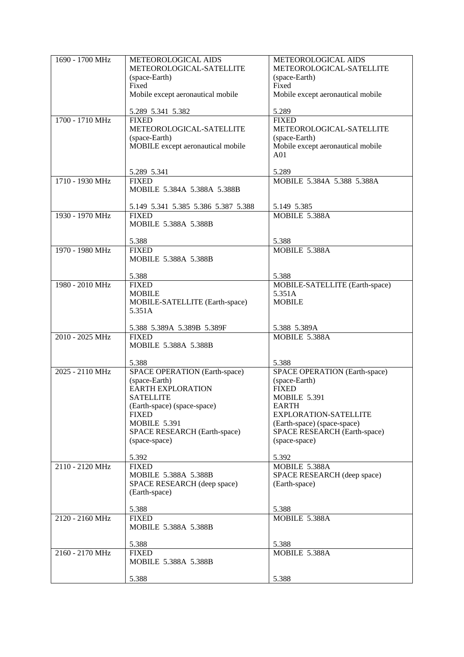| 1690 - 1700 MHz | METEOROLOGICAL AIDS                                 | <b>METEOROLOGICAL AIDS</b>                                  |
|-----------------|-----------------------------------------------------|-------------------------------------------------------------|
|                 | METEOROLOGICAL-SATELLITE                            | METEOROLOGICAL-SATELLITE                                    |
|                 | (space-Earth)                                       | (space-Earth)                                               |
|                 | Fixed<br>Mobile except aeronautical mobile          | Fixed<br>Mobile except aeronautical mobile                  |
|                 |                                                     |                                                             |
|                 | 5.289 5.341 5.382                                   | 5.289                                                       |
| 1700 - 1710 MHz | <b>FIXED</b>                                        | <b>FIXED</b>                                                |
|                 | METEOROLOGICAL-SATELLITE                            | METEOROLOGICAL-SATELLITE                                    |
|                 | (space-Earth)<br>MOBILE except aeronautical mobile  | (space-Earth)<br>Mobile except aeronautical mobile          |
|                 |                                                     | A <sub>01</sub>                                             |
|                 |                                                     |                                                             |
|                 | 5.289 5.341                                         | 5.289                                                       |
| 1710 - 1930 MHz | <b>FIXED</b>                                        | MOBILE 5.384A 5.388 5.388A                                  |
|                 | MOBILE 5.384A 5.388A 5.388B                         |                                                             |
|                 | 5.149 5.341 5.385 5.386 5.387 5.388                 | 5.149 5.385                                                 |
| 1930 - 1970 MHz | <b>FIXED</b>                                        | MOBILE 5.388A                                               |
|                 | MOBILE 5.388A 5.388B                                |                                                             |
|                 | 5.388                                               | 5.388                                                       |
| 1970 - 1980 MHz | <b>FIXED</b>                                        | MOBILE 5.388A                                               |
|                 | MOBILE 5.388A 5.388B                                |                                                             |
|                 |                                                     |                                                             |
| 1980 - 2010 MHz | 5.388<br><b>FIXED</b>                               | 5.388<br>MOBILE-SATELLITE (Earth-space)                     |
|                 | <b>MOBILE</b>                                       | 5.351A                                                      |
|                 | MOBILE-SATELLITE (Earth-space)                      | <b>MOBILE</b>                                               |
|                 | 5.351A                                              |                                                             |
|                 |                                                     |                                                             |
| 2010 - 2025 MHz | 5.388 5.389A 5.389B 5.389F<br><b>FIXED</b>          | 5.388 5.389A<br>MOBILE 5.388A                               |
|                 | MOBILE 5.388A 5.388B                                |                                                             |
|                 |                                                     |                                                             |
|                 | 5.388                                               | 5.388                                                       |
| 2025 - 2110 MHz | SPACE OPERATION (Earth-space)                       | SPACE OPERATION (Earth-space)                               |
|                 | (space-Earth)<br><b>EARTH EXPLORATION</b>           | (space-Earth)<br><b>FIXED</b>                               |
|                 | <b>SATELLITE</b>                                    | <b>MOBILE 5.391</b>                                         |
|                 | (Earth-space) (space-space)                         | EARTH                                                       |
|                 | <b>FIXED</b>                                        | <b>EXPLORATION-SATELLITE</b>                                |
|                 | <b>MOBILE 5.391</b><br>SPACE RESEARCH (Earth-space) | (Earth-space) (space-space)<br>SPACE RESEARCH (Earth-space) |
|                 | (space-space)                                       | (space-space)                                               |
|                 |                                                     |                                                             |
|                 | 5.392                                               | 5.392                                                       |
| 2110 - 2120 MHz | <b>FIXED</b><br>MOBILE 5.388A 5.388B                | MOBILE 5.388A<br>SPACE RESEARCH (deep space)                |
|                 | SPACE RESEARCH (deep space)                         | (Earth-space)                                               |
|                 | (Earth-space)                                       |                                                             |
|                 |                                                     |                                                             |
|                 | 5.388                                               | 5.388                                                       |
| 2120 - 2160 MHz | <b>FIXED</b><br>MOBILE 5.388A 5.388B                | MOBILE 5.388A                                               |
|                 |                                                     |                                                             |
|                 | 5.388                                               | 5.388                                                       |
| 2160 - 2170 MHz | <b>FIXED</b>                                        | MOBILE 5.388A                                               |
|                 | MOBILE 5.388A 5.388B                                |                                                             |
|                 | 5.388                                               | 5.388                                                       |
|                 |                                                     |                                                             |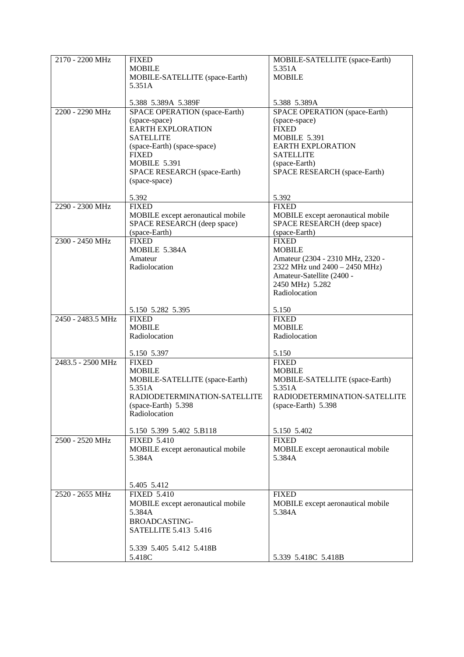| 2170 - 2200 MHz   | <b>FIXED</b>                                                | MOBILE-SATELLITE (space-Earth)                       |
|-------------------|-------------------------------------------------------------|------------------------------------------------------|
|                   | <b>MOBILE</b>                                               | 5.351A                                               |
|                   | MOBILE-SATELLITE (space-Earth)                              | <b>MOBILE</b>                                        |
|                   | 5.351A                                                      |                                                      |
|                   |                                                             |                                                      |
| 2200 - 2290 MHz   | 5.388 5.389A 5.389F<br><b>SPACE OPERATION</b> (space-Earth) | 5.388 5.389A<br><b>SPACE OPERATION</b> (space-Earth) |
|                   | (space-space)                                               | (space-space)                                        |
|                   | <b>EARTH EXPLORATION</b>                                    | <b>FIXED</b>                                         |
|                   | <b>SATELLITE</b>                                            | <b>MOBILE 5.391</b>                                  |
|                   | (space-Earth) (space-space)                                 | <b>EARTH EXPLORATION</b>                             |
|                   | <b>FIXED</b>                                                | <b>SATELLITE</b>                                     |
|                   | <b>MOBILE 5.391</b>                                         | (space-Earth)                                        |
|                   | SPACE RESEARCH (space-Earth)                                | SPACE RESEARCH (space-Earth)                         |
|                   | (space-space)                                               |                                                      |
|                   | 5.392                                                       | 5.392                                                |
| 2290 - 2300 MHz   | <b>FIXED</b>                                                | <b>FIXED</b>                                         |
|                   | MOBILE except aeronautical mobile                           | MOBILE except aeronautical mobile                    |
|                   | SPACE RESEARCH (deep space)                                 | SPACE RESEARCH (deep space)                          |
|                   | (space-Earth)                                               | (space-Earth)                                        |
| 2300 - 2450 MHz   | <b>FIXED</b>                                                | <b>FIXED</b>                                         |
|                   | MOBILE 5.384A                                               | <b>MOBILE</b>                                        |
|                   | Amateur                                                     | Amateur (2304 - 2310 MHz, 2320 -                     |
|                   | Radiolocation                                               | 2322 MHz und 2400 - 2450 MHz)                        |
|                   |                                                             | Amateur-Satellite (2400 -<br>2450 MHz) 5.282         |
|                   |                                                             | Radiolocation                                        |
|                   |                                                             |                                                      |
|                   | 5.150 5.282 5.395                                           | 5.150                                                |
| 2450 - 2483.5 MHz | <b>FIXED</b>                                                | <b>FIXED</b>                                         |
|                   | <b>MOBILE</b>                                               | <b>MOBILE</b>                                        |
|                   | Radiolocation                                               | Radiolocation                                        |
|                   | 5.150 5.397                                                 | 5.150                                                |
| 2483.5 - 2500 MHz | <b>FIXED</b>                                                | <b>FIXED</b>                                         |
|                   | <b>MOBILE</b>                                               | <b>MOBILE</b>                                        |
|                   | MOBILE-SATELLITE (space-Earth)                              | MOBILE-SATELLITE (space-Earth)                       |
|                   | 5.351A                                                      | 5.351A                                               |
|                   | RADIODETERMINATION-SATELLITE                                | RADIODETERMINATION-SATELLITE                         |
|                   | (space-Earth) 5.398                                         | $(space-Earth)$ 5.398                                |
|                   | Radiolocation                                               |                                                      |
|                   | 5.150 5.399 5.402 5.B118                                    | 5.150 5.402                                          |
| 2500 - 2520 MHz   | <b>FIXED 5.410</b>                                          | <b>FIXED</b>                                         |
|                   | MOBILE except aeronautical mobile                           | MOBILE except aeronautical mobile                    |
|                   | 5.384A                                                      | 5.384A                                               |
|                   |                                                             |                                                      |
|                   |                                                             |                                                      |
|                   | 5.405 5.412                                                 |                                                      |
| 2520 - 2655 MHz   | <b>FIXED 5.410</b>                                          | <b>FIXED</b>                                         |
|                   | MOBILE except aeronautical mobile                           | MOBILE except aeronautical mobile                    |
|                   | 5.384A                                                      | 5.384A                                               |
|                   | <b>BROADCASTING-</b>                                        |                                                      |
|                   | SATELLITE 5.413 5.416                                       |                                                      |
|                   | 5.339 5.405 5.412 5.418B                                    |                                                      |
|                   | 5.418C                                                      | 5.339 5.418C 5.418B                                  |
|                   |                                                             |                                                      |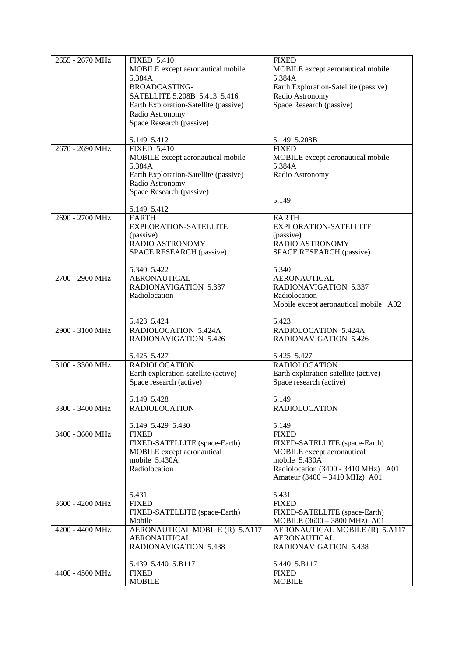| 2655 - 2670 MHz | <b>FIXED 5.410</b>                    | <b>FIXED</b>                          |
|-----------------|---------------------------------------|---------------------------------------|
|                 |                                       |                                       |
|                 | MOBILE except aeronautical mobile     | MOBILE except aeronautical mobile     |
|                 | 5.384A                                | 5.384A                                |
|                 | <b>BROADCASTING-</b>                  | Earth Exploration-Satellite (passive) |
|                 | SATELLITE 5.208B 5.413 5.416          | Radio Astronomy                       |
|                 | Earth Exploration-Satellite (passive) | Space Research (passive)              |
|                 |                                       |                                       |
|                 | Radio Astronomy                       |                                       |
|                 | Space Research (passive)              |                                       |
|                 |                                       |                                       |
|                 | 5.149 5.412                           | 5.149 5.208B                          |
| 2670 - 2690 MHz | <b>FIXED 5.410</b>                    | <b>FIXED</b>                          |
|                 | MOBILE except aeronautical mobile     | MOBILE except aeronautical mobile     |
|                 | 5.384A                                | 5.384A                                |
|                 | Earth Exploration-Satellite (passive) | Radio Astronomy                       |
|                 | Radio Astronomy                       |                                       |
|                 | Space Research (passive)              |                                       |
|                 |                                       | 5.149                                 |
|                 |                                       |                                       |
|                 | 5.149 5.412                           |                                       |
| 2690 - 2700 MHz | <b>EARTH</b>                          | <b>EARTH</b>                          |
|                 | EXPLORATION-SATELLITE                 | <b>EXPLORATION-SATELLITE</b>          |
|                 | (passive)                             | (passive)                             |
|                 | RADIO ASTRONOMY                       | RADIO ASTRONOMY                       |
|                 | SPACE RESEARCH (passive)              | SPACE RESEARCH (passive)              |
|                 |                                       |                                       |
|                 | 5.340 5.422                           | 5.340                                 |
| 2700 - 2900 MHz | <b>AERONAUTICAL</b>                   | <b>AERONAUTICAL</b>                   |
|                 | <b>RADIONAVIGATION 5.337</b>          | <b>RADIONAVIGATION 5.337</b>          |
|                 | Radiolocation                         | Radiolocation                         |
|                 |                                       | Mobile except aeronautical mobile A02 |
|                 |                                       |                                       |
|                 | 5.423 5.424                           | 5.423                                 |
| 2900 - 3100 MHz | RADIOLOCATION 5.424A                  | RADIOLOCATION 5.424A                  |
|                 | <b>RADIONAVIGATION 5.426</b>          | <b>RADIONAVIGATION 5.426</b>          |
|                 |                                       |                                       |
|                 | 5.425 5.427                           | 5.425 5.427                           |
| 3100 - 3300 MHz | <b>RADIOLOCATION</b>                  | <b>RADIOLOCATION</b>                  |
|                 | Earth exploration-satellite (active)  | Earth exploration-satellite (active)  |
|                 | Space research (active)               | Space research (active)               |
|                 |                                       |                                       |
|                 | 5.149 5.428                           | 5.149                                 |
| 3300 - 3400 MHz | <b>RADIOLOCATION</b>                  | <b>RADIOLOCATION</b>                  |
|                 |                                       |                                       |
|                 | 5.149 5.429 5.430                     | 5.149                                 |
| 3400 - 3600 MHz | <b>FIXED</b>                          | <b>FIXED</b>                          |
|                 | FIXED-SATELLITE (space-Earth)         | FIXED-SATELLITE (space-Earth)         |
|                 | MOBILE except aeronautical            | MOBILE except aeronautical            |
|                 |                                       | mobile 5.430A                         |
|                 | mobile 5.430A                         |                                       |
|                 | Radiolocation                         | Radiolocation (3400 - 3410 MHz) A01   |
|                 |                                       | Amateur (3400 – 3410 MHz) A01         |
|                 | 5.431                                 |                                       |
| 3600 - 4200 MHz |                                       | 5.431<br><b>FIXED</b>                 |
|                 | <b>FIXED</b>                          |                                       |
|                 | FIXED-SATELLITE (space-Earth)         | FIXED-SATELLITE (space-Earth)         |
|                 | Mobile                                | MOBILE (3600 - 3800 MHz) A01          |
| 4200 - 4400 MHz | AERONAUTICAL MOBILE (R) 5.A117        | AERONAUTICAL MOBILE (R) 5.A117        |
|                 | <b>AERONAUTICAL</b>                   | <b>AERONAUTICAL</b>                   |
|                 | <b>RADIONAVIGATION 5.438</b>          | <b>RADIONAVIGATION 5.438</b>          |
|                 |                                       |                                       |
|                 | 5.439 5.440 5.B117                    | 5.440 5.B117                          |
| 4400 - 4500 MHz | <b>FIXED</b>                          | <b>FIXED</b>                          |
|                 | <b>MOBILE</b>                         | <b>MOBILE</b>                         |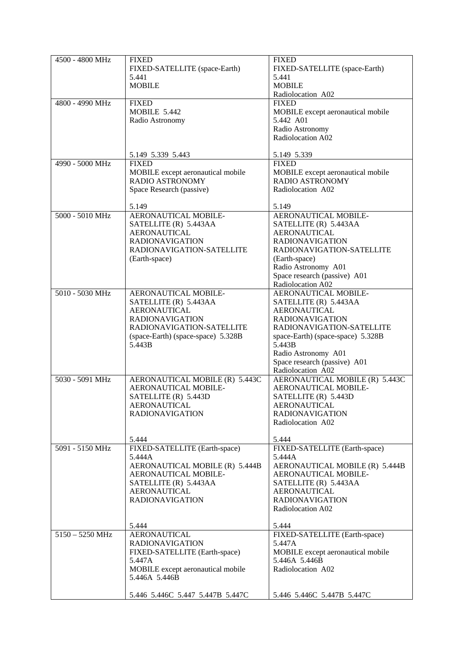| 4500 - 4800 MHz   | <b>FIXED</b>                                       | <b>FIXED</b>                         |
|-------------------|----------------------------------------------------|--------------------------------------|
|                   | FIXED-SATELLITE (space-Earth)                      | FIXED-SATELLITE (space-Earth)        |
|                   | 5.441                                              | 5.441                                |
|                   | <b>MOBILE</b>                                      | <b>MOBILE</b>                        |
|                   |                                                    | Radiolocation A02                    |
| 4800 - 4990 MHz   | <b>FIXED</b>                                       | <b>FIXED</b>                         |
|                   | <b>MOBILE 5.442</b>                                | MOBILE except aeronautical mobile    |
|                   | Radio Astronomy                                    | 5.442 A01                            |
|                   |                                                    | Radio Astronomy                      |
|                   |                                                    | Radiolocation A02                    |
|                   |                                                    |                                      |
|                   | 5.149 5.339 5.443                                  | 5.149 5.339                          |
| 4990 - 5000 MHz   | <b>FIXED</b>                                       | <b>FIXED</b>                         |
|                   | MOBILE except aeronautical mobile                  | MOBILE except aeronautical mobile    |
|                   | <b>RADIO ASTRONOMY</b>                             | RADIO ASTRONOMY                      |
|                   | Space Research (passive)                           | Radiolocation A02                    |
|                   |                                                    |                                      |
|                   | 5.149                                              | 5.149                                |
| 5000 - 5010 MHz   | AERONAUTICAL MOBILE-                               | AERONAUTICAL MOBILE-                 |
|                   | SATELLITE (R) 5.443AA                              | SATELLITE (R) 5.443AA                |
|                   | <b>AERONAUTICAL</b>                                | <b>AERONAUTICAL</b>                  |
|                   | <b>RADIONAVIGATION</b>                             | <b>RADIONAVIGATION</b>               |
|                   | RADIONAVIGATION-SATELLITE                          | RADIONAVIGATION-SATELLITE            |
|                   | (Earth-space)                                      | (Earth-space)<br>Radio Astronomy A01 |
|                   |                                                    | Space research (passive) A01         |
|                   |                                                    | Radiolocation A02                    |
| 5010 - 5030 MHz   | AERONAUTICAL MOBILE-                               | AERONAUTICAL MOBILE-                 |
|                   | SATELLITE (R) 5.443AA                              | SATELLITE (R) 5.443AA                |
|                   | <b>AERONAUTICAL</b>                                | <b>AERONAUTICAL</b>                  |
|                   | <b>RADIONAVIGATION</b>                             | <b>RADIONAVIGATION</b>               |
|                   | RADIONAVIGATION-SATELLITE                          | RADIONAVIGATION-SATELLITE            |
|                   | (space-Earth) (space-space) 5.328B                 | space-Earth) (space-space) 5.328B    |
|                   | 5.443B                                             | 5.443B                               |
|                   |                                                    | Radio Astronomy A01                  |
|                   |                                                    | Space research (passive) A01         |
|                   |                                                    | Radiolocation A02                    |
| 5030 - 5091 MHz   | AERONAUTICAL MOBILE (R) 5.443C                     | AERONAUTICAL MOBILE (R) 5.443C       |
|                   | AERONAUTICAL MOBILE-                               | AERONAUTICAL MOBILE-                 |
|                   | SATELLITE (R) 5.443D                               | SATELLITE (R) 5.443D                 |
|                   | <b>AERONAUTICAL</b>                                | <b>AERONAUTICAL</b>                  |
|                   | <b>RADIONAVIGATION</b>                             | <b>RADIONAVIGATION</b>               |
|                   |                                                    | Radiolocation A02                    |
|                   | 5.444                                              | 5.444                                |
| 5091 - 5150 MHz   | FIXED-SATELLITE (Earth-space)                      | FIXED-SATELLITE (Earth-space)        |
|                   | 5.444A                                             | 5.444A                               |
|                   | AERONAUTICAL MOBILE (R) 5.444B                     | AERONAUTICAL MOBILE (R) 5.444B       |
|                   | AERONAUTICAL MOBILE-                               | AERONAUTICAL MOBILE-                 |
|                   | SATELLITE (R) 5.443AA                              | SATELLITE (R) 5.443AA                |
|                   | <b>AERONAUTICAL</b>                                | <b>AERONAUTICAL</b>                  |
|                   | <b>RADIONAVIGATION</b>                             | <b>RADIONAVIGATION</b>               |
|                   |                                                    | Radiolocation A02                    |
|                   |                                                    |                                      |
|                   | 5.444                                              | 5.444                                |
| $5150 - 5250$ MHz | <b>AERONAUTICAL</b>                                | FIXED-SATELLITE (Earth-space)        |
|                   | <b>RADIONAVIGATION</b>                             | 5.447A                               |
|                   | FIXED-SATELLITE (Earth-space)                      | MOBILE except aeronautical mobile    |
|                   | 5.447A                                             | 5.446A 5.446B<br>Radiolocation A02   |
|                   | MOBILE except aeronautical mobile<br>5.446A 5.446B |                                      |
|                   |                                                    |                                      |
|                   | 5.446 5.446C 5.447 5.447B 5.447C                   | 5.446 5.446C 5.447B 5.447C           |
|                   |                                                    |                                      |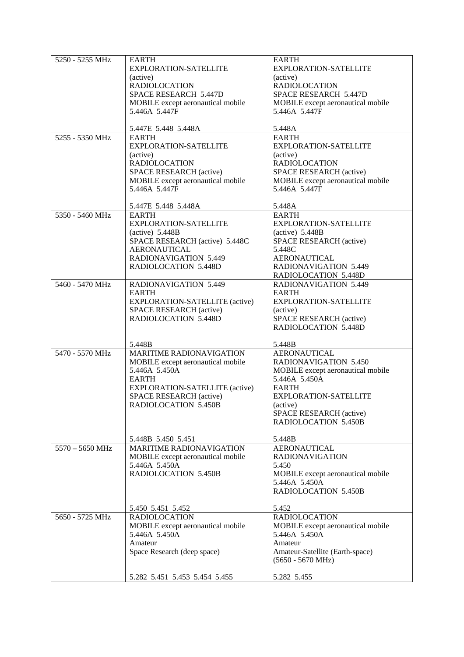| 5250 - 5255 MHz   | <b>EARTH</b><br>EXPLORATION-SATELLITE<br>(active)<br><b>RADIOLOCATION</b><br>SPACE RESEARCH 5.447D<br>MOBILE except aeronautical mobile<br>5.446A 5.447F                                                    | <b>EARTH</b><br>EXPLORATION-SATELLITE<br>(active)<br><b>RADIOLOCATION</b><br>SPACE RESEARCH 5.447D<br>MOBILE except aeronautical mobile<br>5.446A 5.447F                                                                           |
|-------------------|-------------------------------------------------------------------------------------------------------------------------------------------------------------------------------------------------------------|------------------------------------------------------------------------------------------------------------------------------------------------------------------------------------------------------------------------------------|
|                   | 5.447E 5.448 5.448A                                                                                                                                                                                         | 5.448A                                                                                                                                                                                                                             |
| 5255 - 5350 MHz   | <b>EARTH</b><br><b>EXPLORATION-SATELLITE</b><br>(active)<br><b>RADIOLOCATION</b><br>SPACE RESEARCH (active)<br>MOBILE except aeronautical mobile<br>5.446A 5.447F                                           | <b>EARTH</b><br><b>EXPLORATION-SATELLITE</b><br>(active)<br><b>RADIOLOCATION</b><br><b>SPACE RESEARCH (active)</b><br>MOBILE except aeronautical mobile<br>5.446A 5.447F                                                           |
|                   | 5.447E 5.448 5.448A                                                                                                                                                                                         | 5.448A                                                                                                                                                                                                                             |
| 5350 - 5460 MHz   | <b>EARTH</b><br>EXPLORATION-SATELLITE<br>$(active)$ 5.448B<br>SPACE RESEARCH (active) 5.448C<br><b>AERONAUTICAL</b><br><b>RADIONAVIGATION 5.449</b><br>RADIOLOCATION 5.448D                                 | <b>EARTH</b><br>EXPLORATION-SATELLITE<br>$(active)$ 5.448B<br>SPACE RESEARCH (active)<br>5.448C<br><b>AERONAUTICAL</b><br><b>RADIONAVIGATION 5.449</b><br>RADIOLOCATION 5.448D                                                     |
| 5460 - 5470 MHz   | RADIONAVIGATION 5.449<br><b>EARTH</b><br>EXPLORATION-SATELLITE (active)<br>SPACE RESEARCH (active)<br>RADIOLOCATION 5.448D                                                                                  | <b>RADIONAVIGATION 5.449</b><br><b>EARTH</b><br>EXPLORATION-SATELLITE<br>(active)<br>SPACE RESEARCH (active)<br>RADIOLOCATION 5.448D                                                                                               |
| 5470 - 5570 MHz   | 5.448B<br><b>MARITIME RADIONAVIGATION</b><br>MOBILE except aeronautical mobile<br>5.446A 5.450A<br><b>EARTH</b><br>EXPLORATION-SATELLITE (active)<br><b>SPACE RESEARCH (active)</b><br>RADIOLOCATION 5.450B | 5.448B<br><b>AERONAUTICAL</b><br><b>RADIONAVIGATION 5.450</b><br>MOBILE except aeronautical mobile<br>5.446A 5.450A<br><b>EARTH</b><br>EXPLORATION-SATELLITE<br>(active)<br>SPACE RESEARCH (active)<br><b>RADIOLOCATION 5.450B</b> |
|                   | 5.448B 5.450 5.451                                                                                                                                                                                          | 5.448B                                                                                                                                                                                                                             |
| $5570 - 5650$ MHz | <b>MARITIME RADIONAVIGATION</b><br>MOBILE except aeronautical mobile<br>5.446A 5.450A<br>RADIOLOCATION 5.450B                                                                                               | <b>AERONAUTICAL</b><br><b>RADIONAVIGATION</b><br>5.450<br>MOBILE except aeronautical mobile<br>5.446A 5.450A<br><b>RADIOLOCATION 5.450B</b>                                                                                        |
|                   | 5.450 5.451 5.452                                                                                                                                                                                           | 5.452                                                                                                                                                                                                                              |
| 5650 - 5725 MHz   | <b>RADIOLOCATION</b><br>MOBILE except aeronautical mobile<br>5.446A 5.450A<br>Amateur<br>Space Research (deep space)<br>5.282 5.451 5.453 5.454 5.455                                                       | <b>RADIOLOCATION</b><br>MOBILE except aeronautical mobile<br>5.446A 5.450A<br>Amateur<br>Amateur-Satellite (Earth-space)<br>$(5650 - 5670 \text{ MHz})$<br>5.282 5.455                                                             |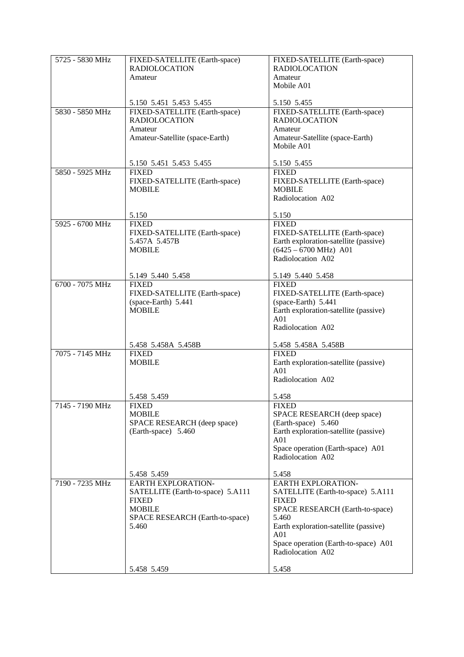| 5725 - 5830 MHz | FIXED-SATELLITE (Earth-space)<br><b>RADIOLOCATION</b><br>Amateur                                                                                           | FIXED-SATELLITE (Earth-space)<br><b>RADIOLOCATION</b><br>Amateur<br>Mobile A01                                                                                                                                                                               |
|-----------------|------------------------------------------------------------------------------------------------------------------------------------------------------------|--------------------------------------------------------------------------------------------------------------------------------------------------------------------------------------------------------------------------------------------------------------|
| 5830 - 5850 MHz | 5.150 5.451 5.453 5.455<br>FIXED-SATELLITE (Earth-space)<br><b>RADIOLOCATION</b><br>Amateur<br>Amateur-Satellite (space-Earth)                             | 5.150 5.455<br>FIXED-SATELLITE (Earth-space)<br><b>RADIOLOCATION</b><br>Amateur<br>Amateur-Satellite (space-Earth)<br>Mobile A01                                                                                                                             |
|                 | 5.150 5.451 5.453 5.455                                                                                                                                    | 5.150 5.455                                                                                                                                                                                                                                                  |
| 5850 - 5925 MHz | <b>FIXED</b><br>FIXED-SATELLITE (Earth-space)<br><b>MOBILE</b>                                                                                             | <b>FIXED</b><br>FIXED-SATELLITE (Earth-space)<br><b>MOBILE</b><br>Radiolocation A02                                                                                                                                                                          |
|                 | 5.150                                                                                                                                                      | 5.150                                                                                                                                                                                                                                                        |
| 5925 - 6700 MHz | <b>FIXED</b><br>FIXED-SATELLITE (Earth-space)<br>5.457A 5.457B<br><b>MOBILE</b>                                                                            | <b>FIXED</b><br>FIXED-SATELLITE (Earth-space)<br>Earth exploration-satellite (passive)<br>$(6425 - 6700 \text{ MHz})$ A01<br>Radiolocation A02                                                                                                               |
|                 | 5.149 5.440 5.458                                                                                                                                          | 5.149 5.440 5.458                                                                                                                                                                                                                                            |
| 6700 - 7075 MHz | <b>FIXED</b><br>FIXED-SATELLITE (Earth-space)<br>(space-Earth) 5.441<br><b>MOBILE</b>                                                                      | <b>FIXED</b><br>FIXED-SATELLITE (Earth-space)<br>(space-Earth) 5.441<br>Earth exploration-satellite (passive)<br>A <sub>01</sub><br>Radiolocation A02                                                                                                        |
|                 | 5.458 5.458A 5.458B                                                                                                                                        | 5.458 5.458A 5.458B                                                                                                                                                                                                                                          |
| 7075 - 7145 MHz | <b>FIXED</b><br><b>MOBILE</b>                                                                                                                              | <b>FIXED</b><br>Earth exploration-satellite (passive)<br>A <sub>01</sub><br>Radiolocation A02                                                                                                                                                                |
|                 | 5.458 5.459                                                                                                                                                | 5.458                                                                                                                                                                                                                                                        |
| 7145 - 7190 MHz | <b>FIXED</b><br><b>MOBILE</b><br>SPACE RESEARCH (deep space)<br>(Earth-space) 5.460                                                                        | <b>FIXED</b><br>SPACE RESEARCH (deep space)<br>(Earth-space) 5.460<br>Earth exploration-satellite (passive)<br>A01<br>Space operation (Earth-space) A01<br>Radiolocation A02                                                                                 |
|                 | 5.458 5.459                                                                                                                                                | 5.458                                                                                                                                                                                                                                                        |
| 7190 - 7235 MHz | <b>EARTH EXPLORATION-</b><br>SATELLITE (Earth-to-space) 5.A111<br><b>FIXED</b><br><b>MOBILE</b><br>SPACE RESEARCH (Earth-to-space)<br>5.460<br>5.458 5.459 | <b>EARTH EXPLORATION-</b><br>SATELLITE (Earth-to-space) 5.A111<br><b>FIXED</b><br>SPACE RESEARCH (Earth-to-space)<br>5.460<br>Earth exploration-satellite (passive)<br>A <sub>01</sub><br>Space operation (Earth-to-space) A01<br>Radiolocation A02<br>5.458 |
|                 |                                                                                                                                                            |                                                                                                                                                                                                                                                              |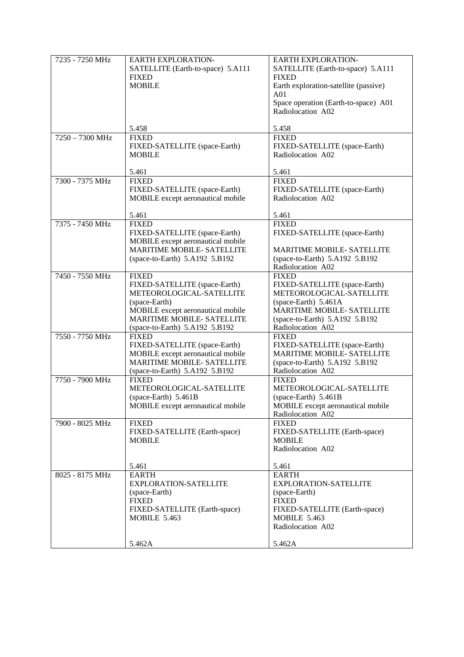| 7235 - 7250 MHz   | <b>EARTH EXPLORATION-</b><br>SATELLITE (Earth-to-space) 5.A111<br><b>FIXED</b><br><b>MOBILE</b>                                                                                                        | <b>EARTH EXPLORATION-</b><br>SATELLITE (Earth-to-space) 5.A111<br><b>FIXED</b><br>Earth exploration-satellite (passive)<br>A01<br>Space operation (Earth-to-space) A01<br>Radiolocation A02   |
|-------------------|--------------------------------------------------------------------------------------------------------------------------------------------------------------------------------------------------------|-----------------------------------------------------------------------------------------------------------------------------------------------------------------------------------------------|
|                   | 5.458                                                                                                                                                                                                  | 5.458                                                                                                                                                                                         |
| $7250 - 7300$ MHz | <b>FIXED</b><br>FIXED-SATELLITE (space-Earth)<br><b>MOBILE</b>                                                                                                                                         | <b>FIXED</b><br>FIXED-SATELLITE (space-Earth)<br>Radiolocation A02                                                                                                                            |
|                   | 5.461                                                                                                                                                                                                  | 5.461                                                                                                                                                                                         |
| 7300 - 7375 MHz   | <b>FIXED</b><br>FIXED-SATELLITE (space-Earth)<br>MOBILE except aeronautical mobile                                                                                                                     | <b>FIXED</b><br>FIXED-SATELLITE (space-Earth)<br>Radiolocation A02                                                                                                                            |
|                   | 5.461                                                                                                                                                                                                  | 5.461                                                                                                                                                                                         |
| 7375 - 7450 MHz   | <b>FIXED</b><br>FIXED-SATELLITE (space-Earth)<br>MOBILE except aeronautical mobile<br><b>MARITIME MOBILE- SATELLITE</b>                                                                                | <b>FIXED</b><br>FIXED-SATELLITE (space-Earth)<br><b>MARITIME MOBILE- SATELLITE</b>                                                                                                            |
|                   | (space-to-Earth) 5.A192 5.B192                                                                                                                                                                         | (space-to-Earth) 5.A192 5.B192<br>Radiolocation A02                                                                                                                                           |
| 7450 - 7550 MHz   | <b>FIXED</b><br>FIXED-SATELLITE (space-Earth)<br>METEOROLOGICAL-SATELLITE<br>(space-Earth)<br>MOBILE except aeronautical mobile<br><b>MARITIME MOBILE- SATELLITE</b><br>(space-to-Earth) 5.A192 5.B192 | <b>FIXED</b><br>FIXED-SATELLITE (space-Earth)<br>METEOROLOGICAL-SATELLITE<br>(space-Earth) 5.461A<br><b>MARITIME MOBILE- SATELLITE</b><br>(space-to-Earth) 5.A192 5.B192<br>Radiolocation A02 |
| 7550 - 7750 MHz   | <b>FIXED</b><br>FIXED-SATELLITE (space-Earth)<br>MOBILE except aeronautical mobile<br><b>MARITIME MOBILE- SATELLITE</b><br>(space-to-Earth) 5.A192 5.B192                                              | <b>FIXED</b><br>FIXED-SATELLITE (space-Earth)<br><b>MARITIME MOBILE- SATELLITE</b><br>(space-to-Earth) 5.A192 5.B192<br>Radiolocation A02                                                     |
| 7750 - 7900 MHz   | <b>FIXED</b><br>METEOROLOGICAL-SATELLITE<br>(space-Earth) 5.461B<br>MOBILE except aeronautical mobile                                                                                                  | <b>FIXED</b><br>METEOROLOGICAL-SATELLITE<br>(space-Earth) 5.461B<br>MOBILE except aeronautical mobile<br>Radiolocation A02                                                                    |
| 7900 - 8025 MHz   | <b>FIXED</b><br>FIXED-SATELLITE (Earth-space)<br><b>MOBILE</b>                                                                                                                                         | <b>FIXED</b><br>FIXED-SATELLITE (Earth-space)<br><b>MOBILE</b><br>Radiolocation A02                                                                                                           |
| 8025 - 8175 MHz   | 5.461<br><b>EARTH</b><br><b>EXPLORATION-SATELLITE</b><br>(space-Earth)<br><b>FIXED</b><br>FIXED-SATELLITE (Earth-space)<br><b>MOBILE 5.463</b><br>5.462A                                               | 5.461<br><b>EARTH</b><br>EXPLORATION-SATELLITE<br>(space-Earth)<br><b>FIXED</b><br>FIXED-SATELLITE (Earth-space)<br><b>MOBILE 5.463</b><br>Radiolocation A02<br>5.462A                        |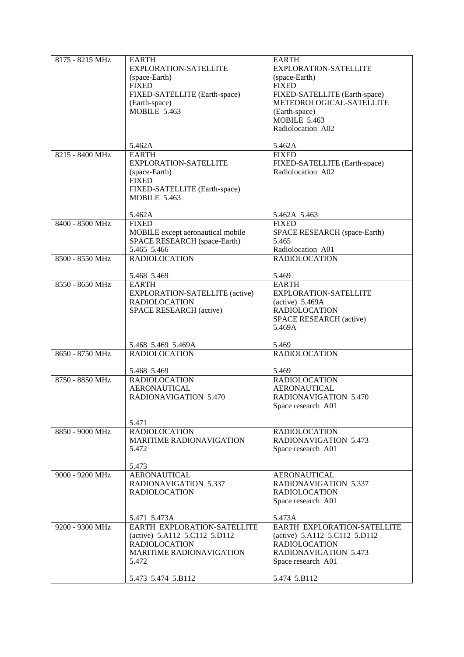| 8175 - 8215 MHz | <b>EARTH</b>                        | <b>EARTH</b>                       |
|-----------------|-------------------------------------|------------------------------------|
|                 | EXPLORATION-SATELLITE               | EXPLORATION-SATELLITE              |
|                 |                                     |                                    |
|                 | (space-Earth)                       | (space-Earth)                      |
|                 | <b>FIXED</b>                        | <b>FIXED</b>                       |
|                 | FIXED-SATELLITE (Earth-space)       | FIXED-SATELLITE (Earth-space)      |
|                 |                                     | METEOROLOGICAL-SATELLITE           |
|                 | (Earth-space)                       |                                    |
|                 | <b>MOBILE 5.463</b>                 | (Earth-space)                      |
|                 |                                     | <b>MOBILE 5.463</b>                |
|                 |                                     |                                    |
|                 |                                     | Radiolocation A02                  |
|                 |                                     |                                    |
|                 | 5.462A                              | 5.462A                             |
|                 |                                     |                                    |
| 8215 - 8400 MHz | <b>EARTH</b>                        | <b>FIXED</b>                       |
|                 | EXPLORATION-SATELLITE               | FIXED-SATELLITE (Earth-space)      |
|                 | (space-Earth)                       | Radiolocation A02                  |
|                 |                                     |                                    |
|                 | <b>FIXED</b>                        |                                    |
|                 | FIXED-SATELLITE (Earth-space)       |                                    |
|                 | <b>MOBILE 5.463</b>                 |                                    |
|                 |                                     |                                    |
|                 |                                     |                                    |
|                 | 5.462A                              | 5.462A 5.463                       |
| 8400 - 8500 MHz | <b>FIXED</b>                        | <b>FIXED</b>                       |
|                 |                                     |                                    |
|                 | MOBILE except aeronautical mobile   | SPACE RESEARCH (space-Earth)       |
|                 | <b>SPACE RESEARCH</b> (space-Earth) | 5.465                              |
|                 | 5.465 5.466                         | Radiolocation A01                  |
|                 |                                     |                                    |
| 8500 - 8550 MHz | <b>RADIOLOCATION</b>                | <b>RADIOLOCATION</b>               |
|                 |                                     |                                    |
|                 | 5.468 5.469                         | 5.469                              |
|                 |                                     |                                    |
| 8550 - 8650 MHz | <b>EARTH</b>                        | <b>EARTH</b>                       |
|                 | EXPLORATION-SATELLITE (active)      | <b>EXPLORATION-SATELLITE</b>       |
|                 | <b>RADIOLOCATION</b>                | (active) $5.469A$                  |
|                 |                                     |                                    |
|                 | SPACE RESEARCH (active)             | <b>RADIOLOCATION</b>               |
|                 |                                     | SPACE RESEARCH (active)            |
|                 |                                     | 5.469A                             |
|                 |                                     |                                    |
|                 |                                     |                                    |
|                 | 5.468 5.469 5.469A                  | 5.469                              |
| 8650 - 8750 MHz | <b>RADIOLOCATION</b>                | <b>RADIOLOCATION</b>               |
|                 |                                     |                                    |
|                 |                                     |                                    |
|                 | 5.468 5.469                         | 5.469                              |
| 8750 - 8850 MHz | <b>RADIOLOCATION</b>                | <b>RADIOLOCATION</b>               |
|                 |                                     |                                    |
|                 | <b>AERONAUTICAL</b>                 | <b>AERONAUTICAL</b>                |
|                 | <b>RADIONAVIGATION 5.470</b>        | <b>RADIONAVIGATION 5.470</b>       |
|                 |                                     | Space research A01                 |
|                 |                                     |                                    |
|                 |                                     |                                    |
|                 | 5.471                               |                                    |
| 8850 - 9000 MHz | <b>RADIOLOCATION</b>                | <b>RADIOLOCATION</b>               |
|                 |                                     |                                    |
|                 | <b>MARITIME RADIONAVIGATION</b>     | RADIONAVIGATION 5.473              |
|                 | 5.472                               | Space research A01                 |
|                 |                                     |                                    |
|                 |                                     |                                    |
|                 | 5.473                               |                                    |
| 9000 - 9200 MHz | <b>AERONAUTICAL</b>                 | <b>AERONAUTICAL</b>                |
|                 | <b>RADIONAVIGATION 5.337</b>        | <b>RADIONAVIGATION 5.337</b>       |
|                 |                                     |                                    |
|                 | <b>RADIOLOCATION</b>                | <b>RADIOLOCATION</b>               |
|                 |                                     | Space research A01                 |
|                 |                                     |                                    |
|                 |                                     |                                    |
|                 | 5.471 5.473A                        | 5.473A                             |
| 9200 - 9300 MHz | EARTH EXPLORATION-SATELLITE         | <b>EARTH EXPLORATION-SATELLITE</b> |
|                 | (active) 5.A112 5.C112 5.D112       | (active) 5.A112 5.C112 5.D112      |
|                 |                                     |                                    |
|                 | <b>RADIOLOCATION</b>                | <b>RADIOLOCATION</b>               |
|                 | <b>MARITIME RADIONAVIGATION</b>     | <b>RADIONAVIGATION 5.473</b>       |
|                 | 5.472                               | Space research A01                 |
|                 |                                     |                                    |
|                 |                                     |                                    |
|                 | 5.473 5.474 5.B112                  | 5.474 5.B112                       |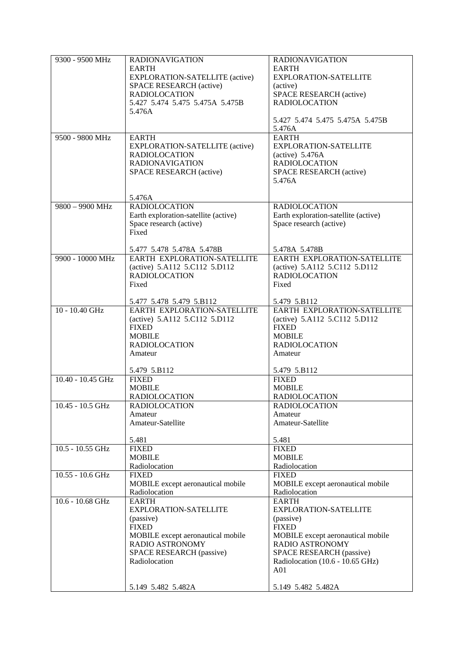| 9300 - 9500 MHz    | <b>RADIONAVIGATION</b>               | <b>RADIONAVIGATION</b>               |
|--------------------|--------------------------------------|--------------------------------------|
|                    | <b>EARTH</b>                         | <b>EARTH</b>                         |
|                    | EXPLORATION-SATELLITE (active)       | EXPLORATION-SATELLITE                |
|                    | <b>SPACE RESEARCH (active)</b>       | (active)                             |
|                    | <b>RADIOLOCATION</b>                 | SPACE RESEARCH (active)              |
|                    | 5.427 5.474 5.475 5.475A 5.475B      | <b>RADIOLOCATION</b>                 |
|                    | 5.476A                               |                                      |
|                    |                                      | 5.427 5.474 5.475 5.475A 5.475B      |
|                    |                                      | 5.476A                               |
| 9500 - 9800 MHz    | <b>EARTH</b>                         | <b>EARTH</b>                         |
|                    | EXPLORATION-SATELLITE (active)       | <b>EXPLORATION-SATELLITE</b>         |
|                    | <b>RADIOLOCATION</b>                 | $(active)$ 5.476A                    |
|                    | <b>RADIONAVIGATION</b>               | <b>RADIOLOCATION</b>                 |
|                    | SPACE RESEARCH (active)              | SPACE RESEARCH (active)              |
|                    |                                      | 5.476A                               |
|                    |                                      |                                      |
| 9800 - 9900 MHz    | 5.476A<br><b>RADIOLOCATION</b>       | <b>RADIOLOCATION</b>                 |
|                    | Earth exploration-satellite (active) | Earth exploration-satellite (active) |
|                    | Space research (active)              | Space research (active)              |
|                    | Fixed                                |                                      |
|                    |                                      |                                      |
|                    | 5.477 5.478 5.478A 5.478B            | 5.478A 5.478B                        |
| 9900 - 10000 MHz   | EARTH EXPLORATION-SATELLITE          | EARTH EXPLORATION-SATELLITE          |
|                    | (active) 5.A112 5.C112 5.D112        | (active) 5.A112 5.C112 5.D112        |
|                    | <b>RADIOLOCATION</b>                 | <b>RADIOLOCATION</b>                 |
|                    | Fixed                                | Fixed                                |
|                    |                                      |                                      |
|                    | 5.477 5.478 5.479 5.B112             | 5.479 5.B112                         |
| 10 - 10.40 GHz     | EARTH EXPLORATION-SATELLITE          | EARTH EXPLORATION-SATELLITE          |
|                    | (active) 5.A112 5.C112 5.D112        | (active) 5.A112 5.C112 5.D112        |
|                    | <b>FIXED</b>                         | <b>FIXED</b>                         |
|                    | <b>MOBILE</b>                        | <b>MOBILE</b>                        |
|                    | <b>RADIOLOCATION</b>                 | <b>RADIOLOCATION</b>                 |
|                    | Amateur                              | Amateur                              |
|                    | 5.479 5.B112                         | 5.479 5.B112                         |
| 10.40 - 10.45 GHz  | <b>FIXED</b>                         | <b>FIXED</b>                         |
|                    | <b>MOBILE</b>                        | <b>MOBILE</b>                        |
|                    | <b>RADIOLOCATION</b>                 | <b>RADIOLOCATION</b>                 |
| $10.45 - 10.5$ GHz | <b>RADIOLOCATION</b>                 | <b>RADIOLOCATION</b>                 |
|                    | Amateur                              | Amateur                              |
|                    | Amateur-Satellite                    | Amateur-Satellite                    |
|                    |                                      |                                      |
|                    | 5.481                                | 5.481                                |
| 10.5 - 10.55 GHz   | <b>FIXED</b>                         | <b>FIXED</b>                         |
|                    | <b>MOBILE</b>                        | <b>MOBILE</b><br>Radiolocation       |
| $10.55 - 10.6$ GHz | Radiolocation<br><b>FIXED</b>        | <b>FIXED</b>                         |
|                    | MOBILE except aeronautical mobile    | MOBILE except aeronautical mobile    |
|                    | Radiolocation                        | Radiolocation                        |
| 10.6 - 10.68 GHz   | <b>EARTH</b>                         | <b>EARTH</b>                         |
|                    | EXPLORATION-SATELLITE                | <b>EXPLORATION-SATELLITE</b>         |
|                    | (passive)                            | (passive)                            |
|                    | <b>FIXED</b>                         | <b>FIXED</b>                         |
|                    | MOBILE except aeronautical mobile    | MOBILE except aeronautical mobile    |
|                    | RADIO ASTRONOMY                      | RADIO ASTRONOMY                      |
|                    | SPACE RESEARCH (passive)             | SPACE RESEARCH (passive)             |
|                    | Radiolocation                        | Radiolocation (10.6 - 10.65 GHz)     |
|                    |                                      | A <sub>01</sub>                      |
|                    |                                      |                                      |
|                    | 5.149 5.482 5.482A                   | 5.149 5.482 5.482A                   |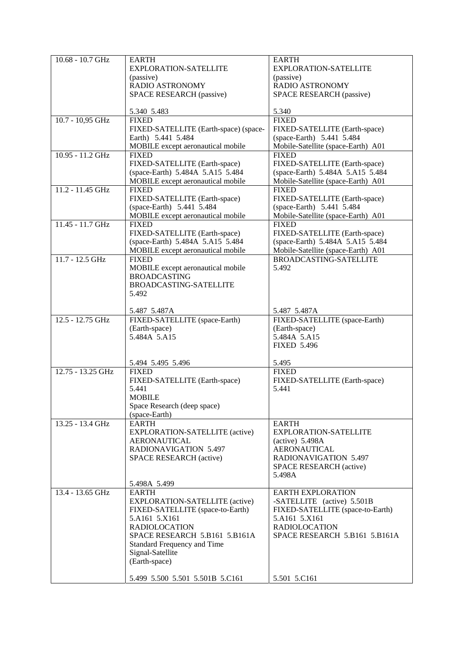| 10.68 - 10.7 GHz  | <b>EARTH</b>                          | <b>EARTH</b>                       |
|-------------------|---------------------------------------|------------------------------------|
|                   | EXPLORATION-SATELLITE                 | EXPLORATION-SATELLITE              |
|                   | (passive)                             | (passive)                          |
|                   |                                       |                                    |
|                   | RADIO ASTRONOMY                       | RADIO ASTRONOMY                    |
|                   | <b>SPACE RESEARCH (passive)</b>       | SPACE RESEARCH (passive)           |
|                   |                                       |                                    |
|                   | 5.340 5.483                           | 5.340                              |
| 10.7 - 10,95 GHz  | <b>FIXED</b>                          | <b>FIXED</b>                       |
|                   | FIXED-SATELLITE (Earth-space) (space- | FIXED-SATELLITE (Earth-space)      |
|                   | Earth) 5.441 5.484                    | (space-Earth) 5.441 5.484          |
|                   | MOBILE except aeronautical mobile     | Mobile-Satellite (space-Earth) A01 |
| 10.95 - 11.2 GHz  |                                       |                                    |
|                   | <b>FIXED</b>                          | <b>FIXED</b>                       |
|                   | FIXED-SATELLITE (Earth-space)         | FIXED-SATELLITE (Earth-space)      |
|                   | (space-Earth) 5.484A 5.A15 5.484      | (space-Earth) 5.484A 5.A15 5.484   |
|                   | MOBILE except aeronautical mobile     | Mobile-Satellite (space-Earth) A01 |
| 11.2 - 11.45 GHz  | <b>FIXED</b>                          | <b>FIXED</b>                       |
|                   | FIXED-SATELLITE (Earth-space)         | FIXED-SATELLITE (Earth-space)      |
|                   | (space-Earth) 5.441 5.484             | (space-Earth) 5.441 5.484          |
|                   | MOBILE except aeronautical mobile     |                                    |
|                   |                                       | Mobile-Satellite (space-Earth) A01 |
| 11.45 - 11.7 GHz  | <b>FIXED</b>                          | <b>FIXED</b>                       |
|                   | FIXED-SATELLITE (Earth-space)         | FIXED-SATELLITE (Earth-space)      |
|                   | (space-Earth) 5.484A 5.A15 5.484      | (space-Earth) 5.484A 5.A15 5.484   |
|                   | MOBILE except aeronautical mobile     | Mobile-Satellite (space-Earth) A01 |
| $11.7 - 12.5$ GHz | <b>FIXED</b>                          | <b>BROADCASTING-SATELLITE</b>      |
|                   | MOBILE except aeronautical mobile     | 5.492                              |
|                   | <b>BROADCASTING</b>                   |                                    |
|                   |                                       |                                    |
|                   | BROADCASTING-SATELLITE                |                                    |
|                   | 5.492                                 |                                    |
|                   |                                       |                                    |
|                   | 5.487 5.487A                          | 5.487 5.487A                       |
| 12.5 - 12.75 GHz  | FIXED-SATELLITE (space-Earth)         | FIXED-SATELLITE (space-Earth)      |
|                   | (Earth-space)                         | (Earth-space)                      |
|                   | 5.484A 5.A15                          | 5.484A 5.A15                       |
|                   |                                       | <b>FIXED 5.496</b>                 |
|                   |                                       |                                    |
|                   | 5.494 5.495 5.496                     | 5.495                              |
| 12.75 - 13.25 GHz |                                       |                                    |
|                   | <b>FIXED</b>                          | <b>FIXED</b>                       |
|                   | FIXED-SATELLITE (Earth-space)         | FIXED-SATELLITE (Earth-space)      |
|                   | 5.441                                 | 5.441                              |
|                   | <b>MOBILE</b>                         |                                    |
|                   | Space Research (deep space)           |                                    |
|                   | (space-Earth)                         |                                    |
| 13.25 - 13.4 GHz  | <b>EARTH</b>                          | EARTH                              |
|                   | <b>EXPLORATION-SATELLITE (active)</b> | <b>EXPLORATION-SATELLITE</b>       |
|                   |                                       |                                    |
|                   | <b>AERONAUTICAL</b>                   | $(active)$ 5.498A                  |
|                   | <b>RADIONAVIGATION 5.497</b>          | <b>AERONAUTICAL</b>                |
|                   | SPACE RESEARCH (active)               | RADIONAVIGATION 5.497              |
|                   |                                       | SPACE RESEARCH (active)            |
|                   |                                       | 5.498A                             |
|                   | 5.498A 5.499                          |                                    |
| 13.4 - 13.65 GHz  | <b>EARTH</b>                          | <b>EARTH EXPLORATION</b>           |
|                   | <b>EXPLORATION-SATELLITE (active)</b> | -SATELLITE (active) 5.501B         |
|                   |                                       |                                    |
|                   | FIXED-SATELLITE (space-to-Earth)      | FIXED-SATELLITE (space-to-Earth)   |
|                   | 5.A161 5.X161                         | 5.A161 5.X161                      |
|                   | <b>RADIOLOCATION</b>                  | <b>RADIOLOCATION</b>               |
|                   | SPACE RESEARCH 5.B161 5.B161A         | SPACE RESEARCH 5.B161 5.B161A      |
|                   | Standard Frequency and Time           |                                    |
|                   | Signal-Satellite                      |                                    |
|                   | (Earth-space)                         |                                    |
|                   |                                       |                                    |
|                   |                                       |                                    |
|                   | 5.499 5.500 5.501 5.501B 5.C161       | 5.501 5.C161                       |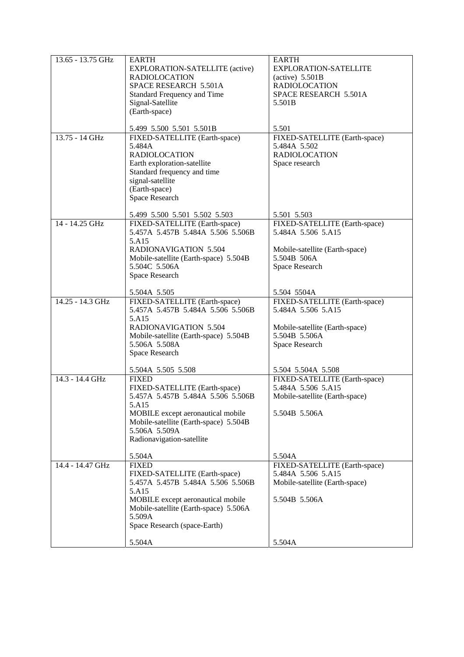| $13.65 - 13.75$ GHz | <b>EARTH</b>                          | <b>EARTH</b>                   |
|---------------------|---------------------------------------|--------------------------------|
|                     | EXPLORATION-SATELLITE (active)        | EXPLORATION-SATELLITE          |
|                     | <b>RADIOLOCATION</b>                  | $(active)$ 5.501B              |
|                     | SPACE RESEARCH 5.501A                 | <b>RADIOLOCATION</b>           |
|                     |                                       |                                |
|                     | Standard Frequency and Time           | SPACE RESEARCH 5.501A          |
|                     | Signal-Satellite                      | 5.501B                         |
|                     | (Earth-space)                         |                                |
|                     |                                       |                                |
|                     |                                       |                                |
|                     | 5.499 5.500 5.501 5.501B              | 5.501                          |
| 13.75 - 14 GHz      | FIXED-SATELLITE (Earth-space)         | FIXED-SATELLITE (Earth-space)  |
|                     | 5.484A                                | 5.484A 5.502                   |
|                     | <b>RADIOLOCATION</b>                  | <b>RADIOLOCATION</b>           |
|                     | Earth exploration-satellite           | Space research                 |
|                     |                                       |                                |
|                     | Standard frequency and time           |                                |
|                     | signal-satellite                      |                                |
|                     | (Earth-space)                         |                                |
|                     | Space Research                        |                                |
|                     |                                       |                                |
|                     |                                       | 5.501 5.503                    |
|                     | 5.499 5.500 5.501 5.502 5.503         |                                |
| 14 - 14.25 GHz      | FIXED-SATELLITE (Earth-space)         | FIXED-SATELLITE (Earth-space)  |
|                     | 5.457A 5.457B 5.484A 5.506 5.506B     | 5.484A 5.506 5.A15             |
|                     | 5.A15                                 |                                |
|                     | <b>RADIONAVIGATION 5.504</b>          | Mobile-satellite (Earth-space) |
|                     |                                       | 5.504B 506A                    |
|                     | Mobile-satellite (Earth-space) 5.504B |                                |
|                     | 5.504C 5.506A                         | Space Research                 |
|                     | Space Research                        |                                |
|                     |                                       |                                |
|                     | 5.504A 5.505                          | 5.504 5504A                    |
| 14.25 - 14.3 GHz    | FIXED-SATELLITE (Earth-space)         | FIXED-SATELLITE (Earth-space)  |
|                     | 5.457A 5.457B 5.484A 5.506 5.506B     | 5.484A 5.506 5.A15             |
|                     |                                       |                                |
|                     | 5.A15                                 |                                |
|                     | <b>RADIONAVIGATION 5.504</b>          | Mobile-satellite (Earth-space) |
|                     | Mobile-satellite (Earth-space) 5.504B | 5.504B 5.506A                  |
|                     | 5.506A 5.508A                         | Space Research                 |
|                     | Space Research                        |                                |
|                     |                                       |                                |
|                     |                                       |                                |
|                     | 5.504A 5.505 5.508                    | 5.504 5.504A 5.508             |
| 14.3 - 14.4 GHz     | <b>FIXED</b>                          | FIXED-SATELLITE (Earth-space)  |
|                     | FIXED-SATELLITE (Earth-space)         | 5.484A 5.506 5.A15             |
|                     | 5.457A 5.457B 5.484A 5.506 5.506B     | Mobile-satellite (Earth-space) |
|                     | 5.A15                                 |                                |
|                     | MOBILE except aeronautical mobile     | 5.504B 5.506A                  |
|                     | Mobile-satellite (Earth-space) 5.504B |                                |
|                     |                                       |                                |
|                     | 5.506A 5.509A                         |                                |
|                     | Radionavigation-satellite             |                                |
|                     |                                       |                                |
|                     | 5.504A                                | 5.504A                         |
| 14.4 - 14.47 GHz    | <b>FIXED</b>                          | FIXED-SATELLITE (Earth-space)  |
|                     | FIXED-SATELLITE (Earth-space)         | 5.484A 5.506 5.A15             |
|                     |                                       |                                |
|                     | 5.457A 5.457B 5.484A 5.506 5.506B     | Mobile-satellite (Earth-space) |
|                     | 5.A15                                 |                                |
|                     | MOBILE except aeronautical mobile     | 5.504B 5.506A                  |
|                     | Mobile-satellite (Earth-space) 5.506A |                                |
|                     | 5.509A                                |                                |
|                     | Space Research (space-Earth)          |                                |
|                     |                                       |                                |
|                     |                                       |                                |
|                     | 5.504A                                | 5.504A                         |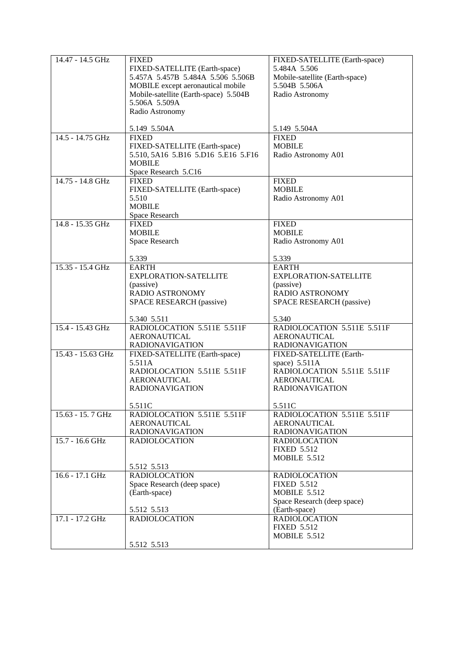| 14.47 - 14.5 GHz  | <b>FIXED</b>                          | FIXED-SATELLITE (Earth-space)  |
|-------------------|---------------------------------------|--------------------------------|
|                   | FIXED-SATELLITE (Earth-space)         | 5.484A 5.506                   |
|                   | 5.457A 5.457B 5.484A 5.506 5.506B     | Mobile-satellite (Earth-space) |
|                   | MOBILE except aeronautical mobile     | 5.504B 5.506A                  |
|                   |                                       |                                |
|                   | Mobile-satellite (Earth-space) 5.504B | Radio Astronomy                |
|                   | 5.506A 5.509A                         |                                |
|                   | Radio Astronomy                       |                                |
|                   |                                       |                                |
|                   | 5.149 5.504A                          | 5.149 5.504A                   |
| 14.5 - 14.75 GHz  | <b>FIXED</b>                          | <b>FIXED</b>                   |
|                   | FIXED-SATELLITE (Earth-space)         | <b>MOBILE</b>                  |
|                   | 5.510, 5A16 5.B16 5.D16 5.E16 5.F16   | Radio Astronomy A01            |
|                   |                                       |                                |
|                   | <b>MOBILE</b>                         |                                |
|                   | Space Research 5.C16                  |                                |
| 14.75 - 14.8 GHz  | <b>FIXED</b>                          | <b>FIXED</b>                   |
|                   | FIXED-SATELLITE (Earth-space)         | <b>MOBILE</b>                  |
|                   | 5.510                                 | Radio Astronomy A01            |
|                   | <b>MOBILE</b>                         |                                |
|                   |                                       |                                |
|                   | Space Research                        |                                |
| 14.8 - 15.35 GHz  | <b>FIXED</b>                          | <b>FIXED</b>                   |
|                   | <b>MOBILE</b>                         | <b>MOBILE</b>                  |
|                   | Space Research                        | Radio Astronomy A01            |
|                   |                                       |                                |
|                   | 5.339                                 | 5.339                          |
| 15.35 - 15.4 GHz  | <b>EARTH</b>                          | <b>EARTH</b>                   |
|                   | EXPLORATION-SATELLITE                 | <b>EXPLORATION-SATELLITE</b>   |
|                   |                                       |                                |
|                   | (passive)                             | (passive)                      |
|                   | <b>RADIO ASTRONOMY</b>                | <b>RADIO ASTRONOMY</b>         |
|                   | SPACE RESEARCH (passive)              | SPACE RESEARCH (passive)       |
|                   |                                       |                                |
|                   | 5.340 5.511                           | 5.340                          |
| 15.4 - 15.43 GHz  | RADIOLOCATION 5.511E 5.511F           | RADIOLOCATION 5.511E 5.511F    |
|                   | <b>AERONAUTICAL</b>                   | <b>AERONAUTICAL</b>            |
|                   | <b>RADIONAVIGATION</b>                | <b>RADIONAVIGATION</b>         |
| 15.43 - 15.63 GHz | FIXED-SATELLITE (Earth-space)         | FIXED-SATELLITE (Earth-        |
|                   | 5.511A                                | space) 5.511A                  |
|                   | RADIOLOCATION 5.511E 5.511F           | RADIOLOCATION 5.511E 5.511F    |
|                   |                                       |                                |
|                   | <b>AERONAUTICAL</b>                   | <b>AERONAUTICAL</b>            |
|                   | <b>RADIONAVIGATION</b>                | <b>RADIONAVIGATION</b>         |
|                   |                                       |                                |
|                   | 5.511C                                | 5.511C                         |
| 15.63 - 15.7 GHz  | RADIOLOCATION 5.511E 5.511F           | RADIOLOCATION 5.511E 5.511F    |
|                   | <b>AERONAUTICAL</b>                   | <b>AERONAUTICAL</b>            |
|                   | <b>RADIONAVIGATION</b>                | <b>RADIONAVIGATION</b>         |
| 15.7 - 16.6 GHz   | <b>RADIOLOCATION</b>                  | <b>RADIOLOCATION</b>           |
|                   |                                       |                                |
|                   |                                       | <b>FIXED 5.512</b>             |
|                   |                                       | <b>MOBILE 5.512</b>            |
|                   | 5.512 5.513                           |                                |
| 16.6 - 17.1 GHz   | <b>RADIOLOCATION</b>                  | <b>RADIOLOCATION</b>           |
|                   | Space Research (deep space)           | <b>FIXED 5.512</b>             |
|                   | (Earth-space)                         | <b>MOBILE 5.512</b>            |
|                   |                                       |                                |
|                   |                                       | Space Research (deep space)    |
|                   | 5.512 5.513                           | (Earth-space)                  |
| 17.1 - 17.2 GHz   | <b>RADIOLOCATION</b>                  | <b>RADIOLOCATION</b>           |
|                   |                                       | <b>FIXED 5.512</b>             |
|                   |                                       | <b>MOBILE 5.512</b>            |
|                   | 5.512 5.513                           |                                |
|                   |                                       |                                |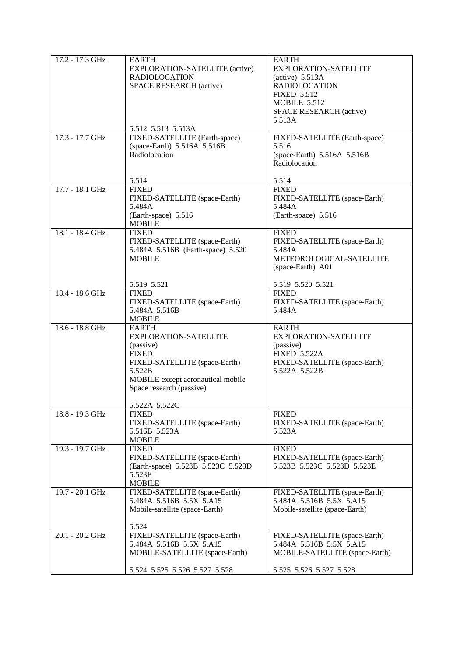| 17.2 - 17.3 GHz | <b>EARTH</b>                                              | <b>EARTH</b>                                              |
|-----------------|-----------------------------------------------------------|-----------------------------------------------------------|
|                 | EXPLORATION-SATELLITE (active)<br><b>RADIOLOCATION</b>    | EXPLORATION-SATELLITE                                     |
|                 | SPACE RESEARCH (active)                                   | $(\text{active})$ 5.513A<br><b>RADIOLOCATION</b>          |
|                 |                                                           | <b>FIXED 5.512</b>                                        |
|                 |                                                           | <b>MOBILE 5.512</b>                                       |
|                 |                                                           | SPACE RESEARCH (active)                                   |
|                 |                                                           | 5.513A                                                    |
| 17.3 - 17.7 GHz | 5.512 5.513 5.513A<br>FIXED-SATELLITE (Earth-space)       | FIXED-SATELLITE (Earth-space)                             |
|                 | (space-Earth) 5.516A 5.516B                               | 5.516                                                     |
|                 | Radiolocation                                             | (space-Earth) 5.516A 5.516B                               |
|                 |                                                           | Radiolocation                                             |
|                 | 5.514                                                     | 5.514                                                     |
| 17.7 - 18.1 GHz | <b>FIXED</b>                                              | <b>FIXED</b>                                              |
|                 | FIXED-SATELLITE (space-Earth)                             | FIXED-SATELLITE (space-Earth)                             |
|                 | 5.484A                                                    | 5.484A                                                    |
|                 | (Earth-space) 5.516<br><b>MOBILE</b>                      | (Earth-space) 5.516                                       |
| 18.1 - 18.4 GHz | <b>FIXED</b>                                              | <b>FIXED</b>                                              |
|                 | FIXED-SATELLITE (space-Earth)                             | FIXED-SATELLITE (space-Earth)                             |
|                 | 5.484A 5.516B (Earth-space) 5.520                         | 5.484A                                                    |
|                 | <b>MOBILE</b>                                             | METEOROLOGICAL-SATELLITE<br>(space-Earth) A01             |
|                 |                                                           |                                                           |
|                 | 5.519 5.521                                               | 5.519 5.520 5.521                                         |
| 18.4 - 18.6 GHz | <b>FIXED</b>                                              | <b>FIXED</b>                                              |
|                 | FIXED-SATELLITE (space-Earth)                             | FIXED-SATELLITE (space-Earth)                             |
|                 | 5.484A 5.516B<br><b>MOBILE</b>                            | 5.484A                                                    |
| 18.6 - 18.8 GHz | <b>EARTH</b>                                              | <b>EARTH</b>                                              |
|                 | EXPLORATION-SATELLITE                                     | <b>EXPLORATION-SATELLITE</b>                              |
|                 | (passive)                                                 | (passive)                                                 |
|                 | <b>FIXED</b><br>FIXED-SATELLITE (space-Earth)             | <b>FIXED 5.522A</b><br>FIXED-SATELLITE (space-Earth)      |
|                 | 5.522B                                                    | 5.522A 5.522B                                             |
|                 | MOBILE except aeronautical mobile                         |                                                           |
|                 | Space research (passive)                                  |                                                           |
|                 | 5.522A 5.522C                                             |                                                           |
| 18.8 - 19.3 GHz | <b>FIXED</b>                                              | <b>FIXED</b>                                              |
|                 | FIXED-SATELLITE (space-Earth)                             | FIXED-SATELLITE (space-Earth)                             |
|                 | 5.516B 5.523A                                             | 5.523A                                                    |
| 19.3 - 19.7 GHz | <b>MOBILE</b><br><b>FIXED</b>                             | <b>FIXED</b>                                              |
|                 | FIXED-SATELLITE (space-Earth)                             | FIXED-SATELLITE (space-Earth)                             |
|                 | (Earth-space) 5.523B 5.523C 5.523D                        | 5.523B 5.523C 5.523D 5.523E                               |
|                 | 5.523E                                                    |                                                           |
| 19.7 - 20.1 GHz | <b>MOBILE</b>                                             |                                                           |
|                 | FIXED-SATELLITE (space-Earth)<br>5.484A 5.516B 5.5X 5.A15 | FIXED-SATELLITE (space-Earth)<br>5.484A 5.516B 5.5X 5.A15 |
|                 | Mobile-satellite (space-Earth)                            | Mobile-satellite (space-Earth)                            |
|                 |                                                           |                                                           |
|                 | 5.524                                                     |                                                           |
| 20.1 - 20.2 GHz | FIXED-SATELLITE (space-Earth)<br>5.484A 5.516B 5.5X 5.A15 | FIXED-SATELLITE (space-Earth)<br>5.484A 5.516B 5.5X 5.A15 |
|                 | MOBILE-SATELLITE (space-Earth)                            | MOBILE-SATELLITE (space-Earth)                            |
|                 |                                                           |                                                           |
|                 | 5.524 5.525 5.526 5.527 5.528                             | 5.525 5.526 5.527 5.528                                   |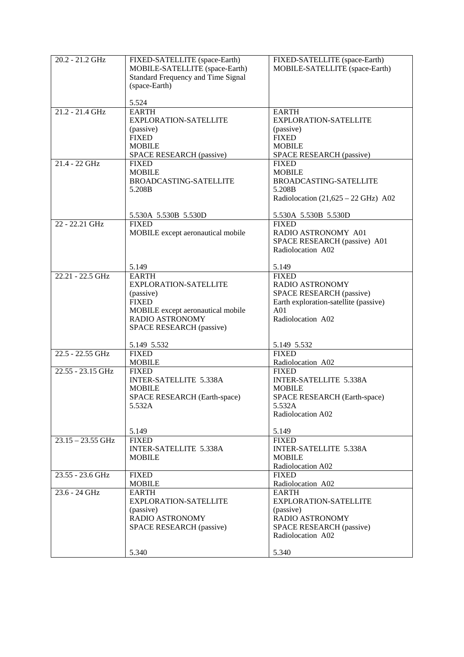| 20.2 - 21.2 GHz     | FIXED-SATELLITE (space-Earth)<br>MOBILE-SATELLITE (space-Earth)<br><b>Standard Frequency and Time Signal</b><br>(space-Earth)<br>5.524                                       | FIXED-SATELLITE (space-Earth)<br>MOBILE-SATELLITE (space-Earth)                                                                                                    |
|---------------------|------------------------------------------------------------------------------------------------------------------------------------------------------------------------------|--------------------------------------------------------------------------------------------------------------------------------------------------------------------|
| $21.2 - 21.4$ GHz   | <b>EARTH</b><br><b>EXPLORATION-SATELLITE</b><br>(passive)<br><b>FIXED</b><br><b>MOBILE</b><br>SPACE RESEARCH (passive)                                                       | <b>EARTH</b><br><b>EXPLORATION-SATELLITE</b><br>(passive)<br><b>FIXED</b><br><b>MOBILE</b><br>SPACE RESEARCH (passive)                                             |
| 21.4 - 22 GHz       | <b>FIXED</b><br><b>MOBILE</b><br>BROADCASTING-SATELLITE<br>5.208B<br>5.530A 5.530B 5.530D                                                                                    | <b>FIXED</b><br><b>MOBILE</b><br><b>BROADCASTING-SATELLITE</b><br>5.208B<br>Radiolocation $(21,625 - 22 \text{ GHz})$ A02<br>5.530A 5.530B 5.530D                  |
| 22 - 22.21 GHz      | <b>FIXED</b><br>MOBILE except aeronautical mobile<br>5.149                                                                                                                   | <b>FIXED</b><br>RADIO ASTRONOMY A01<br>SPACE RESEARCH (passive) A01<br>Radiolocation A02<br>5.149                                                                  |
| 22.21 - 22.5 GHz    | <b>EARTH</b><br><b>EXPLORATION-SATELLITE</b><br>(passive)<br><b>FIXED</b><br>MOBILE except aeronautical mobile<br>RADIO ASTRONOMY<br>SPACE RESEARCH (passive)<br>5.149 5.532 | <b>FIXED</b><br><b>RADIO ASTRONOMY</b><br>SPACE RESEARCH (passive)<br>Earth exploration-satellite (passive)<br>A <sub>01</sub><br>Radiolocation A02<br>5.149 5.532 |
| 22.5 - 22.55 GHz    | <b>FIXED</b><br><b>MOBILE</b>                                                                                                                                                | <b>FIXED</b><br>Radiolocation A02                                                                                                                                  |
| 22.55 - 23.15 GHz   | <b>FIXED</b><br>INTER-SATELLITE 5.338A<br><b>MOBILE</b><br>SPACE RESEARCH (Earth-space)<br>5.532A<br>5.149                                                                   | <b>FIXED</b><br><b>INTER-SATELLITE 5.338A</b><br><b>MOBILE</b><br>SPACE RESEARCH (Earth-space)<br>5.532A<br>Radiolocation A02<br>5.149                             |
| $23.15 - 23.55$ GHz | <b>FIXED</b><br><b>INTER-SATELLITE 5.338A</b><br><b>MOBILE</b>                                                                                                               | <b>FIXED</b><br><b>INTER-SATELLITE 5.338A</b><br><b>MOBILE</b><br>Radiolocation A02                                                                                |
| 23.55 - 23.6 GHz    | <b>FIXED</b><br><b>MOBILE</b>                                                                                                                                                | <b>FIXED</b><br>Radiolocation A02                                                                                                                                  |
| 23.6 - 24 GHz       | <b>EARTH</b><br><b>EXPLORATION-SATELLITE</b><br>(passive)<br><b>RADIO ASTRONOMY</b><br>SPACE RESEARCH (passive)<br>5.340                                                     | <b>EARTH</b><br>EXPLORATION-SATELLITE<br>(passive)<br>RADIO ASTRONOMY<br>SPACE RESEARCH (passive)<br>Radiolocation A02<br>5.340                                    |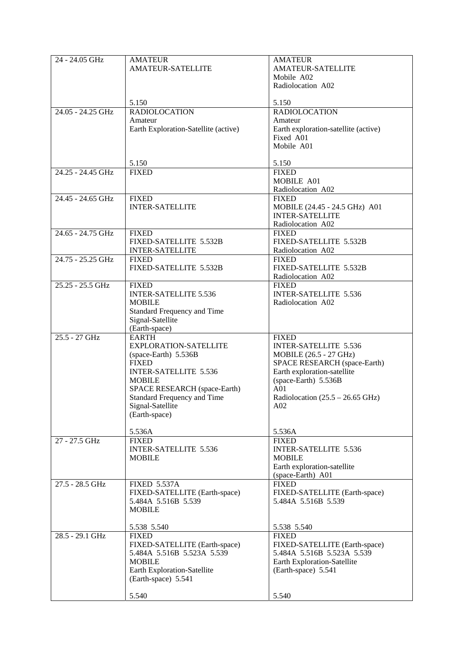| 24 - 24.05 GHz    | <b>AMATEUR</b>                       | <b>AMATEUR</b>                             |
|-------------------|--------------------------------------|--------------------------------------------|
|                   |                                      |                                            |
|                   | <b>AMATEUR-SATELLITE</b>             | <b>AMATEUR-SATELLITE</b>                   |
|                   |                                      | Mobile A02                                 |
|                   |                                      | Radiolocation A02                          |
|                   |                                      |                                            |
|                   | 5.150                                | 5.150                                      |
| 24.05 - 24.25 GHz | <b>RADIOLOCATION</b>                 | <b>RADIOLOCATION</b>                       |
|                   |                                      |                                            |
|                   | Amateur                              | Amateur                                    |
|                   | Earth Exploration-Satellite (active) | Earth exploration-satellite (active)       |
|                   |                                      | Fixed A01                                  |
|                   |                                      | Mobile A01                                 |
|                   |                                      |                                            |
|                   | 5.150                                | 5.150                                      |
|                   |                                      |                                            |
| 24.25 - 24.45 GHz | <b>FIXED</b>                         | <b>FIXED</b>                               |
|                   |                                      | MOBILE A01                                 |
|                   |                                      | Radiolocation A02                          |
| 24.45 - 24.65 GHz | <b>FIXED</b>                         | <b>FIXED</b>                               |
|                   | <b>INTER-SATELLITE</b>               | MOBILE (24.45 - 24.5 GHz) A01              |
|                   |                                      | <b>INTER-SATELLITE</b>                     |
|                   |                                      |                                            |
|                   |                                      | Radiolocation A02                          |
| 24.65 - 24.75 GHz | <b>FIXED</b>                         | <b>FIXED</b>                               |
|                   | FIXED-SATELLITE 5.532B               | FIXED-SATELLITE 5.532B                     |
|                   | <b>INTER-SATELLITE</b>               | Radiolocation A02                          |
| 24.75 - 25.25 GHz | <b>FIXED</b>                         | <b>FIXED</b>                               |
|                   | FIXED-SATELLITE 5.532B               | FIXED-SATELLITE 5.532B                     |
|                   |                                      |                                            |
|                   |                                      | Radiolocation A02                          |
| 25.25 - 25.5 GHz  | <b>FIXED</b>                         | <b>FIXED</b>                               |
|                   | <b>INTER-SATELLITE 5.536</b>         | <b>INTER-SATELLITE 5.536</b>               |
|                   | <b>MOBILE</b>                        | Radiolocation A02                          |
|                   | Standard Frequency and Time          |                                            |
|                   | Signal-Satellite                     |                                            |
|                   |                                      |                                            |
|                   | (Earth-space)                        |                                            |
| 25.5 - 27 GHz     | <b>EARTH</b>                         | <b>FIXED</b>                               |
|                   | EXPLORATION-SATELLITE                | <b>INTER-SATELLITE 5.536</b>               |
|                   | (space-Earth) 5.536B                 | MOBILE (26.5 - 27 GHz)                     |
|                   | <b>FIXED</b>                         | SPACE RESEARCH (space-Earth)               |
|                   | <b>INTER-SATELLITE 5.536</b>         | Earth exploration-satellite                |
|                   | <b>MOBILE</b>                        | (space-Earth) 5.536B                       |
|                   |                                      |                                            |
|                   | SPACE RESEARCH (space-Earth)         | A <sub>01</sub>                            |
|                   | Standard Frequency and Time          | Radiolocation $(25.5 - 26.65 \text{ GHz})$ |
|                   | Signal-Satellite                     | A02                                        |
|                   | (Earth-space)                        |                                            |
|                   |                                      |                                            |
|                   | 5.536A                               | 5.536A                                     |
| 27 - 27.5 GHz     | <b>FIXED</b>                         | <b>FIXED</b>                               |
|                   |                                      |                                            |
|                   | INTER-SATELLITE 5.536                | INTER-SATELLITE 5.536                      |
|                   | <b>MOBILE</b>                        | <b>MOBILE</b>                              |
|                   |                                      | Earth exploration-satellite                |
|                   |                                      | (space-Earth) A01                          |
| 27.5 - 28.5 GHz   | <b>FIXED 5.537A</b>                  | <b>FIXED</b>                               |
|                   | FIXED-SATELLITE (Earth-space)        | FIXED-SATELLITE (Earth-space)              |
|                   | 5.484A 5.516B 5.539                  | 5.484A 5.516B 5.539                        |
|                   |                                      |                                            |
|                   | <b>MOBILE</b>                        |                                            |
|                   |                                      |                                            |
|                   | 5.538 5.540                          | 5.538 5.540                                |
| 28.5 - 29.1 GHz   | <b>FIXED</b>                         | <b>FIXED</b>                               |
|                   | FIXED-SATELLITE (Earth-space)        | FIXED-SATELLITE (Earth-space)              |
|                   | 5.484A 5.516B 5.523A 5.539           | 5.484A 5.516B 5.523A 5.539                 |
|                   |                                      |                                            |
|                   | <b>MOBILE</b>                        | Earth Exploration-Satellite                |
|                   | Earth Exploration-Satellite          | (Earth-space) 5.541                        |
|                   | (Earth-space) 5.541                  |                                            |
|                   |                                      |                                            |
|                   | 5.540                                | 5.540                                      |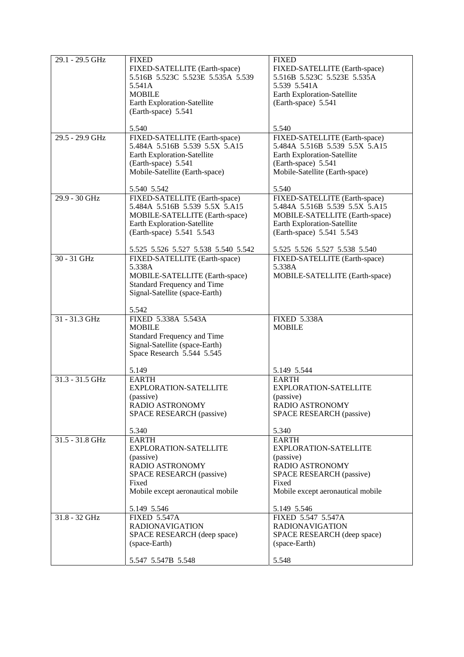| 29.1 - 29.5 GHz   | <b>FIXED</b>                        | <b>FIXED</b>                      |
|-------------------|-------------------------------------|-----------------------------------|
|                   |                                     |                                   |
|                   | FIXED-SATELLITE (Earth-space)       | FIXED-SATELLITE (Earth-space)     |
|                   | 5.516B 5.523C 5.523E 5.535A 5.539   | 5.516B 5.523C 5.523E 5.535A       |
|                   | 5.541A                              | 5.539 5.541A                      |
|                   | <b>MOBILE</b>                       | Earth Exploration-Satellite       |
|                   |                                     |                                   |
|                   | Earth Exploration-Satellite         | (Earth-space) 5.541               |
|                   | (Earth-space) 5.541                 |                                   |
|                   |                                     |                                   |
|                   | 5.540                               | 5.540                             |
| 29.5 - 29.9 GHz   | FIXED-SATELLITE (Earth-space)       | FIXED-SATELLITE (Earth-space)     |
|                   | 5.484A 5.516B 5.539 5.5X 5.A15      | 5.484A 5.516B 5.539 5.5X 5.A15    |
|                   |                                     |                                   |
|                   | Earth Exploration-Satellite         | Earth Exploration-Satellite       |
|                   | (Earth-space) 5.541                 | (Earth-space) 5.541               |
|                   | Mobile-Satellite (Earth-space)      | Mobile-Satellite (Earth-space)    |
|                   |                                     |                                   |
|                   | 5.540 5.542                         | 5.540                             |
| 29.9 - 30 GHz     | FIXED-SATELLITE (Earth-space)       | FIXED-SATELLITE (Earth-space)     |
|                   | 5.484A 5.516B 5.539 5.5X 5.A15      | 5.484A 5.516B 5.539 5.5X 5.A15    |
|                   |                                     |                                   |
|                   | MOBILE-SATELLITE (Earth-space)      | MOBILE-SATELLITE (Earth-space)    |
|                   | Earth Exploration-Satellite         | Earth Exploration-Satellite       |
|                   | (Earth-space) 5.541 5.543           | (Earth-space) 5.541 5.543         |
|                   |                                     |                                   |
|                   | 5.525 5.526 5.527 5.538 5.540 5.542 | 5.525 5.526 5.527 5.538 5.540     |
| $30 - 31$ GHz     | FIXED-SATELLITE (Earth-space)       | FIXED-SATELLITE (Earth-space)     |
|                   | 5.338A                              | 5.338A                            |
|                   |                                     | MOBILE-SATELLITE (Earth-space)    |
|                   | MOBILE-SATELLITE (Earth-space)      |                                   |
|                   | Standard Frequency and Time         |                                   |
|                   | Signal-Satellite (space-Earth)      |                                   |
|                   |                                     |                                   |
|                   | 5.542                               |                                   |
| 31 - 31.3 GHz     | FIXED 5.338A 5.543A                 | <b>FIXED 5.338A</b>               |
|                   | <b>MOBILE</b>                       | <b>MOBILE</b>                     |
|                   |                                     |                                   |
|                   | Standard Frequency and Time         |                                   |
|                   | Signal-Satellite (space-Earth)      |                                   |
|                   | Space Research 5.544 5.545          |                                   |
|                   |                                     |                                   |
|                   | 5.149                               | 5.149 5.544                       |
| $31.3 - 31.5$ GHz | <b>EARTH</b>                        | <b>EARTH</b>                      |
|                   | <b>EXPLORATION-SATELLITE</b>        | <b>EXPLORATION-SATELLITE</b>      |
|                   | (passive)                           | (passive)                         |
|                   |                                     |                                   |
|                   | RADIO ASTRONOMY                     | RADIO ASTRONOMY                   |
|                   | SPACE RESEARCH (passive)            | SPACE RESEARCH (passive)          |
|                   | 5.340                               | 5.340                             |
|                   |                                     |                                   |
| 31.5 - 31.8 GHz   | <b>EARTH</b>                        | <b>EARTH</b>                      |
|                   | EXPLORATION-SATELLITE               | EXPLORATION-SATELLITE             |
|                   | (passive)                           | (passive)                         |
|                   | RADIO ASTRONOMY                     | RADIO ASTRONOMY                   |
|                   | SPACE RESEARCH (passive)            | SPACE RESEARCH (passive)          |
|                   |                                     |                                   |
|                   | Fixed                               | Fixed                             |
|                   | Mobile except aeronautical mobile   | Mobile except aeronautical mobile |
|                   |                                     |                                   |
|                   | 5.149 5.546                         | 5.149 5.546                       |
| 31.8 - 32 GHz     | <b>FIXED 5.547A</b>                 | FIXED 5.547 5.547A                |
|                   | <b>RADIONAVIGATION</b>              | <b>RADIONAVIGATION</b>            |
|                   | SPACE RESEARCH (deep space)         | SPACE RESEARCH (deep space)       |
|                   | (space-Earth)                       | (space-Earth)                     |
|                   |                                     |                                   |
|                   | 5.547 5.547B 5.548                  | 5.548                             |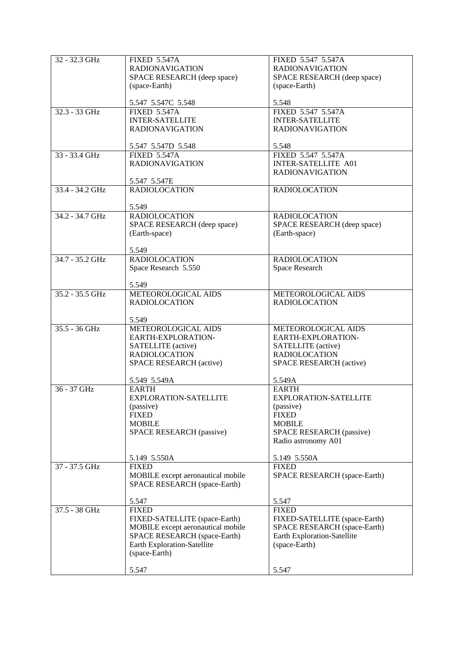| 32 - 32.3 GHz   | <b>FIXED 5.547A</b>               | FIXED 5.547 5.547A            |
|-----------------|-----------------------------------|-------------------------------|
|                 | <b>RADIONAVIGATION</b>            | <b>RADIONAVIGATION</b>        |
|                 | SPACE RESEARCH (deep space)       | SPACE RESEARCH (deep space)   |
|                 |                                   |                               |
|                 | (space-Earth)                     | (space-Earth)                 |
|                 | 5.547 5.547C 5.548                | 5.548                         |
|                 |                                   |                               |
| 32.3 - 33 GHz   | <b>FIXED 5.547A</b>               | FIXED 5.547 5.547A            |
|                 | <b>INTER-SATELLITE</b>            | <b>INTER-SATELLITE</b>        |
|                 | <b>RADIONAVIGATION</b>            | <b>RADIONAVIGATION</b>        |
|                 |                                   |                               |
|                 | 5.547 5.547D 5.548                | 5.548                         |
| 33 - 33.4 GHz   | <b>FIXED 5.547A</b>               | FIXED 5.547 5.547A            |
|                 | <b>RADIONAVIGATION</b>            | <b>INTER-SATELLITE A01</b>    |
|                 |                                   | <b>RADIONAVIGATION</b>        |
|                 | 5.547 5.547E                      |                               |
| 33.4 - 34.2 GHz | <b>RADIOLOCATION</b>              |                               |
|                 |                                   | <b>RADIOLOCATION</b>          |
|                 |                                   |                               |
|                 | 5.549                             |                               |
| 34.2 - 34.7 GHz | <b>RADIOLOCATION</b>              | <b>RADIOLOCATION</b>          |
|                 | SPACE RESEARCH (deep space)       | SPACE RESEARCH (deep space)   |
|                 | (Earth-space)                     | (Earth-space)                 |
|                 |                                   |                               |
|                 | 5.549                             |                               |
| 34.7 - 35.2 GHz | <b>RADIOLOCATION</b>              | <b>RADIOLOCATION</b>          |
|                 | Space Research 5.550              | Space Research                |
|                 |                                   |                               |
|                 | 5.549                             |                               |
|                 |                                   |                               |
| 35.2 - 35.5 GHz | METEOROLOGICAL AIDS               | METEOROLOGICAL AIDS           |
|                 | <b>RADIOLOCATION</b>              | <b>RADIOLOCATION</b>          |
|                 |                                   |                               |
|                 | 5.549                             |                               |
| $35.5 - 36$ GHz | METEOROLOGICAL AIDS               | METEOROLOGICAL AIDS           |
|                 | EARTH-EXPLORATION-                | EARTH-EXPLORATION-            |
|                 | SATELLITE (active)                | SATELLITE (active)            |
|                 | <b>RADIOLOCATION</b>              | <b>RADIOLOCATION</b>          |
|                 | SPACE RESEARCH (active)           | SPACE RESEARCH (active)       |
|                 |                                   |                               |
|                 | 5.549 5.549A                      | 5.549A                        |
| 36 - 37 GHz     | <b>EARTH</b>                      | <b>EARTH</b>                  |
|                 |                                   |                               |
|                 | <b>EXPLORATION-SATELLITE</b>      | <b>EXPLORATION-SATELLITE</b>  |
|                 | (passive)                         | (passive)                     |
|                 | <b>FIXED</b>                      | <b>FIXED</b>                  |
|                 | <b>MOBILE</b>                     | <b>MOBILE</b>                 |
|                 | SPACE RESEARCH (passive)          | SPACE RESEARCH (passive)      |
|                 |                                   | Radio astronomy A01           |
|                 |                                   |                               |
|                 | 5.149 5.550A                      | 5.149 5.550A                  |
| 37 - 37.5 GHz   | <b>FIXED</b>                      | <b>FIXED</b>                  |
|                 | MOBILE except aeronautical mobile | SPACE RESEARCH (space-Earth)  |
|                 | SPACE RESEARCH (space-Earth)      |                               |
|                 |                                   |                               |
|                 |                                   |                               |
|                 | 5.547                             | 5.547                         |
| 37.5 - 38 GHz   | <b>FIXED</b>                      | <b>FIXED</b>                  |
|                 | FIXED-SATELLITE (space-Earth)     | FIXED-SATELLITE (space-Earth) |
|                 | MOBILE except aeronautical mobile | SPACE RESEARCH (space-Earth)  |
|                 | SPACE RESEARCH (space-Earth)      | Earth Exploration-Satellite   |
|                 | Earth Exploration-Satellite       | (space-Earth)                 |
|                 | (space-Earth)                     |                               |
|                 |                                   |                               |
|                 | 5.547                             | 5.547                         |
|                 |                                   |                               |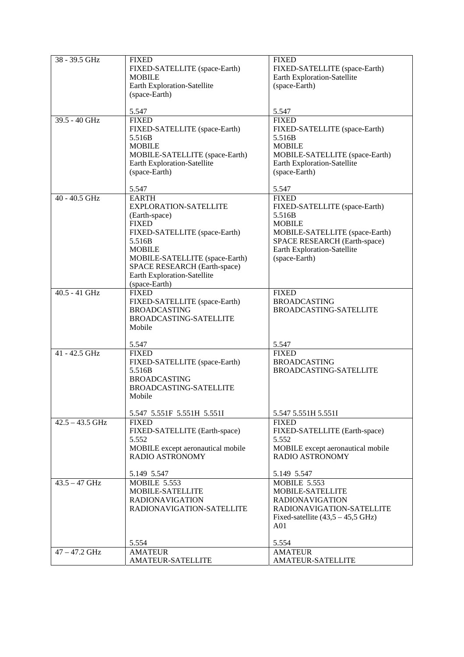| 38 - 39.5 GHz     | <b>FIXED</b><br>FIXED-SATELLITE (space-Earth)<br><b>MOBILE</b><br>Earth Exploration-Satellite<br>(space-Earth)                                                                                                                                       | <b>FIXED</b><br>FIXED-SATELLITE (space-Earth)<br>Earth Exploration-Satellite<br>(space-Earth)                                                                                              |
|-------------------|------------------------------------------------------------------------------------------------------------------------------------------------------------------------------------------------------------------------------------------------------|--------------------------------------------------------------------------------------------------------------------------------------------------------------------------------------------|
|                   | 5.547                                                                                                                                                                                                                                                | 5.547                                                                                                                                                                                      |
| 39.5 - 40 GHz     | <b>FIXED</b><br>FIXED-SATELLITE (space-Earth)<br>5.516B<br><b>MOBILE</b><br>MOBILE-SATELLITE (space-Earth)<br>Earth Exploration-Satellite<br>(space-Earth)                                                                                           | <b>FIXED</b><br>FIXED-SATELLITE (space-Earth)<br>5.516B<br><b>MOBILE</b><br>MOBILE-SATELLITE (space-Earth)<br>Earth Exploration-Satellite<br>(space-Earth)                                 |
|                   | 5.547                                                                                                                                                                                                                                                | 5.547                                                                                                                                                                                      |
| $40 - 40.5$ GHz   | <b>EARTH</b><br>EXPLORATION-SATELLITE<br>(Earth-space)<br><b>FIXED</b><br>FIXED-SATELLITE (space-Earth)<br>5.516B<br><b>MOBILE</b><br>MOBILE-SATELLITE (space-Earth)<br>SPACE RESEARCH (Earth-space)<br>Earth Exploration-Satellite<br>(space-Earth) | <b>FIXED</b><br>FIXED-SATELLITE (space-Earth)<br>5.516B<br><b>MOBILE</b><br>MOBILE-SATELLITE (space-Earth)<br>SPACE RESEARCH (Earth-space)<br>Earth Exploration-Satellite<br>(space-Earth) |
| 40.5 - 41 GHz     | <b>FIXED</b><br>FIXED-SATELLITE (space-Earth)<br><b>BROADCASTING</b><br><b>BROADCASTING-SATELLITE</b><br>Mobile                                                                                                                                      | <b>FIXED</b><br><b>BROADCASTING</b><br><b>BROADCASTING-SATELLITE</b>                                                                                                                       |
|                   | 5.547                                                                                                                                                                                                                                                | 5.547                                                                                                                                                                                      |
| 41 - 42.5 GHz     | <b>FIXED</b><br>FIXED-SATELLITE (space-Earth)<br>5.516B<br><b>BROADCASTING</b><br><b>BROADCASTING-SATELLITE</b><br>Mobile                                                                                                                            | <b>FIXED</b><br><b>BROADCASTING</b><br><b>BROADCASTING-SATELLITE</b>                                                                                                                       |
|                   | 5.547 5.551F 5.551H 5.551I                                                                                                                                                                                                                           | 5.547 5.551H 5.551I                                                                                                                                                                        |
| $42.5 - 43.5$ GHz | <b>FIXED</b><br>FIXED-SATELLITE (Earth-space)<br>5.552<br>MOBILE except aeronautical mobile<br><b>RADIO ASTRONOMY</b>                                                                                                                                | <b>FIXED</b><br>FIXED-SATELLITE (Earth-space)<br>5.552<br>MOBILE except aeronautical mobile<br><b>RADIO ASTRONOMY</b>                                                                      |
|                   | 5.149 5.547                                                                                                                                                                                                                                          | 5.149 5.547                                                                                                                                                                                |
| $43.5 - 47$ GHz   | <b>MOBILE 5.553</b><br>MOBILE-SATELLITE<br><b>RADIONAVIGATION</b><br>RADIONAVIGATION-SATELLITE                                                                                                                                                       | <b>MOBILE 5.553</b><br>MOBILE-SATELLITE<br><b>RADIONAVIGATION</b><br>RADIONAVIGATION-SATELLITE<br>Fixed-satellite $(43,5 - 45,5)$ GHz)<br>A <sub>01</sub>                                  |
|                   | 5.554                                                                                                                                                                                                                                                | 5.554                                                                                                                                                                                      |
| $47 - 47.2$ GHz   | <b>AMATEUR</b>                                                                                                                                                                                                                                       | <b>AMATEUR</b>                                                                                                                                                                             |
|                   | <b>AMATEUR-SATELLITE</b>                                                                                                                                                                                                                             | <b>AMATEUR-SATELLITE</b>                                                                                                                                                                   |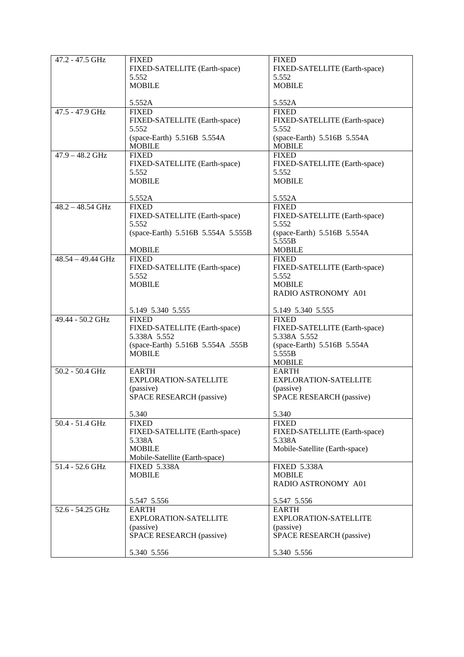| 47.2 - 47.5 GHz    | <b>FIXED</b>                           | <b>FIXED</b>                           |
|--------------------|----------------------------------------|----------------------------------------|
|                    | FIXED-SATELLITE (Earth-space)          | FIXED-SATELLITE (Earth-space)          |
|                    | 5.552                                  | 5.552                                  |
|                    | <b>MOBILE</b>                          | <b>MOBILE</b>                          |
|                    |                                        |                                        |
|                    | 5.552A                                 | 5.552A                                 |
| 47.5 - 47.9 GHz    | <b>FIXED</b>                           | <b>FIXED</b>                           |
|                    | FIXED-SATELLITE (Earth-space)          | FIXED-SATELLITE (Earth-space)          |
|                    | 5.552                                  | 5.552                                  |
|                    | (space-Earth) 5.516B 5.554A            | (space-Earth) 5.516B 5.554A            |
|                    | <b>MOBILE</b>                          | <b>MOBILE</b>                          |
|                    |                                        |                                        |
| $47.9 - 48.2$ GHz  | <b>FIXED</b>                           | <b>FIXED</b>                           |
|                    | FIXED-SATELLITE (Earth-space)          | FIXED-SATELLITE (Earth-space)          |
|                    | 5.552                                  | 5.552                                  |
|                    | <b>MOBILE</b>                          | <b>MOBILE</b>                          |
|                    | 5.552A                                 | 5.552A                                 |
| $48.2 - 48.54$ GHz | <b>FIXED</b>                           | <b>FIXED</b>                           |
|                    |                                        |                                        |
|                    | FIXED-SATELLITE (Earth-space)<br>5.552 | FIXED-SATELLITE (Earth-space)<br>5.552 |
|                    |                                        |                                        |
|                    | (space-Earth) 5.516B 5.554A 5.555B     | (space-Earth) 5.516B 5.554A            |
|                    |                                        | 5.555B                                 |
| 48.54 - 49.44 GHz  | <b>MOBILE</b><br><b>FIXED</b>          | <b>MOBILE</b><br><b>FIXED</b>          |
|                    | FIXED-SATELLITE (Earth-space)          | FIXED-SATELLITE (Earth-space)          |
|                    |                                        |                                        |
|                    | 5.552                                  | 5.552                                  |
|                    | <b>MOBILE</b>                          | <b>MOBILE</b>                          |
|                    |                                        | RADIO ASTRONOMY A01                    |
|                    | 5.149 5.340 5.555                      | 5.149 5.340 5.555                      |
| 49.44 - 50.2 GHz   | <b>FIXED</b>                           | <b>FIXED</b>                           |
|                    | FIXED-SATELLITE (Earth-space)          | FIXED-SATELLITE (Earth-space)          |
|                    | 5.338A 5.552                           | 5.338A 5.552                           |
|                    | (space-Earth) 5.516B 5.554A .555B      | (space-Earth) 5.516B 5.554A            |
|                    | <b>MOBILE</b>                          | 5.555B                                 |
|                    |                                        | <b>MOBILE</b>                          |
| $50.2 - 50.4$ GHz  | <b>EARTH</b>                           | <b>EARTH</b>                           |
|                    | EXPLORATION-SATELLITE                  | <b>EXPLORATION-SATELLITE</b>           |
|                    | (passive)                              |                                        |
|                    |                                        | (passive)                              |
|                    | <b>SPACE RESEARCH (passive)</b>        | SPACE RESEARCH (passive)               |
|                    | 5.340                                  | 5.340                                  |
| 50.4 - 51.4 GHz    | <b>FIXED</b>                           | <b>FIXED</b>                           |
|                    | FIXED-SATELLITE (Earth-space)          | FIXED-SATELLITE (Earth-space)          |
|                    | 5.338A                                 | 5.338A                                 |
|                    | <b>MOBILE</b>                          | Mobile-Satellite (Earth-space)         |
|                    | Mobile-Satellite (Earth-space)         |                                        |
| 51.4 - 52.6 GHz    | <b>FIXED 5.338A</b>                    | <b>FIXED 5.338A</b>                    |
|                    | <b>MOBILE</b>                          | <b>MOBILE</b>                          |
|                    |                                        | RADIO ASTRONOMY A01                    |
|                    |                                        |                                        |
|                    | 5.547 5.556                            | 5.547 5.556                            |
| 52.6 - 54.25 GHz   | <b>EARTH</b>                           | <b>EARTH</b>                           |
|                    | EXPLORATION-SATELLITE                  | EXPLORATION-SATELLITE                  |
|                    | (passive)                              | (passive)                              |
|                    | SPACE RESEARCH (passive)               | <b>SPACE RESEARCH (passive)</b>        |
|                    |                                        |                                        |
|                    | 5.340 5.556                            | 5.340 5.556                            |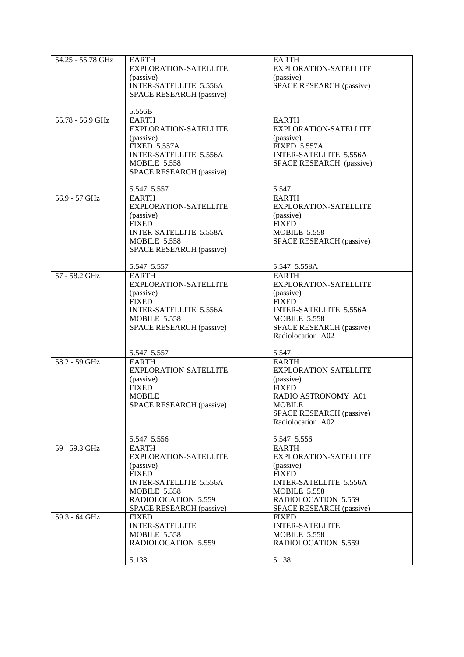| 54.25 - 55.78 GHz | <b>EARTH</b>                    | <b>EARTH</b>                    |
|-------------------|---------------------------------|---------------------------------|
|                   | EXPLORATION-SATELLITE           | EXPLORATION-SATELLITE           |
|                   | (passive)                       | (passive)                       |
|                   | <b>INTER-SATELLITE 5.556A</b>   | SPACE RESEARCH (passive)        |
|                   | SPACE RESEARCH (passive)        |                                 |
|                   |                                 |                                 |
|                   |                                 |                                 |
|                   | 5.556B                          |                                 |
| 55.78 - 56.9 GHz  | <b>EARTH</b>                    | <b>EARTH</b>                    |
|                   | <b>EXPLORATION-SATELLITE</b>    | EXPLORATION-SATELLITE           |
|                   | (passive)                       | (passive)                       |
|                   |                                 |                                 |
|                   | <b>FIXED 5.557A</b>             | <b>FIXED 5.557A</b>             |
|                   | INTER-SATELLITE 5.556A          | <b>INTER-SATELLITE 5.556A</b>   |
|                   | <b>MOBILE 5.558</b>             | SPACE RESEARCH (passive)        |
|                   | SPACE RESEARCH (passive)        |                                 |
|                   |                                 |                                 |
|                   | 5.547 5.557                     | 5.547                           |
|                   |                                 |                                 |
| $56.9 - 57$ GHz   | <b>EARTH</b>                    | <b>EARTH</b>                    |
|                   | <b>EXPLORATION-SATELLITE</b>    | <b>EXPLORATION-SATELLITE</b>    |
|                   | (passive)                       | (passive)                       |
|                   | <b>FIXED</b>                    | <b>FIXED</b>                    |
|                   | <b>INTER-SATELLITE 5.558A</b>   | <b>MOBILE 5.558</b>             |
|                   |                                 |                                 |
|                   | <b>MOBILE 5.558</b>             | SPACE RESEARCH (passive)        |
|                   | SPACE RESEARCH (passive)        |                                 |
|                   |                                 |                                 |
|                   | 5.547 5.557                     | 5.547 5.558A                    |
| 57 - 58.2 GHz     | <b>EARTH</b>                    | <b>EARTH</b>                    |
|                   | <b>EXPLORATION-SATELLITE</b>    | <b>EXPLORATION-SATELLITE</b>    |
|                   |                                 |                                 |
|                   | (passive)                       | (passive)                       |
|                   | <b>FIXED</b>                    | <b>FIXED</b>                    |
|                   | <b>INTER-SATELLITE 5.556A</b>   | <b>INTER-SATELLITE 5.556A</b>   |
|                   | <b>MOBILE 5.558</b>             | <b>MOBILE 5.558</b>             |
|                   | <b>SPACE RESEARCH (passive)</b> | <b>SPACE RESEARCH (passive)</b> |
|                   |                                 |                                 |
|                   |                                 | Radiolocation A02               |
|                   |                                 |                                 |
|                   | 5.547 5.557                     | 5.547                           |
| 58.2 - 59 GHz     | <b>EARTH</b>                    | <b>EARTH</b>                    |
|                   | EXPLORATION-SATELLITE           | <b>EXPLORATION-SATELLITE</b>    |
|                   | (passive)                       | (passive)                       |
|                   |                                 |                                 |
|                   | <b>FIXED</b>                    | <b>FIXED</b>                    |
|                   | <b>MOBILE</b>                   | RADIO ASTRONOMY A01             |
|                   | SPACE RESEARCH (passive)        | <b>MOBILE</b>                   |
|                   |                                 | SPACE RESEARCH (passive)        |
|                   |                                 | Radiolocation A02               |
|                   |                                 |                                 |
|                   | 5.547 5.556                     |                                 |
|                   |                                 | 5.547 5.556                     |
| 59 - 59.3 GHz     | <b>EARTH</b>                    | <b>EARTH</b>                    |
|                   | <b>EXPLORATION-SATELLITE</b>    | <b>EXPLORATION-SATELLITE</b>    |
|                   | (passive)                       | (passive)                       |
|                   | <b>FIXED</b>                    | <b>FIXED</b>                    |
|                   | <b>INTER-SATELLITE 5.556A</b>   | <b>INTER-SATELLITE 5.556A</b>   |
|                   | <b>MOBILE 5.558</b>             | <b>MOBILE 5.558</b>             |
|                   |                                 |                                 |
|                   | RADIOLOCATION 5.559             | RADIOLOCATION 5.559             |
|                   | SPACE RESEARCH (passive)        | SPACE RESEARCH (passive)        |
| 59.3 - 64 GHz     | <b>FIXED</b>                    | <b>FIXED</b>                    |
|                   | <b>INTER-SATELLITE</b>          | <b>INTER-SATELLITE</b>          |
|                   | <b>MOBILE 5.558</b>             | <b>MOBILE 5.558</b>             |
|                   |                                 |                                 |
|                   | RADIOLOCATION 5.559             | RADIOLOCATION 5.559             |
|                   |                                 |                                 |
|                   | 5.138                           | 5.138                           |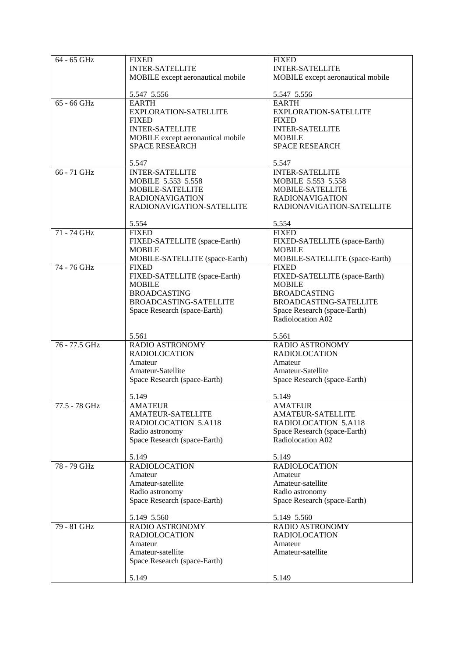| $64 - 65$ GHz | <b>FIXED</b>                      | <b>FIXED</b>                      |
|---------------|-----------------------------------|-----------------------------------|
|               | <b>INTER-SATELLITE</b>            | <b>INTER-SATELLITE</b>            |
|               |                                   |                                   |
|               | MOBILE except aeronautical mobile | MOBILE except aeronautical mobile |
|               |                                   |                                   |
|               |                                   |                                   |
|               | 5.547 5.556                       | 5.547 5.556                       |
| $65 - 66$ GHz | <b>EARTH</b>                      | <b>EARTH</b>                      |
|               |                                   |                                   |
|               | EXPLORATION-SATELLITE             | EXPLORATION-SATELLITE             |
|               | <b>FIXED</b>                      | <b>FIXED</b>                      |
|               |                                   |                                   |
|               | <b>INTER-SATELLITE</b>            | <b>INTER-SATELLITE</b>            |
|               | MOBILE except aeronautical mobile | <b>MOBILE</b>                     |
|               |                                   |                                   |
|               | <b>SPACE RESEARCH</b>             | <b>SPACE RESEARCH</b>             |
|               |                                   |                                   |
|               | 5.547                             | 5.547                             |
|               |                                   |                                   |
| 66 - 71 GHz   | <b>INTER-SATELLITE</b>            | <b>INTER-SATELLITE</b>            |
|               | MOBILE 5.553 5.558                | MOBILE 5.553 5.558                |
|               |                                   |                                   |
|               | MOBILE-SATELLITE                  | MOBILE-SATELLITE                  |
|               | <b>RADIONAVIGATION</b>            | <b>RADIONAVIGATION</b>            |
|               |                                   |                                   |
|               | RADIONAVIGATION-SATELLITE         | RADIONAVIGATION-SATELLITE         |
|               |                                   |                                   |
|               |                                   |                                   |
|               | 5.554                             | 5.554                             |
| 71 - 74 GHz   | <b>FIXED</b>                      | <b>FIXED</b>                      |
|               |                                   |                                   |
|               | FIXED-SATELLITE (space-Earth)     | FIXED-SATELLITE (space-Earth)     |
|               | <b>MOBILE</b>                     | <b>MOBILE</b>                     |
|               | MOBILE-SATELLITE (space-Earth)    | MOBILE-SATELLITE (space-Earth)    |
|               |                                   |                                   |
| 74 - 76 GHz   | <b>FIXED</b>                      | <b>FIXED</b>                      |
|               | FIXED-SATELLITE (space-Earth)     | FIXED-SATELLITE (space-Earth)     |
|               |                                   |                                   |
|               | <b>MOBILE</b>                     | <b>MOBILE</b>                     |
|               | <b>BROADCASTING</b>               | <b>BROADCASTING</b>               |
|               |                                   |                                   |
|               | BROADCASTING-SATELLITE            | BROADCASTING-SATELLITE            |
|               | Space Research (space-Earth)      | Space Research (space-Earth)      |
|               |                                   |                                   |
|               |                                   | Radiolocation A02                 |
|               |                                   |                                   |
|               | 5.561                             | 5.561                             |
|               |                                   |                                   |
| 76 - 77.5 GHz | RADIO ASTRONOMY                   | RADIO ASTRONOMY                   |
|               | <b>RADIOLOCATION</b>              | <b>RADIOLOCATION</b>              |
|               |                                   |                                   |
|               | Amateur                           | Amateur                           |
|               | Amateur-Satellite                 | Amateur-Satellite                 |
|               |                                   |                                   |
|               | Space Research (space-Earth)      | Space Research (space-Earth)      |
|               |                                   |                                   |
|               | 5.149                             | 5.149                             |
|               |                                   |                                   |
| 77.5 - 78 GHz | AMATEUR                           | <b>AMATEUR</b>                    |
|               | <b>AMATEUR-SATELLITE</b>          | AMATEUR-SATELLITE                 |
|               |                                   |                                   |
|               | RADIOLOCATION 5.A118              | <b>RADIOLOCATION 5.A118</b>       |
|               | Radio astronomy                   | Space Research (space-Earth)      |
|               | Space Research (space-Earth)      | Radiolocation A02                 |
|               |                                   |                                   |
|               |                                   |                                   |
|               | 5.149                             | 5.149                             |
|               |                                   |                                   |
| 78 - 79 GHz   | <b>RADIOLOCATION</b>              | <b>RADIOLOCATION</b>              |
|               | Amateur                           | Amateur                           |
|               | Amateur-satellite                 | Amateur-satellite                 |
|               |                                   |                                   |
|               | Radio astronomy                   | Radio astronomy                   |
|               | Space Research (space-Earth)      | Space Research (space-Earth)      |
|               |                                   |                                   |
|               |                                   |                                   |
|               | 5.149 5.560                       | 5.149 5.560                       |
|               | RADIO ASTRONOMY                   |                                   |
| 79 - 81 GHz   |                                   | RADIO ASTRONOMY                   |
|               |                                   |                                   |
|               | <b>RADIOLOCATION</b>              | <b>RADIOLOCATION</b>              |
|               |                                   |                                   |
|               | Amateur                           | Amateur                           |
|               | Amateur-satellite                 | Amateur-satellite                 |
|               |                                   |                                   |
|               | Space Research (space-Earth)      |                                   |
|               |                                   |                                   |
|               | 5.149                             | 5.149                             |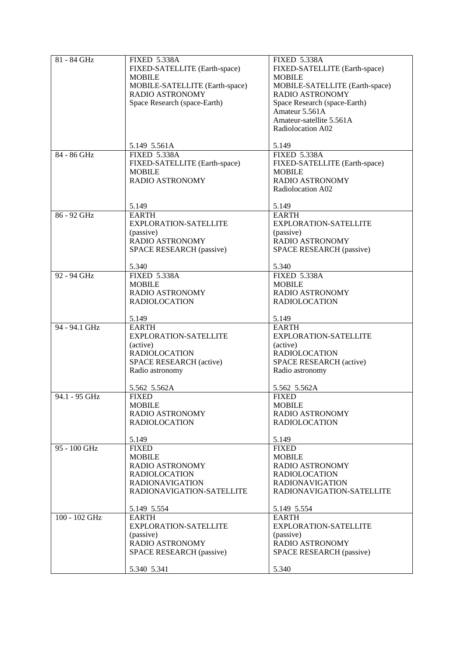| 81 - 84 GHz   | <b>FIXED 5.338A</b>            | <b>FIXED 5.338A</b>             |
|---------------|--------------------------------|---------------------------------|
|               | FIXED-SATELLITE (Earth-space)  | FIXED-SATELLITE (Earth-space)   |
|               | <b>MOBILE</b>                  | <b>MOBILE</b>                   |
|               |                                |                                 |
|               | MOBILE-SATELLITE (Earth-space) | MOBILE-SATELLITE (Earth-space)  |
|               | RADIO ASTRONOMY                | <b>RADIO ASTRONOMY</b>          |
|               |                                |                                 |
|               | Space Research (space-Earth)   | Space Research (space-Earth)    |
|               |                                | Amateur 5.561A                  |
|               |                                | Amateur-satellite 5.561A        |
|               |                                |                                 |
|               |                                | Radiolocation A02               |
|               |                                |                                 |
|               |                                |                                 |
|               | 5.149 5.561A                   | 5.149                           |
| 84 - 86 GHz   | <b>FIXED 5.338A</b>            | <b>FIXED 5.338A</b>             |
|               | FIXED-SATELLITE (Earth-space)  | FIXED-SATELLITE (Earth-space)   |
|               |                                |                                 |
|               | <b>MOBILE</b>                  | <b>MOBILE</b>                   |
|               | RADIO ASTRONOMY                | <b>RADIO ASTRONOMY</b>          |
|               |                                | Radiolocation A02               |
|               |                                |                                 |
|               |                                |                                 |
|               | 5.149                          | 5.149                           |
| $86 - 92$ GHz | <b>EARTH</b>                   | <b>EARTH</b>                    |
|               |                                |                                 |
|               | EXPLORATION-SATELLITE          | <b>EXPLORATION-SATELLITE</b>    |
|               | (passive)                      | (passive)                       |
|               | RADIO ASTRONOMY                | RADIO ASTRONOMY                 |
|               |                                |                                 |
|               | SPACE RESEARCH (passive)       | <b>SPACE RESEARCH (passive)</b> |
|               |                                |                                 |
|               | 5.340                          | 5.340                           |
|               |                                |                                 |
| 92 - 94 GHz   | <b>FIXED 5.338A</b>            | <b>FIXED 5.338A</b>             |
|               | <b>MOBILE</b>                  | <b>MOBILE</b>                   |
|               | RADIO ASTRONOMY                | RADIO ASTRONOMY                 |
|               |                                |                                 |
|               | <b>RADIOLOCATION</b>           | <b>RADIOLOCATION</b>            |
|               |                                |                                 |
|               | 5.149                          | 5.149                           |
| 94 - 94.1 GHz |                                |                                 |
|               | <b>EARTH</b>                   | <b>EARTH</b>                    |
|               | EXPLORATION-SATELLITE          | <b>EXPLORATION-SATELLITE</b>    |
|               | (active)                       | (active)                        |
|               |                                |                                 |
|               | <b>RADIOLOCATION</b>           | <b>RADIOLOCATION</b>            |
|               | SPACE RESEARCH (active)        | <b>SPACE RESEARCH (active)</b>  |
|               | Radio astronomy                | Radio astronomy                 |
|               |                                |                                 |
|               |                                |                                 |
|               | 5.562 5.562A                   | 5.562 5.562A                    |
| 94.1 - 95 GHz | <b>FIXED</b>                   | <b>FIXED</b>                    |
|               |                                |                                 |
|               | MOBILE                         | <b>MOBILE</b>                   |
|               | RADIO ASTRONOMY                | RADIO ASTRONOMY                 |
|               | <b>RADIOLOCATION</b>           | <b>RADIOLOCATION</b>            |
|               |                                |                                 |
|               |                                |                                 |
|               | 5.149                          | 5.149                           |
| 95 - 100 GHz  | <b>FIXED</b>                   | <b>FIXED</b>                    |
|               | <b>MOBILE</b>                  | <b>MOBILE</b>                   |
|               |                                |                                 |
|               | <b>RADIO ASTRONOMY</b>         | RADIO ASTRONOMY                 |
|               | <b>RADIOLOCATION</b>           | <b>RADIOLOCATION</b>            |
|               | <b>RADIONAVIGATION</b>         | <b>RADIONAVIGATION</b>          |
|               |                                |                                 |
|               | RADIONAVIGATION-SATELLITE      | RADIONAVIGATION-SATELLITE       |
|               |                                |                                 |
|               | 5.149 5.554                    | 5.149 5.554                     |
| 100 - 102 GHz | <b>EARTH</b>                   | <b>EARTH</b>                    |
|               |                                |                                 |
|               | <b>EXPLORATION-SATELLITE</b>   | <b>EXPLORATION-SATELLITE</b>    |
|               | (passive)                      | (passive)                       |
|               | RADIO ASTRONOMY                | RADIO ASTRONOMY                 |
|               |                                |                                 |
|               | SPACE RESEARCH (passive)       | <b>SPACE RESEARCH (passive)</b> |
|               |                                |                                 |
|               | 5.340 5.341                    | 5.340                           |
|               |                                |                                 |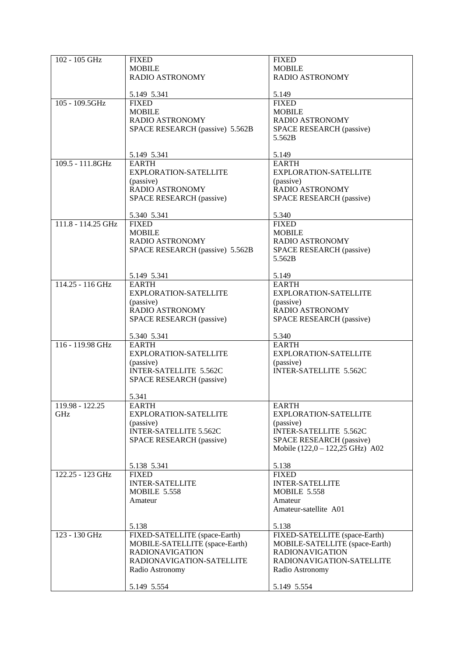| 102 - 105 GHz      | <b>FIXED</b>                    | <b>FIXED</b>                    |
|--------------------|---------------------------------|---------------------------------|
|                    | <b>MOBILE</b>                   | <b>MOBILE</b>                   |
|                    | <b>RADIO ASTRONOMY</b>          | RADIO ASTRONOMY                 |
|                    |                                 |                                 |
|                    |                                 |                                 |
|                    | 5.149 5.341                     | 5.149                           |
| 105 - 109.5GHz     | <b>FIXED</b>                    | <b>FIXED</b>                    |
|                    | <b>MOBILE</b>                   | <b>MOBILE</b>                   |
|                    |                                 |                                 |
|                    | <b>RADIO ASTRONOMY</b>          | RADIO ASTRONOMY                 |
|                    | SPACE RESEARCH (passive) 5.562B | SPACE RESEARCH (passive)        |
|                    |                                 | 5.562B                          |
|                    |                                 |                                 |
|                    | 5.149 5.341                     | 5.149                           |
|                    |                                 |                                 |
| 109.5 - 111.8GHz   | <b>EARTH</b>                    | <b>EARTH</b>                    |
|                    | EXPLORATION-SATELLITE           | <b>EXPLORATION-SATELLITE</b>    |
|                    | (passive)                       | (passive)                       |
|                    | RADIO ASTRONOMY                 | RADIO ASTRONOMY                 |
|                    |                                 |                                 |
|                    | SPACE RESEARCH (passive)        | SPACE RESEARCH (passive)        |
|                    |                                 |                                 |
|                    | 5.340 5.341                     | 5.340                           |
| 111.8 - 114.25 GHz | <b>FIXED</b>                    | <b>FIXED</b>                    |
|                    | <b>MOBILE</b>                   | <b>MOBILE</b>                   |
|                    | <b>RADIO ASTRONOMY</b>          | RADIO ASTRONOMY                 |
|                    |                                 |                                 |
|                    | SPACE RESEARCH (passive) 5.562B | <b>SPACE RESEARCH (passive)</b> |
|                    |                                 | 5.562B                          |
|                    |                                 |                                 |
|                    | 5.149 5.341                     | 5.149                           |
| 114.25 - 116 GHz   | <b>EARTH</b>                    | <b>EARTH</b>                    |
|                    |                                 |                                 |
|                    | EXPLORATION-SATELLITE           | <b>EXPLORATION-SATELLITE</b>    |
|                    | (passive)                       | (passive)                       |
|                    | RADIO ASTRONOMY                 | RADIO ASTRONOMY                 |
|                    | SPACE RESEARCH (passive)        | SPACE RESEARCH (passive)        |
|                    |                                 |                                 |
|                    |                                 |                                 |
|                    | 5.340 5.341                     | 5.340                           |
| 116 - 119.98 GHz   | <b>EARTH</b>                    | <b>EARTH</b>                    |
|                    | EXPLORATION-SATELLITE           | <b>EXPLORATION-SATELLITE</b>    |
|                    | (passive)                       | (passive)                       |
|                    | INTER-SATELLITE 5.562C          | <b>INTER-SATELLITE 5.562C</b>   |
|                    |                                 |                                 |
|                    | <b>SPACE RESEARCH (passive)</b> |                                 |
|                    |                                 |                                 |
|                    | 5.341                           |                                 |
| 119.98 - 122.25    | <b>EARTH</b>                    | <b>EARTH</b>                    |
| GHz                | <b>EXPLORATION-SATELLITE</b>    | <b>EXPLORATION-SATELLITE</b>    |
|                    | (passive)                       | (passive)                       |
|                    |                                 |                                 |
|                    | <b>INTER-SATELLITE 5.562C</b>   | <b>INTER-SATELLITE 5.562C</b>   |
|                    | SPACE RESEARCH (passive)        | SPACE RESEARCH (passive)        |
|                    |                                 | Mobile (122,0 - 122,25 GHz) A02 |
|                    |                                 |                                 |
|                    | 5.138 5.341                     | 5.138                           |
| 122.25 - 123 GHz   | <b>FIXED</b>                    | <b>FIXED</b>                    |
|                    |                                 |                                 |
|                    | <b>INTER-SATELLITE</b>          | <b>INTER-SATELLITE</b>          |
|                    | <b>MOBILE 5.558</b>             | <b>MOBILE 5.558</b>             |
|                    | Amateur                         | Amateur                         |
|                    |                                 | Amateur-satellite A01           |
|                    |                                 |                                 |
|                    | 5.138                           | 5.138                           |
|                    |                                 |                                 |
| 123 - 130 GHz      | FIXED-SATELLITE (space-Earth)   | FIXED-SATELLITE (space-Earth)   |
|                    | MOBILE-SATELLITE (space-Earth)  | MOBILE-SATELLITE (space-Earth)  |
|                    | <b>RADIONAVIGATION</b>          | <b>RADIONAVIGATION</b>          |
|                    | RADIONAVIGATION-SATELLITE       | RADIONAVIGATION-SATELLITE       |
|                    | Radio Astronomy                 | Radio Astronomy                 |
|                    |                                 |                                 |
|                    |                                 |                                 |
|                    | 5.149 5.554                     | 5.149 5.554                     |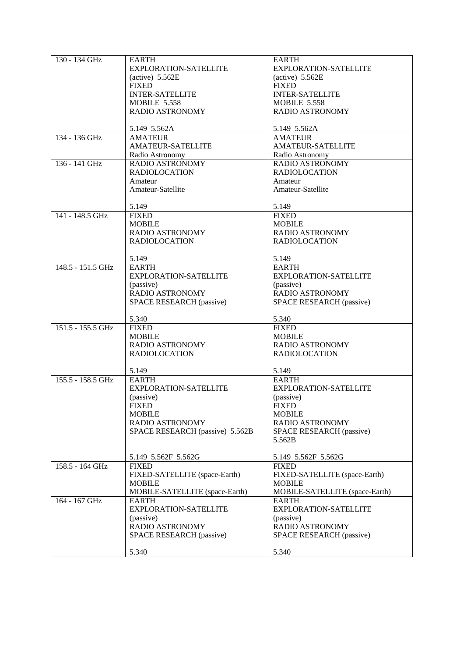| 130 - 134 GHz     | <b>EARTH</b>                    | <b>EARTH</b>                   |
|-------------------|---------------------------------|--------------------------------|
|                   | EXPLORATION-SATELLITE           | EXPLORATION-SATELLITE          |
|                   |                                 |                                |
|                   | $(active)$ 5.562E               | (active) $5.562E$              |
|                   | <b>FIXED</b>                    | <b>FIXED</b>                   |
|                   | <b>INTER-SATELLITE</b>          | <b>INTER-SATELLITE</b>         |
|                   | <b>MOBILE 5.558</b>             | <b>MOBILE 5.558</b>            |
|                   | <b>RADIO ASTRONOMY</b>          | RADIO ASTRONOMY                |
|                   |                                 |                                |
|                   | 5.149 5.562A                    | 5.149 5.562A                   |
|                   |                                 |                                |
| 134 - 136 GHz     | <b>AMATEUR</b>                  | <b>AMATEUR</b>                 |
|                   | <b>AMATEUR-SATELLITE</b>        | <b>AMATEUR-SATELLITE</b>       |
|                   | Radio Astronomy                 | Radio Astronomy                |
| 136 - 141 GHz     | <b>RADIO ASTRONOMY</b>          | <b>RADIO ASTRONOMY</b>         |
|                   | <b>RADIOLOCATION</b>            | <b>RADIOLOCATION</b>           |
|                   | Amateur                         | Amateur                        |
|                   |                                 |                                |
|                   | Amateur-Satellite               | Amateur-Satellite              |
|                   |                                 |                                |
|                   | 5.149                           | 5.149                          |
| 141 - 148.5 GHz   | <b>FIXED</b>                    | <b>FIXED</b>                   |
|                   | <b>MOBILE</b>                   | <b>MOBILE</b>                  |
|                   | <b>RADIO ASTRONOMY</b>          | <b>RADIO ASTRONOMY</b>         |
|                   | <b>RADIOLOCATION</b>            | <b>RADIOLOCATION</b>           |
|                   |                                 |                                |
|                   | 5.149                           | 5.149                          |
| 148.5 - 151.5 GHz | <b>EARTH</b>                    | <b>EARTH</b>                   |
|                   |                                 |                                |
|                   | EXPLORATION-SATELLITE           | EXPLORATION-SATELLITE          |
|                   | (passive)                       | (passive)                      |
|                   | RADIO ASTRONOMY                 | RADIO ASTRONOMY                |
|                   | SPACE RESEARCH (passive)        | SPACE RESEARCH (passive)       |
|                   |                                 |                                |
|                   | 5.340                           | 5.340                          |
| 151.5 - 155.5 GHz | <b>FIXED</b>                    | <b>FIXED</b>                   |
|                   | <b>MOBILE</b>                   | <b>MOBILE</b>                  |
|                   | <b>RADIO ASTRONOMY</b>          | RADIO ASTRONOMY                |
|                   |                                 |                                |
|                   | <b>RADIOLOCATION</b>            | <b>RADIOLOCATION</b>           |
|                   |                                 |                                |
|                   | 5.149                           | 5.149                          |
| 155.5 - 158.5 GHz | <b>EARTH</b>                    | <b>EARTH</b>                   |
|                   | EXPLORATION-SATELLITE           | <b>EXPLORATION-SATELLITE</b>   |
|                   | (passive)                       | (passive)                      |
|                   | <b>FIXED</b>                    | <b>FIXED</b>                   |
|                   | <b>MOBILE</b>                   | <b>MOBILE</b>                  |
|                   |                                 |                                |
|                   | <b>RADIO ASTRONOMY</b>          | <b>RADIO ASTRONOMY</b>         |
|                   | SPACE RESEARCH (passive) 5.562B | SPACE RESEARCH (passive)       |
|                   |                                 | 5.562B                         |
|                   |                                 |                                |
|                   | 5.149 5.562F 5.562G             | 5.149 5.562F 5.562G            |
| 158.5 - 164 GHz   | <b>FIXED</b>                    | <b>FIXED</b>                   |
|                   | FIXED-SATELLITE (space-Earth)   | FIXED-SATELLITE (space-Earth)  |
|                   | <b>MOBILE</b>                   | <b>MOBILE</b>                  |
|                   | MOBILE-SATELLITE (space-Earth)  | MOBILE-SATELLITE (space-Earth) |
| 164 - 167 GHz     | EARTH                           | EARTH                          |
|                   | EXPLORATION-SATELLITE           | <b>EXPLORATION-SATELLITE</b>   |
|                   |                                 |                                |
|                   | (passive)                       | (passive)                      |
|                   | RADIO ASTRONOMY                 | RADIO ASTRONOMY                |
|                   | SPACE RESEARCH (passive)        | SPACE RESEARCH (passive)       |
|                   |                                 |                                |
|                   | 5.340                           | 5.340                          |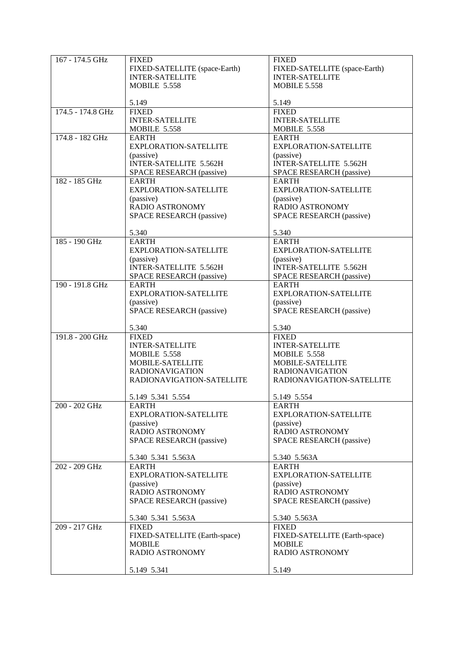| 167 - 174.5 GHz   | <b>FIXED</b>                    | <b>FIXED</b>                    |
|-------------------|---------------------------------|---------------------------------|
|                   | FIXED-SATELLITE (space-Earth)   | FIXED-SATELLITE (space-Earth)   |
|                   | <b>INTER-SATELLITE</b>          | <b>INTER-SATELLITE</b>          |
|                   | <b>MOBILE 5.558</b>             | <b>MOBILE 5.558</b>             |
|                   |                                 |                                 |
|                   | 5.149                           | 5.149                           |
| 174.5 - 174.8 GHz | <b>FIXED</b>                    | <b>FIXED</b>                    |
|                   | <b>INTER-SATELLITE</b>          | <b>INTER-SATELLITE</b>          |
|                   | <b>MOBILE 5.558</b>             | <b>MOBILE 5.558</b>             |
| 174.8 - 182 GHz   | <b>EARTH</b>                    | <b>EARTH</b>                    |
|                   | EXPLORATION-SATELLITE           | <b>EXPLORATION-SATELLITE</b>    |
|                   | (passive)                       | (passive)                       |
|                   | <b>INTER-SATELLITE 5.562H</b>   | <b>INTER-SATELLITE 5.562H</b>   |
|                   |                                 |                                 |
| 182 - 185 GHz     | SPACE RESEARCH (passive)        | SPACE RESEARCH (passive)        |
|                   | <b>EARTH</b>                    | <b>EARTH</b>                    |
|                   | EXPLORATION-SATELLITE           | EXPLORATION-SATELLITE           |
|                   | (passive)                       | (passive)                       |
|                   | RADIO ASTRONOMY                 | RADIO ASTRONOMY                 |
|                   | SPACE RESEARCH (passive)        | SPACE RESEARCH (passive)        |
|                   |                                 | 5.340                           |
| 185 - 190 GHz     | 5.340<br><b>EARTH</b>           | <b>EARTH</b>                    |
|                   | EXPLORATION-SATELLITE           | EXPLORATION-SATELLITE           |
|                   |                                 |                                 |
|                   | (passive)                       | (passive)                       |
|                   | INTER-SATELLITE 5.562H          | <b>INTER-SATELLITE 5.562H</b>   |
|                   | <b>SPACE RESEARCH (passive)</b> | SPACE RESEARCH (passive)        |
| 190 - 191.8 GHz   | <b>EARTH</b>                    | <b>EARTH</b>                    |
|                   | <b>EXPLORATION-SATELLITE</b>    | <b>EXPLORATION-SATELLITE</b>    |
|                   | (passive)                       | (passive)                       |
|                   | <b>SPACE RESEARCH (passive)</b> | <b>SPACE RESEARCH (passive)</b> |
|                   |                                 |                                 |
|                   | 5.340                           | 5.340                           |
| 191.8 - 200 GHz   | <b>FIXED</b>                    | <b>FIXED</b>                    |
|                   | <b>INTER-SATELLITE</b>          | <b>INTER-SATELLITE</b>          |
|                   | <b>MOBILE 5.558</b>             | <b>MOBILE 5.558</b>             |
|                   | MOBILE-SATELLITE                | MOBILE-SATELLITE                |
|                   | <b>RADIONAVIGATION</b>          | <b>RADIONAVIGATION</b>          |
|                   | RADIONAVIGATION-SATELLITE       | RADIONAVIGATION-SATELLITE       |
|                   | 5.149 5.341 5.554               | 5.149 5.554                     |
| 200 - 202 GHz     |                                 |                                 |
|                   | EARTH<br>EXPLORATION-SATELLITE  | EARTH<br>EXPLORATION-SATELLITE  |
|                   | (passive)                       |                                 |
|                   | RADIO ASTRONOMY                 | (passive)<br>RADIO ASTRONOMY    |
|                   |                                 |                                 |
|                   | <b>SPACE RESEARCH (passive)</b> | <b>SPACE RESEARCH (passive)</b> |
|                   | 5.340 5.341 5.563A              | 5.340 5.563A                    |
| 202 - 209 GHz     | <b>EARTH</b>                    | <b>EARTH</b>                    |
|                   | EXPLORATION-SATELLITE           | EXPLORATION-SATELLITE           |
|                   | (passive)                       | (passive)                       |
|                   | <b>RADIO ASTRONOMY</b>          | RADIO ASTRONOMY                 |
|                   | SPACE RESEARCH (passive)        | SPACE RESEARCH (passive)        |
|                   |                                 |                                 |
|                   | 5.340 5.341 5.563A              | 5.340 5.563A                    |
| 209 - 217 GHz     | <b>FIXED</b>                    | <b>FIXED</b>                    |
|                   | FIXED-SATELLITE (Earth-space)   | FIXED-SATELLITE (Earth-space)   |
|                   | <b>MOBILE</b>                   | <b>MOBILE</b>                   |
|                   | RADIO ASTRONOMY                 | RADIO ASTRONOMY                 |
|                   |                                 |                                 |
|                   | 5.149 5.341                     | 5.149                           |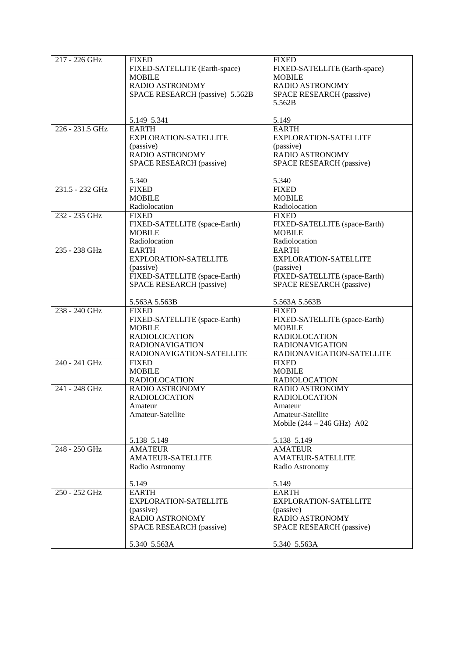| 217 - 226 GHz<br><b>FIXED</b><br><b>FIXED</b>       |                                      |
|-----------------------------------------------------|--------------------------------------|
|                                                     |                                      |
| FIXED-SATELLITE (Earth-space)                       | FIXED-SATELLITE (Earth-space)        |
| <b>MOBILE</b><br><b>MOBILE</b>                      |                                      |
| RADIO ASTRONOMY<br>RADIO ASTRONOMY                  |                                      |
| SPACE RESEARCH (passive) 5.562B                     | SPACE RESEARCH (passive)             |
| 5.562B                                              |                                      |
|                                                     |                                      |
| 5.149 5.341<br>5.149                                |                                      |
| 226 - 231.5 GHz<br><b>EARTH</b><br><b>EARTH</b>     |                                      |
| EXPLORATION-SATELLITE                               | EXPLORATION-SATELLITE                |
|                                                     |                                      |
| (passive)<br>(passive)                              |                                      |
| RADIO ASTRONOMY<br>RADIO ASTRONOMY                  |                                      |
| SPACE RESEARCH (passive)                            | SPACE RESEARCH (passive)             |
| 5.340<br>5.340                                      |                                      |
| <b>FIXED</b><br>231.5 - 232 GHz<br><b>FIXED</b>     |                                      |
| <b>MOBILE</b><br><b>MOBILE</b>                      |                                      |
|                                                     |                                      |
| Radiolocation<br>Radiolocation                      |                                      |
| 232 - 235 GHz<br><b>FIXED</b><br><b>FIXED</b>       |                                      |
| FIXED-SATELLITE (space-Earth)                       | FIXED-SATELLITE (space-Earth)        |
| <b>MOBILE</b><br><b>MOBILE</b>                      |                                      |
| Radiolocation<br>Radiolocation                      |                                      |
| 235 - 238 GHz<br><b>EARTH</b><br><b>EARTH</b>       |                                      |
| <b>EXPLORATION-SATELLITE</b>                        | <b>EXPLORATION-SATELLITE</b>         |
| (passive)<br>(passive)                              |                                      |
|                                                     |                                      |
| FIXED-SATELLITE (space-Earth)                       | FIXED-SATELLITE (space-Earth)        |
| SPACE RESEARCH (passive)                            | <b>SPACE RESEARCH (passive)</b>      |
| 5.563A 5.563B<br>5.563A 5.563B                      |                                      |
| 238 - 240 GHz<br><b>FIXED</b><br><b>FIXED</b>       |                                      |
|                                                     |                                      |
| FIXED-SATELLITE (space-Earth)                       | FIXED-SATELLITE (space-Earth)        |
| <b>MOBILE</b><br><b>MOBILE</b>                      |                                      |
| <b>RADIOLOCATION</b><br><b>RADIOLOCATION</b>        |                                      |
| <b>RADIONAVIGATION</b><br><b>RADIONAVIGATION</b>    |                                      |
| RADIONAVIGATION-SATELLITE                           | RADIONAVIGATION-SATELLITE            |
| 240 - 241 GHz<br><b>FIXED</b><br><b>FIXED</b>       |                                      |
| <b>MOBILE</b><br><b>MOBILE</b>                      |                                      |
| <b>RADIOLOCATION</b><br><b>RADIOLOCATION</b>        |                                      |
| 241 - 248 GHz<br>RADIO ASTRONOMY<br>RADIO ASTRONOMY |                                      |
| <b>RADIOLOCATION</b><br><b>RADIOLOCATION</b>        |                                      |
| Amateur<br>Amateur                                  |                                      |
| Amateur-Satellite                                   |                                      |
| Amateur-Satellite                                   |                                      |
|                                                     | Mobile $(244 – 246 \text{ GHz})$ A02 |
| 5.138 5.149<br>5.138 5.149                          |                                      |
| 248 - 250 GHz<br><b>AMATEUR</b><br><b>AMATEUR</b>   |                                      |
| <b>AMATEUR-SATELLITE</b>                            | <b>AMATEUR-SATELLITE</b>             |
| Radio Astronomy<br>Radio Astronomy                  |                                      |
|                                                     |                                      |
| 5.149<br>5.149                                      |                                      |
| $250 - 252$ GHz<br><b>EARTH</b><br><b>EARTH</b>     |                                      |
| <b>EXPLORATION-SATELLITE</b>                        | <b>EXPLORATION-SATELLITE</b>         |
| (passive)<br>(passive)                              |                                      |
| <b>RADIO ASTRONOMY</b><br><b>RADIO ASTRONOMY</b>    |                                      |
| SPACE RESEARCH (passive)                            | SPACE RESEARCH (passive)             |
|                                                     |                                      |
| 5.340 5.563A<br>5.340 5.563A                        |                                      |